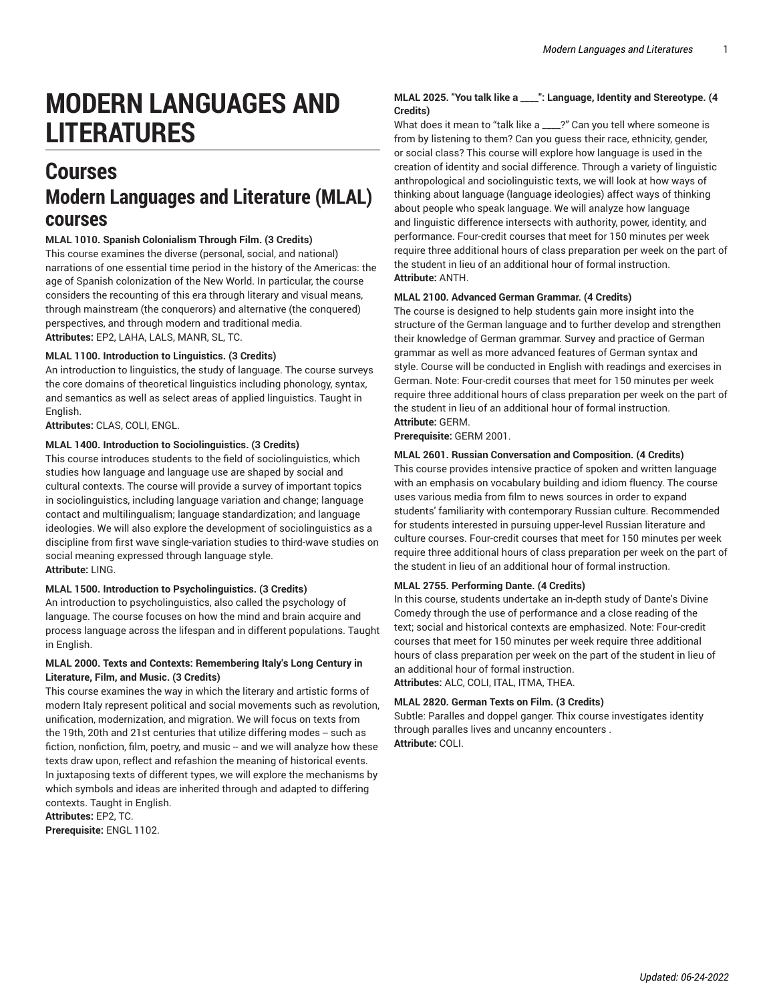# **MODERN LANGUAGES AND LITERATURES**

# **Courses Modern Languages and Literature (MLAL) courses**

**MLAL 1010. Spanish Colonialism Through Film. (3 Credits)**

This course examines the diverse (personal, social, and national) narrations of one essential time period in the history of the Americas: the age of Spanish colonization of the New World. In particular, the course considers the recounting of this era through literary and visual means, through mainstream (the conquerors) and alternative (the conquered) perspectives, and through modern and traditional media. **Attributes:** EP2, LAHA, LALS, MANR, SL, TC.

#### **MLAL 1100. Introduction to Linguistics. (3 Credits)**

An introduction to linguistics, the study of language. The course surveys the core domains of theoretical linguistics including phonology, syntax, and semantics as well as select areas of applied linguistics. Taught in English.

**Attributes:** CLAS, COLI, ENGL.

#### **MLAL 1400. Introduction to Sociolinguistics. (3 Credits)**

This course introduces students to the field of sociolinguistics, which studies how language and language use are shaped by social and cultural contexts. The course will provide a survey of important topics in sociolinguistics, including language variation and change; language contact and multilingualism; language standardization; and language ideologies. We will also explore the development of sociolinguistics as a discipline from first wave single-variation studies to third-wave studies on social meaning expressed through language style. **Attribute:** LING.

#### **MLAL 1500. Introduction to Psycholinguistics. (3 Credits)**

An introduction to psycholinguistics, also called the psychology of language. The course focuses on how the mind and brain acquire and process language across the lifespan and in different populations. Taught in English.

#### **MLAL 2000. Texts and Contexts: Remembering Italy's Long Century in Literature, Film, and Music. (3 Credits)**

This course examines the way in which the literary and artistic forms of modern Italy represent political and social movements such as revolution, unification, modernization, and migration. We will focus on texts from the 19th, 20th and 21st centuries that utilize differing modes -- such as fiction, nonfiction, film, poetry, and music -- and we will analyze how these texts draw upon, reflect and refashion the meaning of historical events. In juxtaposing texts of different types, we will explore the mechanisms by which symbols and ideas are inherited through and adapted to differing contexts. Taught in English. **Attributes:** EP2, TC.

**Prerequisite:** ENGL 1102.

### **MLAL 2025. "You talk like a \_\_\_\_": Language, Identity and Stereotype. (4 Credits)**

What does it mean to "talk like a \_\_\_\_?" Can you tell where someone is from by listening to them? Can you guess their race, ethnicity, gender, or social class? This course will explore how language is used in the creation of identity and social difference. Through a variety of linguistic anthropological and sociolinguistic texts, we will look at how ways of thinking about language (language ideologies) affect ways of thinking about people who speak language. We will analyze how language and linguistic difference intersects with authority, power, identity, and performance. Four-credit courses that meet for 150 minutes per week require three additional hours of class preparation per week on the part of the student in lieu of an additional hour of formal instruction. **Attribute:** ANTH.

#### **MLAL 2100. Advanced German Grammar. (4 Credits)**

The course is designed to help students gain more insight into the structure of the German language and to further develop and strengthen their knowledge of German grammar. Survey and practice of German grammar as well as more advanced features of German syntax and style. Course will be conducted in English with readings and exercises in German. Note: Four-credit courses that meet for 150 minutes per week require three additional hours of class preparation per week on the part of the student in lieu of an additional hour of formal instruction.

**Attribute:** GERM. **Prerequisite:** GERM 2001.

# **MLAL 2601. Russian Conversation and Composition. (4 Credits)**

This course provides intensive practice of spoken and written language with an emphasis on vocabulary building and idiom fluency. The course uses various media from film to news sources in order to expand students' familiarity with contemporary Russian culture. Recommended for students interested in pursuing upper-level Russian literature and culture courses. Four-credit courses that meet for 150 minutes per week require three additional hours of class preparation per week on the part of the student in lieu of an additional hour of formal instruction.

#### **MLAL 2755. Performing Dante. (4 Credits)**

In this course, students undertake an in-depth study of Dante's Divine Comedy through the use of performance and a close reading of the text; social and historical contexts are emphasized. Note: Four-credit courses that meet for 150 minutes per week require three additional hours of class preparation per week on the part of the student in lieu of an additional hour of formal instruction. **Attributes:** ALC, COLI, ITAL, ITMA, THEA.

#### **MLAL 2820. German Texts on Film. (3 Credits)**

Subtle: Paralles and doppel ganger. Thix course investigates identity through paralles lives and uncanny encounters . **Attribute:** COLI.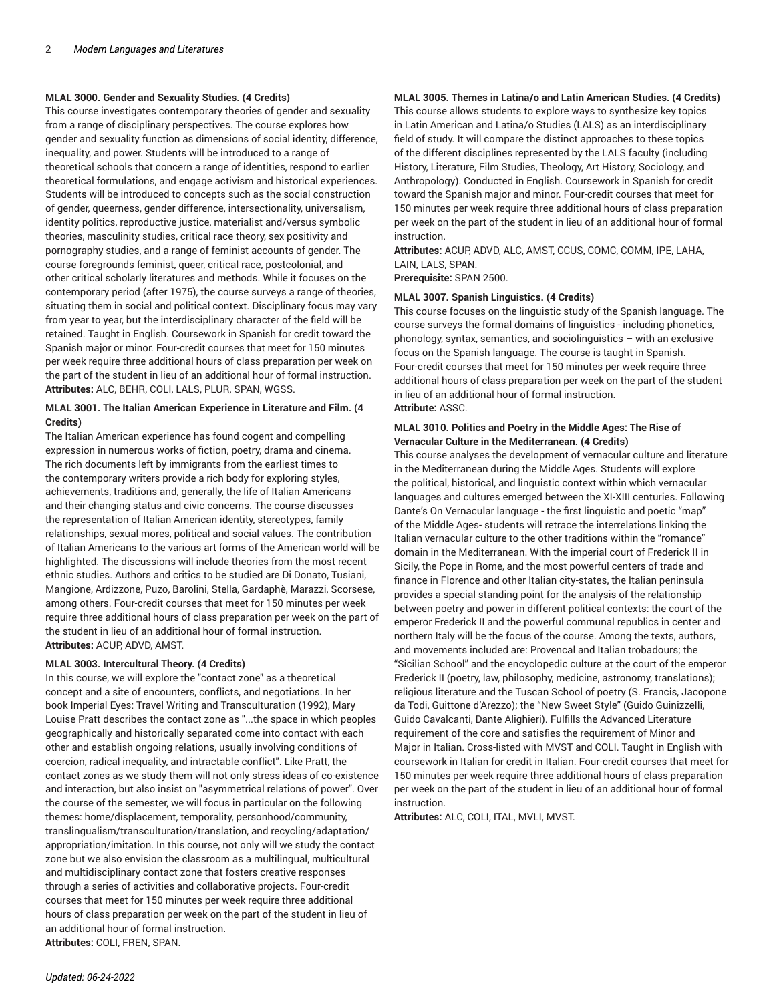#### **MLAL 3000. Gender and Sexuality Studies. (4 Credits)**

This course investigates contemporary theories of gender and sexuality from a range of disciplinary perspectives. The course explores how gender and sexuality function as dimensions of social identity, difference, inequality, and power. Students will be introduced to a range of theoretical schools that concern a range of identities, respond to earlier theoretical formulations, and engage activism and historical experiences. Students will be introduced to concepts such as the social construction of gender, queerness, gender difference, intersectionality, universalism, identity politics, reproductive justice, materialist and/versus symbolic theories, masculinity studies, critical race theory, sex positivity and pornography studies, and a range of feminist accounts of gender. The course foregrounds feminist, queer, critical race, postcolonial, and other critical scholarly literatures and methods. While it focuses on the contemporary period (after 1975), the course surveys a range of theories, situating them in social and political context. Disciplinary focus may vary from year to year, but the interdisciplinary character of the field will be retained. Taught in English. Coursework in Spanish for credit toward the Spanish major or minor. Four-credit courses that meet for 150 minutes per week require three additional hours of class preparation per week on the part of the student in lieu of an additional hour of formal instruction. **Attributes:** ALC, BEHR, COLI, LALS, PLUR, SPAN, WGSS.

#### **MLAL 3001. The Italian American Experience in Literature and Film. (4 Credits)**

The Italian American experience has found cogent and compelling expression in numerous works of fiction, poetry, drama and cinema. The rich documents left by immigrants from the earliest times to the contemporary writers provide a rich body for exploring styles, achievements, traditions and, generally, the life of Italian Americans and their changing status and civic concerns. The course discusses the representation of Italian American identity, stereotypes, family relationships, sexual mores, political and social values. The contribution of Italian Americans to the various art forms of the American world will be highlighted. The discussions will include theories from the most recent ethnic studies. Authors and critics to be studied are Di Donato, Tusiani, Mangione, Ardizzone, Puzo, Barolini, Stella, Gardaphè, Marazzi, Scorsese, among others. Four-credit courses that meet for 150 minutes per week require three additional hours of class preparation per week on the part of the student in lieu of an additional hour of formal instruction. **Attributes:** ACUP, ADVD, AMST.

#### **MLAL 3003. Intercultural Theory. (4 Credits)**

In this course, we will explore the "contact zone" as a theoretical concept and a site of encounters, conflicts, and negotiations. In her book Imperial Eyes: Travel Writing and Transculturation (1992), Mary Louise Pratt describes the contact zone as "...the space in which peoples geographically and historically separated come into contact with each other and establish ongoing relations, usually involving conditions of coercion, radical inequality, and intractable conflict". Like Pratt, the contact zones as we study them will not only stress ideas of co-existence and interaction, but also insist on "asymmetrical relations of power". Over the course of the semester, we will focus in particular on the following themes: home/displacement, temporality, personhood/community, translingualism/transculturation/translation, and recycling/adaptation/ appropriation/imitation. In this course, not only will we study the contact zone but we also envision the classroom as a multilingual, multicultural and multidisciplinary contact zone that fosters creative responses through a series of activities and collaborative projects. Four-credit courses that meet for 150 minutes per week require three additional hours of class preparation per week on the part of the student in lieu of an additional hour of formal instruction. **Attributes:** COLI, FREN, SPAN.

#### **MLAL 3005. Themes in Latina/o and Latin American Studies. (4 Credits)**

This course allows students to explore ways to synthesize key topics in Latin American and Latina/o Studies (LALS) as an interdisciplinary field of study. It will compare the distinct approaches to these topics of the different disciplines represented by the LALS faculty (including History, Literature, Film Studies, Theology, Art History, Sociology, and Anthropology). Conducted in English. Coursework in Spanish for credit toward the Spanish major and minor. Four-credit courses that meet for 150 minutes per week require three additional hours of class preparation per week on the part of the student in lieu of an additional hour of formal instruction.

**Attributes:** ACUP, ADVD, ALC, AMST, CCUS, COMC, COMM, IPE, LAHA, LAIN, LALS, SPAN.

**Prerequisite:** SPAN 2500.

#### **MLAL 3007. Spanish Linguistics. (4 Credits)**

This course focuses on the linguistic study of the Spanish language. The course surveys the formal domains of linguistics - including phonetics, phonology, syntax, semantics, and sociolinguistics – with an exclusive focus on the Spanish language. The course is taught in Spanish. Four-credit courses that meet for 150 minutes per week require three additional hours of class preparation per week on the part of the student in lieu of an additional hour of formal instruction. **Attribute:** ASSC.

#### **MLAL 3010. Politics and Poetry in the Middle Ages: The Rise of Vernacular Culture in the Mediterranean. (4 Credits)**

This course analyses the development of vernacular culture and literature in the Mediterranean during the Middle Ages. Students will explore the political, historical, and linguistic context within which vernacular languages and cultures emerged between the XI-XIII centuries. Following Dante's On Vernacular language - the first linguistic and poetic "map" of the Middle Ages- students will retrace the interrelations linking the Italian vernacular culture to the other traditions within the "romance" domain in the Mediterranean. With the imperial court of Frederick II in Sicily, the Pope in Rome, and the most powerful centers of trade and finance in Florence and other Italian city-states, the Italian peninsula provides a special standing point for the analysis of the relationship between poetry and power in different political contexts: the court of the emperor Frederick II and the powerful communal republics in center and northern Italy will be the focus of the course. Among the texts, authors, and movements included are: Provencal and Italian trobadours; the "Sicilian School" and the encyclopedic culture at the court of the emperor Frederick II (poetry, law, philosophy, medicine, astronomy, translations); religious literature and the Tuscan School of poetry (S. Francis, Jacopone da Todi, Guittone d'Arezzo); the "New Sweet Style" (Guido Guinizzelli, Guido Cavalcanti, Dante Alighieri). Fulfills the Advanced Literature requirement of the core and satisfies the requirement of Minor and Major in Italian. Cross-listed with MVST and COLI. Taught in English with coursework in Italian for credit in Italian. Four-credit courses that meet for 150 minutes per week require three additional hours of class preparation per week on the part of the student in lieu of an additional hour of formal instruction.

**Attributes:** ALC, COLI, ITAL, MVLI, MVST.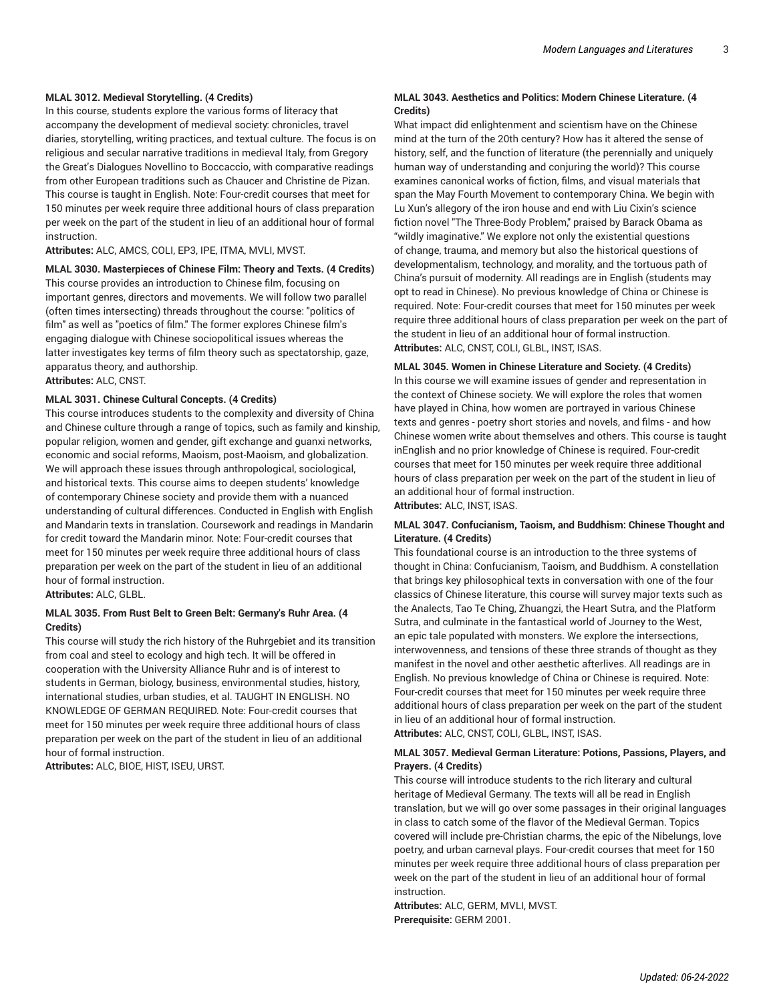#### **MLAL 3012. Medieval Storytelling. (4 Credits)**

In this course, students explore the various forms of literacy that accompany the development of medieval society: chronicles, travel diaries, storytelling, writing practices, and textual culture. The focus is on religious and secular narrative traditions in medieval Italy, from Gregory the Great's Dialogues Novellino to Boccaccio, with comparative readings from other European traditions such as Chaucer and Christine de Pizan. This course is taught in English. Note: Four-credit courses that meet for 150 minutes per week require three additional hours of class preparation per week on the part of the student in lieu of an additional hour of formal instruction.

**Attributes:** ALC, AMCS, COLI, EP3, IPE, ITMA, MVLI, MVST.

**MLAL 3030. Masterpieces of Chinese Film: Theory and Texts. (4 Credits)**

This course provides an introduction to Chinese film, focusing on important genres, directors and movements. We will follow two parallel (often times intersecting) threads throughout the course: "politics of film" as well as "poetics of film." The former explores Chinese film's engaging dialogue with Chinese sociopolitical issues whereas the latter investigates key terms of film theory such as spectatorship, gaze, apparatus theory, and authorship.

**Attributes:** ALC, CNST.

#### **MLAL 3031. Chinese Cultural Concepts. (4 Credits)**

This course introduces students to the complexity and diversity of China and Chinese culture through a range of topics, such as family and kinship, popular religion, women and gender, gift exchange and guanxi networks, economic and social reforms, Maoism, post-Maoism, and globalization. We will approach these issues through anthropological, sociological, and historical texts. This course aims to deepen students' knowledge of contemporary Chinese society and provide them with a nuanced understanding of cultural differences. Conducted in English with English and Mandarin texts in translation. Coursework and readings in Mandarin for credit toward the Mandarin minor. Note: Four-credit courses that meet for 150 minutes per week require three additional hours of class preparation per week on the part of the student in lieu of an additional hour of formal instruction.

**Attributes:** ALC, GLBL.

#### **MLAL 3035. From Rust Belt to Green Belt: Germany's Ruhr Area. (4 Credits)**

This course will study the rich history of the Ruhrgebiet and its transition from coal and steel to ecology and high tech. It will be offered in cooperation with the University Alliance Ruhr and is of interest to students in German, biology, business, environmental studies, history, international studies, urban studies, et al. TAUGHT IN ENGLISH. NO KNOWLEDGE OF GERMAN REQUIRED. Note: Four-credit courses that meet for 150 minutes per week require three additional hours of class preparation per week on the part of the student in lieu of an additional hour of formal instruction.

**Attributes:** ALC, BIOE, HIST, ISEU, URST.

#### **MLAL 3043. Aesthetics and Politics: Modern Chinese Literature. (4 Credits)**

What impact did enlightenment and scientism have on the Chinese mind at the turn of the 20th century? How has it altered the sense of history, self, and the function of literature (the perennially and uniquely human way of understanding and conjuring the world)? This course examines canonical works of fiction, films, and visual materials that span the May Fourth Movement to contemporary China. We begin with Lu Xun's allegory of the iron house and end with Liu Cixin's science fiction novel "The Three-Body Problem," praised by Barack Obama as "wildly imaginative." We explore not only the existential questions of change, trauma, and memory but also the historical questions of developmentalism, technology, and morality, and the tortuous path of China's pursuit of modernity. All readings are in English (students may opt to read in Chinese). No previous knowledge of China or Chinese is required. Note: Four-credit courses that meet for 150 minutes per week require three additional hours of class preparation per week on the part of the student in lieu of an additional hour of formal instruction. **Attributes:** ALC, CNST, COLI, GLBL, INST, ISAS.

#### **MLAL 3045. Women in Chinese Literature and Society. (4 Credits)**

ln this course we will examine issues of gender and representation in the context of Chinese society. We will explore the roles that women have played in China, how women are portrayed in various Chinese texts and genres - poetry short stories and novels, and films - and how Chinese women write about themselves and others. This course is taught inEnglish and no prior knowledge of Chinese is required. Four-credit courses that meet for 150 minutes per week require three additional hours of class preparation per week on the part of the student in lieu of an additional hour of formal instruction.

**Attributes:** ALC, INST, ISAS.

#### **MLAL 3047. Confucianism, Taoism, and Buddhism: Chinese Thought and Literature. (4 Credits)**

This foundational course is an introduction to the three systems of thought in China: Confucianism, Taoism, and Buddhism. A constellation that brings key philosophical texts in conversation with one of the four classics of Chinese literature, this course will survey major texts such as the Analects, Tao Te Ching, Zhuangzi, the Heart Sutra, and the Platform Sutra, and culminate in the fantastical world of Journey to the West, an epic tale populated with monsters. We explore the intersections, interwovenness, and tensions of these three strands of thought as they manifest in the novel and other aesthetic afterlives. All readings are in English. No previous knowledge of China or Chinese is required. Note: Four-credit courses that meet for 150 minutes per week require three additional hours of class preparation per week on the part of the student in lieu of an additional hour of formal instruction.

**Attributes:** ALC, CNST, COLI, GLBL, INST, ISAS.

#### **MLAL 3057. Medieval German Literature: Potions, Passions, Players, and Prayers. (4 Credits)**

This course will introduce students to the rich literary and cultural heritage of Medieval Germany. The texts will all be read in English translation, but we will go over some passages in their original languages in class to catch some of the flavor of the Medieval German. Topics covered will include pre-Christian charms, the epic of the Nibelungs, love poetry, and urban carneval plays. Four-credit courses that meet for 150 minutes per week require three additional hours of class preparation per week on the part of the student in lieu of an additional hour of formal instruction.

**Attributes:** ALC, GERM, MVLI, MVST. **Prerequisite:** GERM 2001.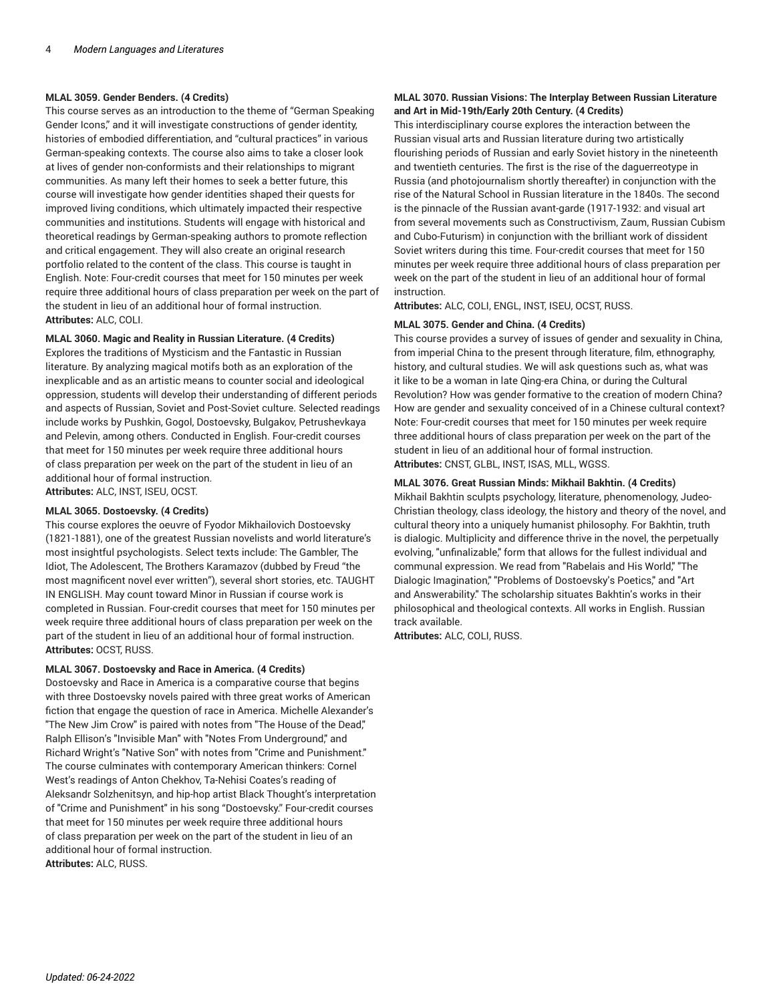#### **MLAL 3059. Gender Benders. (4 Credits)**

This course serves as an introduction to the theme of "German Speaking Gender Icons," and it will investigate constructions of gender identity, histories of embodied differentiation, and "cultural practices" in various German-speaking contexts. The course also aims to take a closer look at lives of gender non-conformists and their relationships to migrant communities. As many left their homes to seek a better future, this course will investigate how gender identities shaped their quests for improved living conditions, which ultimately impacted their respective communities and institutions. Students will engage with historical and theoretical readings by German-speaking authors to promote reflection and critical engagement. They will also create an original research portfolio related to the content of the class. This course is taught in English. Note: Four-credit courses that meet for 150 minutes per week require three additional hours of class preparation per week on the part of the student in lieu of an additional hour of formal instruction. **Attributes:** ALC, COLI.

#### **MLAL 3060. Magic and Reality in Russian Literature. (4 Credits)**

Explores the traditions of Mysticism and the Fantastic in Russian literature. By analyzing magical motifs both as an exploration of the inexplicable and as an artistic means to counter social and ideological oppression, students will develop their understanding of different periods and aspects of Russian, Soviet and Post-Soviet culture. Selected readings include works by Pushkin, Gogol, Dostoevsky, Bulgakov, Petrushevkaya and Pelevin, among others. Conducted in English. Four-credit courses that meet for 150 minutes per week require three additional hours of class preparation per week on the part of the student in lieu of an additional hour of formal instruction. **Attributes:** ALC, INST, ISEU, OCST.

#### **MLAL 3065. Dostoevsky. (4 Credits)**

This course explores the oeuvre of Fyodor Mikhailovich Dostoevsky (1821-1881), one of the greatest Russian novelists and world literature's most insightful psychologists. Select texts include: The Gambler, The Idiot, The Adolescent, The Brothers Karamazov (dubbed by Freud "the most magnificent novel ever written"), several short stories, etc. TAUGHT IN ENGLISH. May count toward Minor in Russian if course work is completed in Russian. Four-credit courses that meet for 150 minutes per week require three additional hours of class preparation per week on the part of the student in lieu of an additional hour of formal instruction. **Attributes:** OCST, RUSS.

#### **MLAL 3067. Dostoevsky and Race in America. (4 Credits)**

Dostoevsky and Race in America is a comparative course that begins with three Dostoevsky novels paired with three great works of American fiction that engage the question of race in America. Michelle Alexander's "The New Jim Crow" is paired with notes from "The House of the Dead," Ralph Ellison's "Invisible Man" with "Notes From Underground," and Richard Wright's "Native Son" with notes from "Crime and Punishment." The course culminates with contemporary American thinkers: Cornel West's readings of Anton Chekhov, Ta-Nehisi Coates's reading of Aleksandr Solzhenitsyn, and hip-hop artist Black Thought's interpretation of "Crime and Punishment" in his song "Dostoevsky." Four-credit courses that meet for 150 minutes per week require three additional hours of class preparation per week on the part of the student in lieu of an additional hour of formal instruction. **Attributes:** ALC, RUSS.

#### **MLAL 3070. Russian Visions: The Interplay Between Russian Literature and Art in Mid-19th/Early 20th Century. (4 Credits)**

This interdisciplinary course explores the interaction between the Russian visual arts and Russian literature during two artistically flourishing periods of Russian and early Soviet history in the nineteenth and twentieth centuries. The first is the rise of the daguerreotype in Russia (and photojournalism shortly thereafter) in conjunction with the rise of the Natural School in Russian literature in the 1840s. The second is the pinnacle of the Russian avant-garde (1917-1932: and visual art from several movements such as Constructivism, Zaum, Russian Cubism and Cubo-Futurism) in conjunction with the brilliant work of dissident Soviet writers during this time. Four-credit courses that meet for 150 minutes per week require three additional hours of class preparation per week on the part of the student in lieu of an additional hour of formal instruction.

**Attributes:** ALC, COLI, ENGL, INST, ISEU, OCST, RUSS.

#### **MLAL 3075. Gender and China. (4 Credits)**

This course provides a survey of issues of gender and sexuality in China, from imperial China to the present through literature, film, ethnography, history, and cultural studies. We will ask questions such as, what was it like to be a woman in late Qing-era China, or during the Cultural Revolution? How was gender formative to the creation of modern China? How are gender and sexuality conceived of in a Chinese cultural context? Note: Four-credit courses that meet for 150 minutes per week require three additional hours of class preparation per week on the part of the student in lieu of an additional hour of formal instruction. **Attributes:** CNST, GLBL, INST, ISAS, MLL, WGSS.

#### **MLAL 3076. Great Russian Minds: Mikhail Bakhtin. (4 Credits)**

Mikhail Bakhtin sculpts psychology, literature, phenomenology, Judeo-Christian theology, class ideology, the history and theory of the novel, and cultural theory into a uniquely humanist philosophy. For Bakhtin, truth is dialogic. Multiplicity and difference thrive in the novel, the perpetually evolving, "unfinalizable," form that allows for the fullest individual and communal expression. We read from "Rabelais and His World," "The Dialogic Imagination," "Problems of Dostoevsky's Poetics," and "Art and Answerability." The scholarship situates Bakhtin's works in their philosophical and theological contexts. All works in English. Russian track available.

**Attributes:** ALC, COLI, RUSS.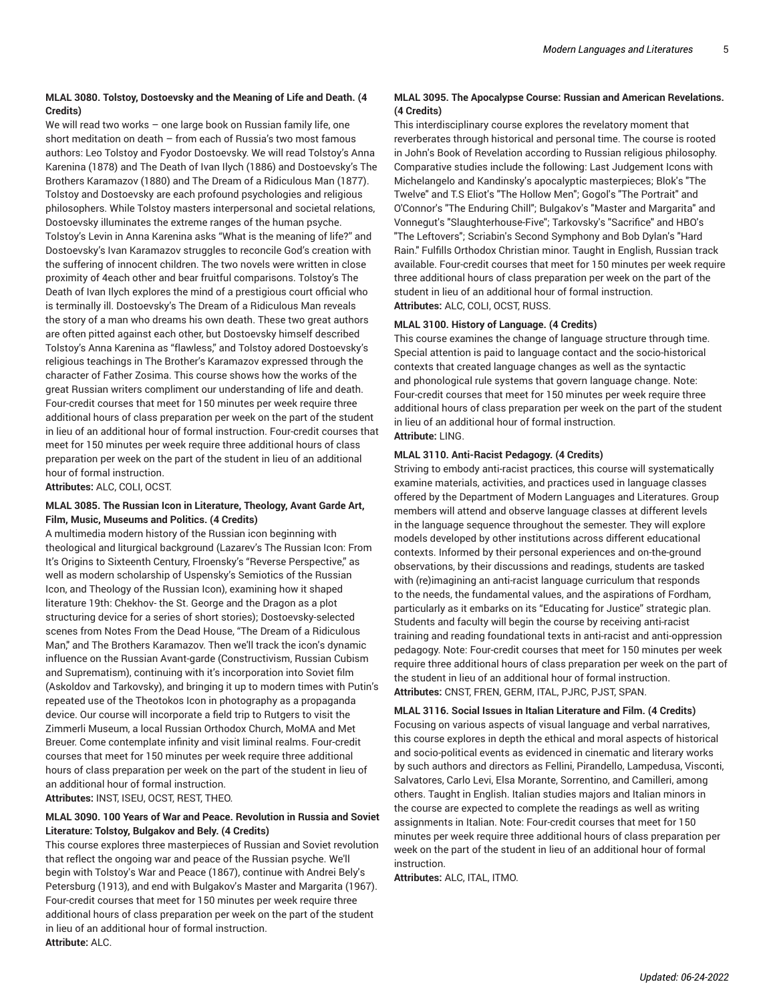#### **MLAL 3080. Tolstoy, Dostoevsky and the Meaning of Life and Death. (4 Credits)**

We will read two works – one large book on Russian family life, one short meditation on death – from each of Russia's two most famous authors: Leo Tolstoy and Fyodor Dostoevsky. We will read Tolstoy's Anna Karenina (1878) and The Death of Ivan Ilych (1886) and Dostoevsky's The Brothers Karamazov (1880) and The Dream of a Ridiculous Man (1877). Tolstoy and Dostoevsky are each profound psychologies and religious philosophers. While Tolstoy masters interpersonal and societal relations, Dostoevsky illuminates the extreme ranges of the human psyche. Tolstoy's Levin in Anna Karenina asks "What is the meaning of life?" and Dostoevsky's Ivan Karamazov struggles to reconcile God's creation with the suffering of innocent children. The two novels were written in close proximity of 4each other and bear fruitful comparisons. Tolstoy's The Death of Ivan Ilych explores the mind of a prestigious court official who is terminally ill. Dostoevsky's The Dream of a Ridiculous Man reveals the story of a man who dreams his own death. These two great authors are often pitted against each other, but Dostoevsky himself described Tolstoy's Anna Karenina as "flawless," and Tolstoy adored Dostoevsky's religious teachings in The Brother's Karamazov expressed through the character of Father Zosima. This course shows how the works of the great Russian writers compliment our understanding of life and death. Four-credit courses that meet for 150 minutes per week require three additional hours of class preparation per week on the part of the student in lieu of an additional hour of formal instruction. Four-credit courses that meet for 150 minutes per week require three additional hours of class preparation per week on the part of the student in lieu of an additional hour of formal instruction.

**Attributes:** ALC, COLI, OCST.

#### **MLAL 3085. The Russian Icon in Literature, Theology, Avant Garde Art, Film, Music, Museums and Politics. (4 Credits)**

A multimedia modern history of the Russian icon beginning with theological and liturgical background (Lazarev's The Russian Icon: From It's Origins to Sixteenth Century, Flroensky's "Reverse Perspective," as well as modern scholarship of Uspensky's Semiotics of the Russian Icon, and Theology of the Russian Icon), examining how it shaped literature 19th: Chekhov- the St. George and the Dragon as a plot structuring device for a series of short stories); Dostoevsky-selected scenes from Notes From the Dead House, "The Dream of a Ridiculous Man," and The Brothers Karamazov. Then we'll track the icon's dynamic influence on the Russian Avant-garde (Constructivism, Russian Cubism and Suprematism), continuing with it's incorporation into Soviet film (Askoldov and Tarkovsky), and bringing it up to modern times with Putin's repeated use of the Theotokos Icon in photography as a propaganda device. Our course will incorporate a field trip to Rutgers to visit the Zimmerli Museum, a local Russian Orthodox Church, MoMA and Met Breuer. Come contemplate infinity and visit liminal realms. Four-credit courses that meet for 150 minutes per week require three additional hours of class preparation per week on the part of the student in lieu of an additional hour of formal instruction.

**Attributes:** INST, ISEU, OCST, REST, THEO.

#### **MLAL 3090. 100 Years of War and Peace. Revolution in Russia and Soviet Literature: Tolstoy, Bulgakov and Bely. (4 Credits)**

This course explores three masterpieces of Russian and Soviet revolution that reflect the ongoing war and peace of the Russian psyche. We'll begin with Tolstoy's War and Peace (1867), continue with Andrei Bely's Petersburg (1913), and end with Bulgakov's Master and Margarita (1967). Four-credit courses that meet for 150 minutes per week require three additional hours of class preparation per week on the part of the student in lieu of an additional hour of formal instruction. **Attribute:** ALC.

### **MLAL 3095. The Apocalypse Course: Russian and American Revelations. (4 Credits)**

This interdisciplinary course explores the revelatory moment that reverberates through historical and personal time. The course is rooted in John's Book of Revelation according to Russian religious philosophy. Comparative studies include the following: Last Judgement Icons with Michelangelo and Kandinsky's apocalyptic masterpieces; Blok's "The Twelve" and T.S Eliot's "The Hollow Men"; Gogol's "The Portrait" and O'Connor's "The Enduring Chill"; Bulgakov's "Master and Margarita" and Vonnegut's "Slaughterhouse-Five"; Tarkovsky's "Sacrifice" and HBO's "The Leftovers"; Scriabin's Second Symphony and Bob Dylan's "Hard Rain." Fulfills Orthodox Christian minor. Taught in English, Russian track available. Four-credit courses that meet for 150 minutes per week require three additional hours of class preparation per week on the part of the student in lieu of an additional hour of formal instruction. **Attributes:** ALC, COLI, OCST, RUSS.

#### **MLAL 3100. History of Language. (4 Credits)**

This course examines the change of language structure through time. Special attention is paid to language contact and the socio-historical contexts that created language changes as well as the syntactic and phonological rule systems that govern language change. Note: Four-credit courses that meet for 150 minutes per week require three additional hours of class preparation per week on the part of the student in lieu of an additional hour of formal instruction. **Attribute:** LING.

#### **MLAL 3110. Anti-Racist Pedagogy. (4 Credits)**

Striving to embody anti-racist practices, this course will systematically examine materials, activities, and practices used in language classes offered by the Department of Modern Languages and Literatures. Group members will attend and observe language classes at different levels in the language sequence throughout the semester. They will explore models developed by other institutions across different educational contexts. Informed by their personal experiences and on-the-ground observations, by their discussions and readings, students are tasked with (re)imagining an anti-racist language curriculum that responds to the needs, the fundamental values, and the aspirations of Fordham, particularly as it embarks on its "Educating for Justice" strategic plan. Students and faculty will begin the course by receiving anti-racist training and reading foundational texts in anti-racist and anti-oppression pedagogy. Note: Four-credit courses that meet for 150 minutes per week require three additional hours of class preparation per week on the part of the student in lieu of an additional hour of formal instruction. **Attributes:** CNST, FREN, GERM, ITAL, PJRC, PJST, SPAN.

**MLAL 3116. Social Issues in Italian Literature and Film. (4 Credits)** Focusing on various aspects of visual language and verbal narratives, this course explores in depth the ethical and moral aspects of historical and socio-political events as evidenced in cinematic and literary works by such authors and directors as Fellini, Pirandello, Lampedusa, Visconti, Salvatores, Carlo Levi, Elsa Morante, Sorrentino, and Camilleri, among others. Taught in English. Italian studies majors and Italian minors in the course are expected to complete the readings as well as writing assignments in Italian. Note: Four-credit courses that meet for 150 minutes per week require three additional hours of class preparation per week on the part of the student in lieu of an additional hour of formal instruction.

**Attributes:** ALC, ITAL, ITMO.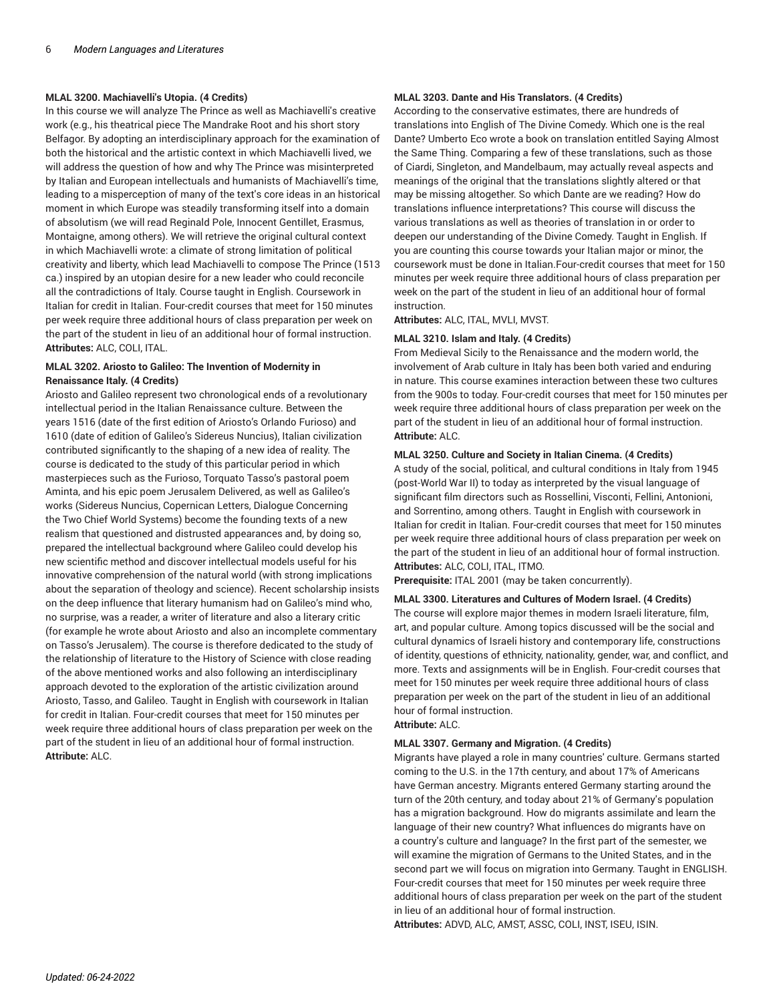#### **MLAL 3200. Machiavelli's Utopia. (4 Credits)**

In this course we will analyze The Prince as well as Machiavelli's creative work (e.g., his theatrical piece The Mandrake Root and his short story Belfagor. By adopting an interdisciplinary approach for the examination of both the historical and the artistic context in which Machiavelli lived, we will address the question of how and why The Prince was misinterpreted by Italian and European intellectuals and humanists of Machiavelli's time, leading to a misperception of many of the text's core ideas in an historical moment in which Europe was steadily transforming itself into a domain of absolutism (we will read Reginald Pole, Innocent Gentillet, Erasmus, Montaigne, among others). We will retrieve the original cultural context in which Machiavelli wrote: a climate of strong limitation of political creativity and liberty, which lead Machiavelli to compose The Prince (1513 ca.) inspired by an utopian desire for a new leader who could reconcile all the contradictions of Italy. Course taught in English. Coursework in Italian for credit in Italian. Four-credit courses that meet for 150 minutes per week require three additional hours of class preparation per week on the part of the student in lieu of an additional hour of formal instruction. **Attributes:** ALC, COLI, ITAL.

#### **MLAL 3202. Ariosto to Galileo: The Invention of Modernity in Renaissance Italy. (4 Credits)**

Ariosto and Galileo represent two chronological ends of a revolutionary intellectual period in the Italian Renaissance culture. Between the years 1516 (date of the first edition of Ariosto's Orlando Furioso) and 1610 (date of edition of Galileo's Sidereus Nuncius), Italian civilization contributed significantly to the shaping of a new idea of reality. The course is dedicated to the study of this particular period in which masterpieces such as the Furioso, Torquato Tasso's pastoral poem Aminta, and his epic poem Jerusalem Delivered, as well as Galileo's works (Sidereus Nuncius, Copernican Letters, Dialogue Concerning the Two Chief World Systems) become the founding texts of a new realism that questioned and distrusted appearances and, by doing so, prepared the intellectual background where Galileo could develop his new scientific method and discover intellectual models useful for his innovative comprehension of the natural world (with strong implications about the separation of theology and science). Recent scholarship insists on the deep influence that literary humanism had on Galileo's mind who, no surprise, was a reader, a writer of literature and also a literary critic (for example he wrote about Ariosto and also an incomplete commentary on Tasso's Jerusalem). The course is therefore dedicated to the study of the relationship of literature to the History of Science with close reading of the above mentioned works and also following an interdisciplinary approach devoted to the exploration of the artistic civilization around Ariosto, Tasso, and Galileo. Taught in English with coursework in Italian for credit in Italian. Four-credit courses that meet for 150 minutes per week require three additional hours of class preparation per week on the part of the student in lieu of an additional hour of formal instruction. **Attribute:** ALC.

#### **MLAL 3203. Dante and His Translators. (4 Credits)**

According to the conservative estimates, there are hundreds of translations into English of The Divine Comedy. Which one is the real Dante? Umberto Eco wrote a book on translation entitled Saying Almost the Same Thing. Comparing a few of these translations, such as those of Ciardi, Singleton, and Mandelbaum, may actually reveal aspects and meanings of the original that the translations slightly altered or that may be missing altogether. So which Dante are we reading? How do translations influence interpretations? This course will discuss the various translations as well as theories of translation in or order to deepen our understanding of the Divine Comedy. Taught in English. If you are counting this course towards your Italian major or minor, the coursework must be done in Italian.Four-credit courses that meet for 150 minutes per week require three additional hours of class preparation per week on the part of the student in lieu of an additional hour of formal instruction.

**Attributes:** ALC, ITAL, MVLI, MVST.

#### **MLAL 3210. Islam and Italy. (4 Credits)**

From Medieval Sicily to the Renaissance and the modern world, the involvement of Arab culture in Italy has been both varied and enduring in nature. This course examines interaction between these two cultures from the 900s to today. Four-credit courses that meet for 150 minutes per week require three additional hours of class preparation per week on the part of the student in lieu of an additional hour of formal instruction. **Attribute:** ALC.

#### **MLAL 3250. Culture and Society in Italian Cinema. (4 Credits)**

A study of the social, political, and cultural conditions in Italy from 1945 (post-World War II) to today as interpreted by the visual language of significant film directors such as Rossellini, Visconti, Fellini, Antonioni, and Sorrentino, among others. Taught in English with coursework in Italian for credit in Italian. Four-credit courses that meet for 150 minutes per week require three additional hours of class preparation per week on the part of the student in lieu of an additional hour of formal instruction. **Attributes:** ALC, COLI, ITAL, ITMO.

**Prerequisite:** ITAL 2001 (may be taken concurrently).

#### **MLAL 3300. Literatures and Cultures of Modern Israel. (4 Credits)**

The course will explore major themes in modern Israeli literature, film, art, and popular culture. Among topics discussed will be the social and cultural dynamics of Israeli history and contemporary life, constructions of identity, questions of ethnicity, nationality, gender, war, and conflict, and more. Texts and assignments will be in English. Four-credit courses that meet for 150 minutes per week require three additional hours of class preparation per week on the part of the student in lieu of an additional hour of formal instruction.

**Attribute:** ALC.

#### **MLAL 3307. Germany and Migration. (4 Credits)**

Migrants have played a role in many countries' culture. Germans started coming to the U.S. in the 17th century, and about 17% of Americans have German ancestry. Migrants entered Germany starting around the turn of the 20th century, and today about 21% of Germany's population has a migration background. How do migrants assimilate and learn the language of their new country? What influences do migrants have on a country's culture and language? In the first part of the semester, we will examine the migration of Germans to the United States, and in the second part we will focus on migration into Germany. Taught in ENGLISH. Four-credit courses that meet for 150 minutes per week require three additional hours of class preparation per week on the part of the student in lieu of an additional hour of formal instruction. **Attributes:** ADVD, ALC, AMST, ASSC, COLI, INST, ISEU, ISIN.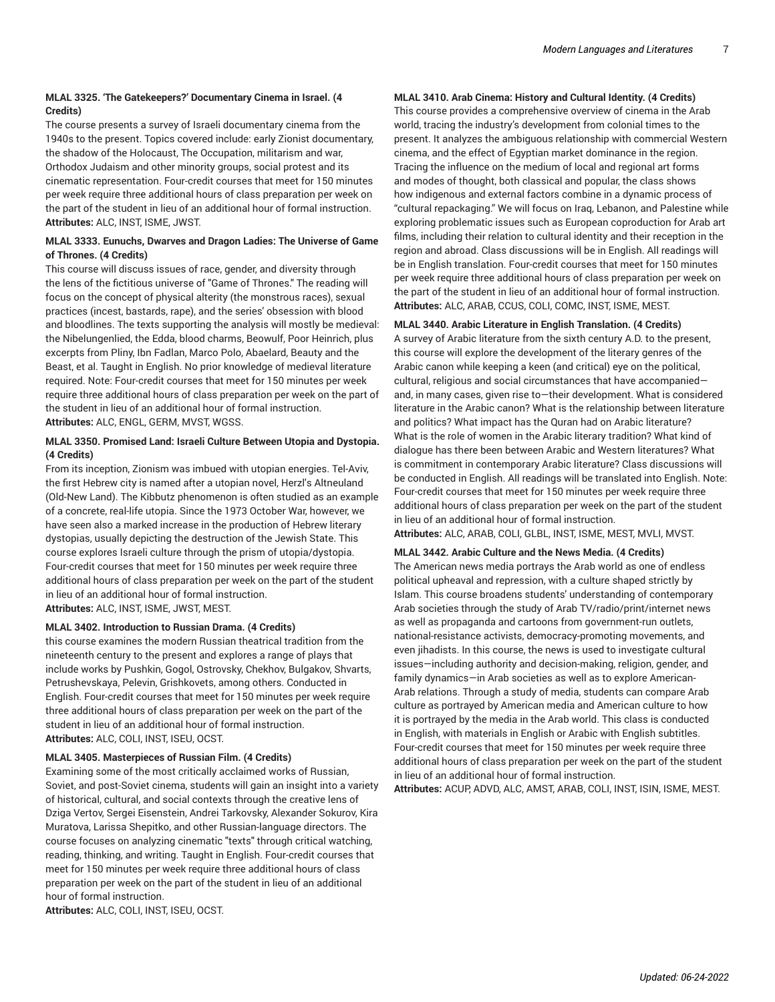### **MLAL 3325. 'The Gatekeepers?' Documentary Cinema in Israel. (4 Credits)**

The course presents a survey of Israeli documentary cinema from the 1940s to the present. Topics covered include: early Zionist documentary, the shadow of the Holocaust, The Occupation, militarism and war, Orthodox Judaism and other minority groups, social protest and its cinematic representation. Four-credit courses that meet for 150 minutes per week require three additional hours of class preparation per week on the part of the student in lieu of an additional hour of formal instruction. **Attributes:** ALC, INST, ISME, JWST.

### **MLAL 3333. Eunuchs, Dwarves and Dragon Ladies: The Universe of Game of Thrones. (4 Credits)**

This course will discuss issues of race, gender, and diversity through the lens of the fictitious universe of "Game of Thrones." The reading will focus on the concept of physical alterity (the monstrous races), sexual practices (incest, bastards, rape), and the series' obsession with blood and bloodlines. The texts supporting the analysis will mostly be medieval: the Nibelungenlied, the Edda, blood charms, Beowulf, Poor Heinrich, plus excerpts from Pliny, Ibn Fadlan, Marco Polo, Abaelard, Beauty and the Beast, et al. Taught in English. No prior knowledge of medieval literature required. Note: Four-credit courses that meet for 150 minutes per week require three additional hours of class preparation per week on the part of the student in lieu of an additional hour of formal instruction. **Attributes:** ALC, ENGL, GERM, MVST, WGSS.

### **MLAL 3350. Promised Land: Israeli Culture Between Utopia and Dystopia. (4 Credits)**

From its inception, Zionism was imbued with utopian energies. Tel-Aviv, the first Hebrew city is named after a utopian novel, Herzl's Altneuland (Old-New Land). The Kibbutz phenomenon is often studied as an example of a concrete, real-life utopia. Since the 1973 October War, however, we have seen also a marked increase in the production of Hebrew literary dystopias, usually depicting the destruction of the Jewish State. This course explores Israeli culture through the prism of utopia/dystopia. Four-credit courses that meet for 150 minutes per week require three additional hours of class preparation per week on the part of the student in lieu of an additional hour of formal instruction. **Attributes:** ALC, INST, ISME, JWST, MEST.

#### **MLAL 3402. Introduction to Russian Drama. (4 Credits)**

this course examines the modern Russian theatrical tradition from the nineteenth century to the present and explores a range of plays that include works by Pushkin, Gogol, Ostrovsky, Chekhov, Bulgakov, Shvarts, Petrushevskaya, Pelevin, Grishkovets, among others. Conducted in English. Four-credit courses that meet for 150 minutes per week require three additional hours of class preparation per week on the part of the student in lieu of an additional hour of formal instruction. **Attributes:** ALC, COLI, INST, ISEU, OCST.

#### **MLAL 3405. Masterpieces of Russian Film. (4 Credits)**

Examining some of the most critically acclaimed works of Russian, Soviet, and post-Soviet cinema, students will gain an insight into a variety of historical, cultural, and social contexts through the creative lens of Dziga Vertov, Sergei Eisenstein, Andrei Tarkovsky, Alexander Sokurov, Kira Muratova, Larissa Shepitko, and other Russian-language directors. The course focuses on analyzing cinematic "texts" through critical watching, reading, thinking, and writing. Taught in English. Four-credit courses that meet for 150 minutes per week require three additional hours of class preparation per week on the part of the student in lieu of an additional hour of formal instruction.

**Attributes:** ALC, COLI, INST, ISEU, OCST.

### **MLAL 3410. Arab Cinema: History and Cultural Identity. (4 Credits)**

This course provides a comprehensive overview of cinema in the Arab world, tracing the industry's development from colonial times to the present. It analyzes the ambiguous relationship with commercial Western cinema, and the effect of Egyptian market dominance in the region. Tracing the influence on the medium of local and regional art forms and modes of thought, both classical and popular, the class shows how indigenous and external factors combine in a dynamic process of "cultural repackaging." We will focus on Iraq, Lebanon, and Palestine while exploring problematic issues such as European coproduction for Arab art films, including their relation to cultural identity and their reception in the region and abroad. Class discussions will be in English. All readings will be in English translation. Four-credit courses that meet for 150 minutes per week require three additional hours of class preparation per week on the part of the student in lieu of an additional hour of formal instruction. **Attributes:** ALC, ARAB, CCUS, COLI, COMC, INST, ISME, MEST.

#### **MLAL 3440. Arabic Literature in English Translation. (4 Credits)**

A survey of Arabic literature from the sixth century A.D. to the present, this course will explore the development of the literary genres of the Arabic canon while keeping a keen (and critical) eye on the political, cultural, religious and social circumstances that have accompanied and, in many cases, given rise to—their development. What is considered literature in the Arabic canon? What is the relationship between literature and politics? What impact has the Quran had on Arabic literature? What is the role of women in the Arabic literary tradition? What kind of dialogue has there been between Arabic and Western literatures? What is commitment in contemporary Arabic literature? Class discussions will be conducted in English. All readings will be translated into English. Note: Four-credit courses that meet for 150 minutes per week require three additional hours of class preparation per week on the part of the student in lieu of an additional hour of formal instruction. **Attributes:** ALC, ARAB, COLI, GLBL, INST, ISME, MEST, MVLI, MVST.

# **MLAL 3442. Arabic Culture and the News Media. (4 Credits)**

The American news media portrays the Arab world as one of endless political upheaval and repression, with a culture shaped strictly by Islam. This course broadens students' understanding of contemporary Arab societies through the study of Arab TV/radio/print/internet news as well as propaganda and cartoons from government-run outlets, national-resistance activists, democracy-promoting movements, and even jihadists. In this course, the news is used to investigate cultural issues—including authority and decision-making, religion, gender, and family dynamics—in Arab societies as well as to explore American-Arab relations. Through a study of media, students can compare Arab culture as portrayed by American media and American culture to how it is portrayed by the media in the Arab world. This class is conducted in English, with materials in English or Arabic with English subtitles. Four-credit courses that meet for 150 minutes per week require three additional hours of class preparation per week on the part of the student in lieu of an additional hour of formal instruction.

**Attributes:** ACUP, ADVD, ALC, AMST, ARAB, COLI, INST, ISIN, ISME, MEST.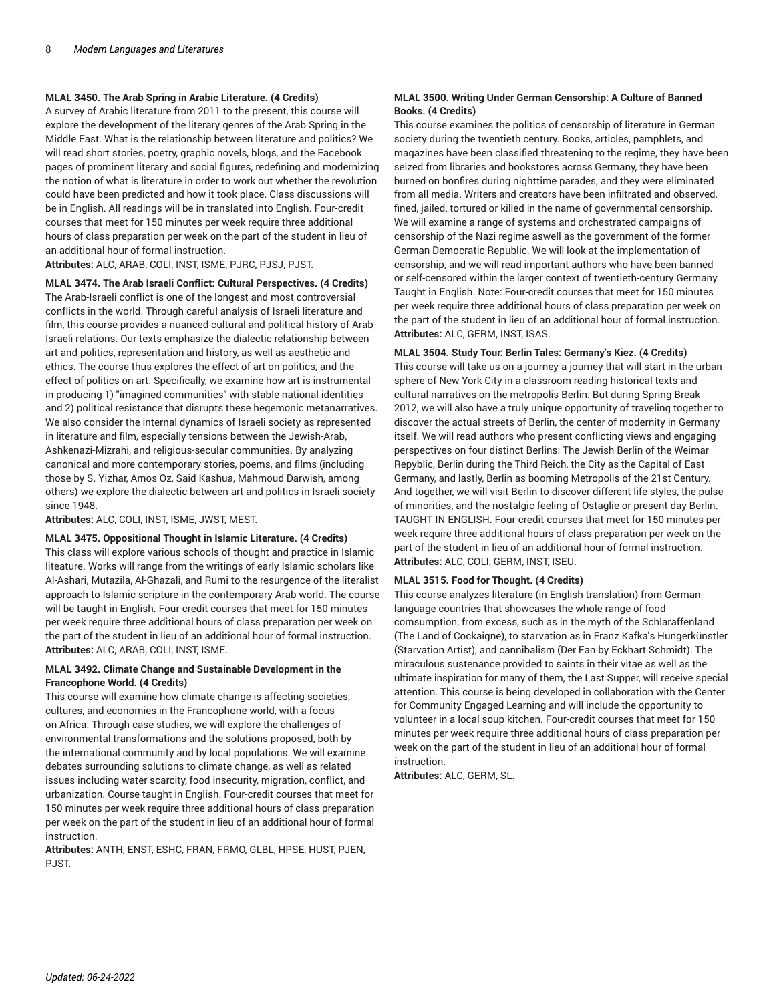#### **MLAL 3450. The Arab Spring in Arabic Literature. (4 Credits)**

A survey of Arabic literature from 2011 to the present, this course will explore the development of the literary genres of the Arab Spring in the Middle East. What is the relationship between literature and politics? We will read short stories, poetry, graphic novels, blogs, and the Facebook pages of prominent literary and social figures, redefining and modernizing the notion of what is literature in order to work out whether the revolution could have been predicted and how it took place. Class discussions will be in English. All readings will be in translated into English. Four-credit courses that meet for 150 minutes per week require three additional hours of class preparation per week on the part of the student in lieu of an additional hour of formal instruction.

**Attributes:** ALC, ARAB, COLI, INST, ISME, PJRC, PJSJ, PJST.

**MLAL 3474. The Arab Israeli Conflict: Cultural Perspectives. (4 Credits)** The Arab-Israeli conflict is one of the longest and most controversial conflicts in the world. Through careful analysis of Israeli literature and film, this course provides a nuanced cultural and political history of Arab-Israeli relations. Our texts emphasize the dialectic relationship between art and politics, representation and history, as well as aesthetic and ethics. The course thus explores the effect of art on politics, and the effect of politics on art. Specifically, we examine how art is instrumental in producing 1) "imagined communities" with stable national identities and 2) political resistance that disrupts these hegemonic metanarratives. We also consider the internal dynamics of Israeli society as represented in literature and film, especially tensions between the Jewish-Arab, Ashkenazi-Mizrahi, and religious-secular communities. By analyzing canonical and more contemporary stories, poems, and films (including those by S. Yizhar, Amos Oz, Said Kashua, Mahmoud Darwish, among others) we explore the dialectic between art and politics in Israeli society since 1948.

**Attributes:** ALC, COLI, INST, ISME, JWST, MEST.

#### **MLAL 3475. Oppositional Thought in Islamic Literature. (4 Credits)**

This class will explore various schools of thought and practice in Islamic liteature. Works will range from the writings of early Islamic scholars like Al-Ashari, Mutazila, Al-Ghazali, and Rumi to the resurgence of the literalist approach to Islamic scripture in the contemporary Arab world. The course will be taught in English. Four-credit courses that meet for 150 minutes per week require three additional hours of class preparation per week on the part of the student in lieu of an additional hour of formal instruction. **Attributes:** ALC, ARAB, COLI, INST, ISME.

#### **MLAL 3492. Climate Change and Sustainable Development in the Francophone World. (4 Credits)**

This course will examine how climate change is affecting societies, cultures, and economies in the Francophone world, with a focus on Africa. Through case studies, we will explore the challenges of environmental transformations and the solutions proposed, both by the international community and by local populations. We will examine debates surrounding solutions to climate change, as well as related issues including water scarcity, food insecurity, migration, conflict, and urbanization. Course taught in English. Four-credit courses that meet for 150 minutes per week require three additional hours of class preparation per week on the part of the student in lieu of an additional hour of formal instruction.

**Attributes:** ANTH, ENST, ESHC, FRAN, FRMO, GLBL, HPSE, HUST, PJEN, PJST.

#### **MLAL 3500. Writing Under German Censorship: A Culture of Banned Books. (4 Credits)**

This course examines the politics of censorship of literature in German society during the twentieth century. Books, articles, pamphlets, and magazines have been classified threatening to the regime, they have been seized from libraries and bookstores across Germany, they have been burned on bonfires during nighttime parades, and they were eliminated from all media. Writers and creators have been infiltrated and observed, fined, jailed, tortured or killed in the name of governmental censorship. We will examine a range of systems and orchestrated campaigns of censorship of the Nazi regime aswell as the government of the former German Democratic Republic. We will look at the implementation of censorship, and we will read important authors who have been banned or self-censored within the larger context of twentieth-century Germany. Taught in English. Note: Four-credit courses that meet for 150 minutes per week require three additional hours of class preparation per week on the part of the student in lieu of an additional hour of formal instruction. **Attributes:** ALC, GERM, INST, ISAS.

#### **MLAL 3504. Study Tour: Berlin Tales: Germany's Kiez. (4 Credits)**

This course will take us on a journey-a journey that will start in the urban sphere of New York City in a classroom reading historical texts and cultural narratives on the metropolis Berlin. But during Spring Break 2012, we will also have a truly unique opportunity of traveling together to discover the actual streets of Berlin, the center of modernity in Germany itself. We will read authors who present conflicting views and engaging perspectives on four distinct Berlins: The Jewish Berlin of the Weimar Repyblic, Berlin during the Third Reich, the City as the Capital of East Germany, and lastly, Berlin as booming Metropolis of the 21st Century. And together, we will visit Berlin to discover different life styles, the pulse of minorities, and the nostalgic feeling of Ostaglie or present day Berlin. TAUGHT IN ENGLISH. Four-credit courses that meet for 150 minutes per week require three additional hours of class preparation per week on the part of the student in lieu of an additional hour of formal instruction. **Attributes:** ALC, COLI, GERM, INST, ISEU.

#### **MLAL 3515. Food for Thought. (4 Credits)**

This course analyzes literature (in English translation) from Germanlanguage countries that showcases the whole range of food comsumption, from excess, such as in the myth of the Schlaraffenland (The Land of Cockaigne), to starvation as in Franz Kafka's Hungerkünstler (Starvation Artist), and cannibalism (Der Fan by Eckhart Schmidt). The miraculous sustenance provided to saints in their vitae as well as the ultimate inspiration for many of them, the Last Supper, will receive special attention. This course is being developed in collaboration with the Center for Community Engaged Learning and will include the opportunity to volunteer in a local soup kitchen. Four-credit courses that meet for 150 minutes per week require three additional hours of class preparation per week on the part of the student in lieu of an additional hour of formal instruction.

**Attributes:** ALC, GERM, SL.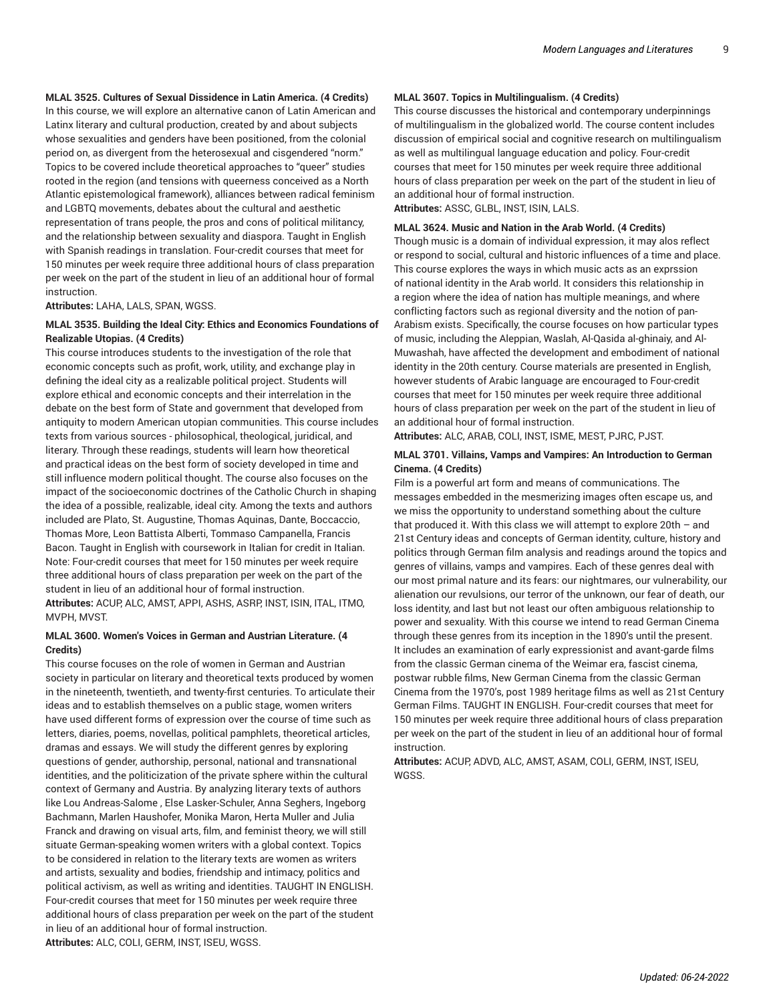#### **MLAL 3525. Cultures of Sexual Dissidence in Latin America. (4 Credits)**

In this course, we will explore an alternative canon of Latin American and Latinx literary and cultural production, created by and about subjects whose sexualities and genders have been positioned, from the colonial period on, as divergent from the heterosexual and cisgendered "norm." Topics to be covered include theoretical approaches to "queer" studies rooted in the region (and tensions with queerness conceived as a North Atlantic epistemological framework), alliances between radical feminism and LGBTQ movements, debates about the cultural and aesthetic representation of trans people, the pros and cons of political militancy, and the relationship between sexuality and diaspora. Taught in English with Spanish readings in translation. Four-credit courses that meet for 150 minutes per week require three additional hours of class preparation per week on the part of the student in lieu of an additional hour of formal instruction.

**Attributes:** LAHA, LALS, SPAN, WGSS.

#### **MLAL 3535. Building the Ideal City: Ethics and Economics Foundations of Realizable Utopias. (4 Credits)**

This course introduces students to the investigation of the role that economic concepts such as profit, work, utility, and exchange play in defining the ideal city as a realizable political project. Students will explore ethical and economic concepts and their interrelation in the debate on the best form of State and government that developed from antiquity to modern American utopian communities. This course includes texts from various sources - philosophical, theological, juridical, and literary. Through these readings, students will learn how theoretical and practical ideas on the best form of society developed in time and still influence modern political thought. The course also focuses on the impact of the socioeconomic doctrines of the Catholic Church in shaping the idea of a possible, realizable, ideal city. Among the texts and authors included are Plato, St. Augustine, Thomas Aquinas, Dante, Boccaccio, Thomas More, Leon Battista Alberti, Tommaso Campanella, Francis Bacon. Taught in English with coursework in Italian for credit in Italian. Note: Four-credit courses that meet for 150 minutes per week require three additional hours of class preparation per week on the part of the student in lieu of an additional hour of formal instruction. **Attributes:** ACUP, ALC, AMST, APPI, ASHS, ASRP, INST, ISIN, ITAL, ITMO, MVPH, MVST.

#### **MLAL 3600. Women's Voices in German and Austrian Literature. (4 Credits)**

This course focuses on the role of women in German and Austrian society in particular on literary and theoretical texts produced by women in the nineteenth, twentieth, and twenty-first centuries. To articulate their ideas and to establish themselves on a public stage, women writers have used different forms of expression over the course of time such as letters, diaries, poems, novellas, political pamphlets, theoretical articles, dramas and essays. We will study the different genres by exploring questions of gender, authorship, personal, national and transnational identities, and the politicization of the private sphere within the cultural context of Germany and Austria. By analyzing literary texts of authors like Lou Andreas-Salome , Else Lasker-Schuler, Anna Seghers, Ingeborg Bachmann, Marlen Haushofer, Monika Maron, Herta Muller and Julia Franck and drawing on visual arts, film, and feminist theory, we will still situate German-speaking women writers with a global context. Topics to be considered in relation to the literary texts are women as writers and artists, sexuality and bodies, friendship and intimacy, politics and political activism, as well as writing and identities. TAUGHT IN ENGLISH. Four-credit courses that meet for 150 minutes per week require three additional hours of class preparation per week on the part of the student in lieu of an additional hour of formal instruction. **Attributes:** ALC, COLI, GERM, INST, ISEU, WGSS.

#### **MLAL 3607. Topics in Multilingualism. (4 Credits)**

This course discusses the historical and contemporary underpinnings of multilingualism in the globalized world. The course content includes discussion of empirical social and cognitive research on multilingualism as well as multilingual language education and policy. Four-credit courses that meet for 150 minutes per week require three additional hours of class preparation per week on the part of the student in lieu of an additional hour of formal instruction.

**Attributes:** ASSC, GLBL, INST, ISIN, LALS.

#### **MLAL 3624. Music and Nation in the Arab World. (4 Credits)**

Though music is a domain of individual expression, it may alos reflect or respond to social, cultural and historic influences of a time and place. This course explores the ways in which music acts as an exprssion of national identity in the Arab world. It considers this relationship in a region where the idea of nation has multiple meanings, and where conflicting factors such as regional diversity and the notion of pan-Arabism exists. Specifically, the course focuses on how particular types of music, including the Aleppian, Waslah, Al-Qasida al-ghinaiy, and Al-Muwashah, have affected the development and embodiment of national identity in the 20th century. Course materials are presented in English, however students of Arabic language are encouraged to Four-credit courses that meet for 150 minutes per week require three additional hours of class preparation per week on the part of the student in lieu of an additional hour of formal instruction.

**Attributes:** ALC, ARAB, COLI, INST, ISME, MEST, PJRC, PJST.

#### **MLAL 3701. Villains, Vamps and Vampires: An Introduction to German Cinema. (4 Credits)**

Film is a powerful art form and means of communications. The messages embedded in the mesmerizing images often escape us, and we miss the opportunity to understand something about the culture that produced it. With this class we will attempt to explore 20th – and 21st Century ideas and concepts of German identity, culture, history and politics through German film analysis and readings around the topics and genres of villains, vamps and vampires. Each of these genres deal with our most primal nature and its fears: our nightmares, our vulnerability, our alienation our revulsions, our terror of the unknown, our fear of death, our loss identity, and last but not least our often ambiguous relationship to power and sexuality. With this course we intend to read German Cinema through these genres from its inception in the 1890's until the present. It includes an examination of early expressionist and avant-garde films from the classic German cinema of the Weimar era, fascist cinema, postwar rubble films, New German Cinema from the classic German Cinema from the 1970's, post 1989 heritage films as well as 21st Century German Films. TAUGHT IN ENGLISH. Four-credit courses that meet for 150 minutes per week require three additional hours of class preparation per week on the part of the student in lieu of an additional hour of formal instruction.

**Attributes:** ACUP, ADVD, ALC, AMST, ASAM, COLI, GERM, INST, ISEU, WGSS.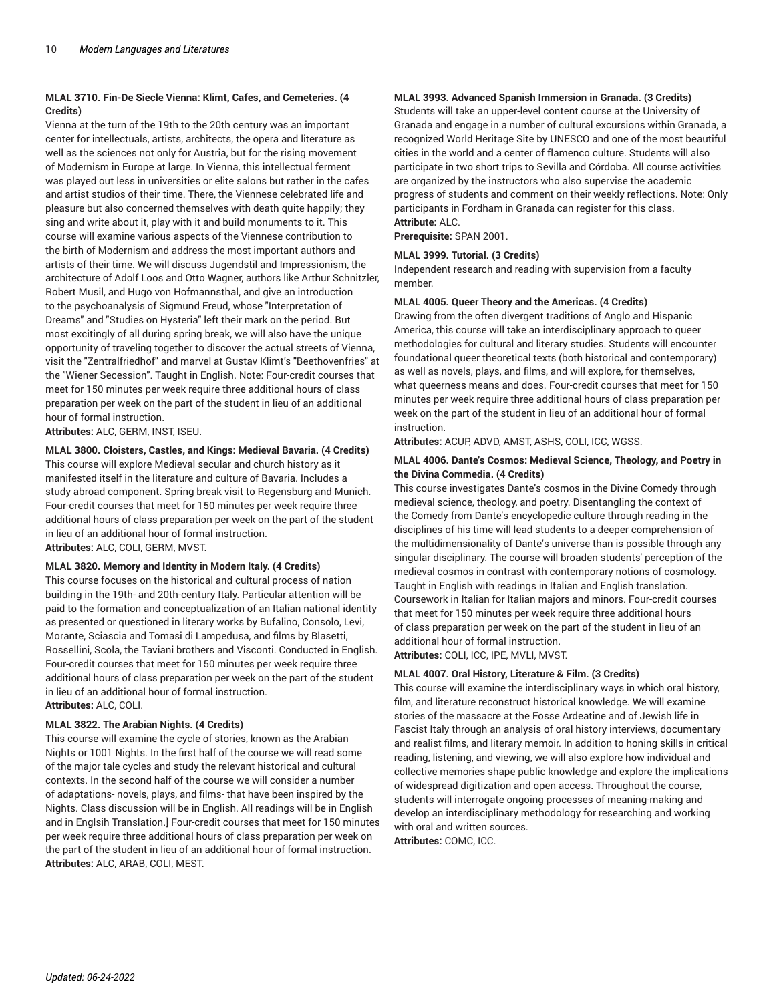#### **MLAL 3710. Fin-De Siecle Vienna: Klimt, Cafes, and Cemeteries. (4 Credits)**

Vienna at the turn of the 19th to the 20th century was an important center for intellectuals, artists, architects, the opera and literature as well as the sciences not only for Austria, but for the rising movement of Modernism in Europe at large. In Vienna, this intellectual ferment was played out less in universities or elite salons but rather in the cafes and artist studios of their time. There, the Viennese celebrated life and pleasure but also concerned themselves with death quite happily; they sing and write about it, play with it and build monuments to it. This course will examine various aspects of the Viennese contribution to the birth of Modernism and address the most important authors and artists of their time. We will discuss Jugendstil and Impressionism, the architecture of Adolf Loos and Otto Wagner, authors like Arthur Schnitzler, Robert Musil, and Hugo von Hofmannsthal, and give an introduction to the psychoanalysis of Sigmund Freud, whose "Interpretation of Dreams" and "Studies on Hysteria" left their mark on the period. But most excitingly of all during spring break, we will also have the unique opportunity of traveling together to discover the actual streets of Vienna, visit the "Zentralfriedhof" and marvel at Gustav Klimt's "Beethovenfries" at the "Wiener Secession". Taught in English. Note: Four-credit courses that meet for 150 minutes per week require three additional hours of class preparation per week on the part of the student in lieu of an additional hour of formal instruction.

**Attributes:** ALC, GERM, INST, ISEU.

#### **MLAL 3800. Cloisters, Castles, and Kings: Medieval Bavaria. (4 Credits)**

This course will explore Medieval secular and church history as it manifested itself in the literature and culture of Bavaria. Includes a study abroad component. Spring break visit to Regensburg and Munich. Four-credit courses that meet for 150 minutes per week require three additional hours of class preparation per week on the part of the student in lieu of an additional hour of formal instruction. **Attributes:** ALC, COLI, GERM, MVST.

# **MLAL 3820. Memory and Identity in Modern Italy. (4 Credits)**

This course focuses on the historical and cultural process of nation building in the 19th- and 20th-century Italy. Particular attention will be paid to the formation and conceptualization of an Italian national identity as presented or questioned in literary works by Bufalino, Consolo, Levi, Morante, Sciascia and Tomasi di Lampedusa, and films by Blasetti, Rossellini, Scola, the Taviani brothers and Visconti. Conducted in English. Four-credit courses that meet for 150 minutes per week require three additional hours of class preparation per week on the part of the student in lieu of an additional hour of formal instruction. **Attributes:** ALC, COLI.

#### **MLAL 3822. The Arabian Nights. (4 Credits)**

This course will examine the cycle of stories, known as the Arabian Nights or 1001 Nights. In the first half of the course we will read some of the major tale cycles and study the relevant historical and cultural contexts. In the second half of the course we will consider a number of adaptations- novels, plays, and films- that have been inspired by the Nights. Class discussion will be in English. All readings will be in English and in Englsih Translation.] Four-credit courses that meet for 150 minutes per week require three additional hours of class preparation per week on the part of the student in lieu of an additional hour of formal instruction. **Attributes:** ALC, ARAB, COLI, MEST.

#### **MLAL 3993. Advanced Spanish Immersion in Granada. (3 Credits)**

Students will take an upper-level content course at the University of Granada and engage in a number of cultural excursions within Granada, a recognized World Heritage Site by UNESCO and one of the most beautiful cities in the world and a center of flamenco culture. Students will also participate in two short trips to Sevilla and Córdoba. All course activities are organized by the instructors who also supervise the academic progress of students and comment on their weekly reflections. Note: Only participants in Fordham in Granada can register for this class. **Attribute:** ALC.

**Prerequisite:** SPAN 2001.

#### **MLAL 3999. Tutorial. (3 Credits)**

Independent research and reading with supervision from a faculty member.

#### **MLAL 4005. Queer Theory and the Americas. (4 Credits)**

Drawing from the often divergent traditions of Anglo and Hispanic America, this course will take an interdisciplinary approach to queer methodologies for cultural and literary studies. Students will encounter foundational queer theoretical texts (both historical and contemporary) as well as novels, plays, and films, and will explore, for themselves, what queerness means and does. Four-credit courses that meet for 150 minutes per week require three additional hours of class preparation per week on the part of the student in lieu of an additional hour of formal instruction.

**Attributes:** ACUP, ADVD, AMST, ASHS, COLI, ICC, WGSS.

#### **MLAL 4006. Dante's Cosmos: Medieval Science, Theology, and Poetry in the Divina Commedia. (4 Credits)**

This course investigates Dante's cosmos in the Divine Comedy through medieval science, theology, and poetry. Disentangling the context of the Comedy from Dante's encyclopedic culture through reading in the disciplines of his time will lead students to a deeper comprehension of the multidimensionality of Dante's universe than is possible through any singular disciplinary. The course will broaden students' perception of the medieval cosmos in contrast with contemporary notions of cosmology. Taught in English with readings in Italian and English translation. Coursework in Italian for Italian majors and minors. Four-credit courses that meet for 150 minutes per week require three additional hours of class preparation per week on the part of the student in lieu of an additional hour of formal instruction.

**Attributes:** COLI, ICC, IPE, MVLI, MVST.

#### **MLAL 4007. Oral History, Literature & Film. (3 Credits)**

This course will examine the interdisciplinary ways in which oral history, film, and literature reconstruct historical knowledge. We will examine stories of the massacre at the Fosse Ardeatine and of Jewish life in Fascist Italy through an analysis of oral history interviews, documentary and realist films, and literary memoir. In addition to honing skills in critical reading, listening, and viewing, we will also explore how individual and collective memories shape public knowledge and explore the implications of widespread digitization and open access. Throughout the course, students will interrogate ongoing processes of meaning-making and develop an interdisciplinary methodology for researching and working with oral and written sources.

**Attributes:** COMC, ICC.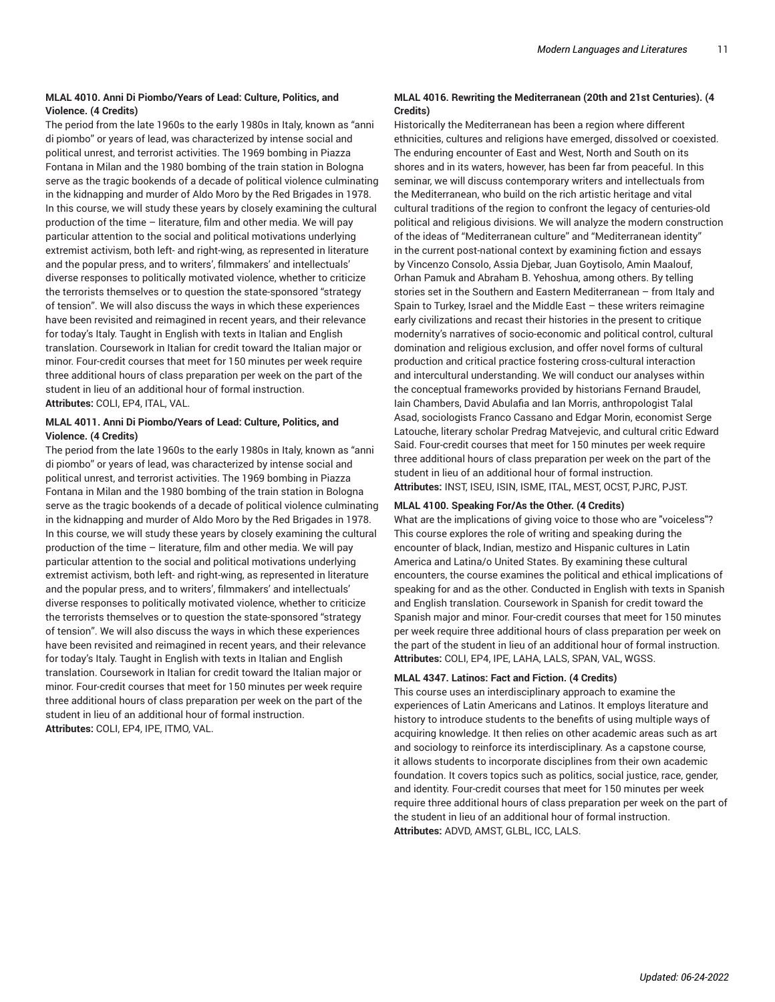#### **MLAL 4010. Anni Di Piombo/Years of Lead: Culture, Politics, and Violence. (4 Credits)**

The period from the late 1960s to the early 1980s in Italy, known as "anni di piombo" or years of lead, was characterized by intense social and political unrest, and terrorist activities. The 1969 bombing in Piazza Fontana in Milan and the 1980 bombing of the train station in Bologna serve as the tragic bookends of a decade of political violence culminating in the kidnapping and murder of Aldo Moro by the Red Brigades in 1978. In this course, we will study these years by closely examining the cultural production of the time – literature, film and other media. We will pay particular attention to the social and political motivations underlying extremist activism, both left- and right-wing, as represented in literature and the popular press, and to writers', filmmakers' and intellectuals' diverse responses to politically motivated violence, whether to criticize the terrorists themselves or to question the state-sponsored "strategy of tension". We will also discuss the ways in which these experiences have been revisited and reimagined in recent years, and their relevance for today's Italy. Taught in English with texts in Italian and English translation. Coursework in Italian for credit toward the Italian major or minor. Four-credit courses that meet for 150 minutes per week require three additional hours of class preparation per week on the part of the student in lieu of an additional hour of formal instruction. **Attributes:** COLI, EP4, ITAL, VAL.

#### **MLAL 4011. Anni Di Piombo/Years of Lead: Culture, Politics, and Violence. (4 Credits)**

The period from the late 1960s to the early 1980s in Italy, known as "anni di piombo" or years of lead, was characterized by intense social and political unrest, and terrorist activities. The 1969 bombing in Piazza Fontana in Milan and the 1980 bombing of the train station in Bologna serve as the tragic bookends of a decade of political violence culminating in the kidnapping and murder of Aldo Moro by the Red Brigades in 1978. In this course, we will study these years by closely examining the cultural production of the time – literature, film and other media. We will pay particular attention to the social and political motivations underlying extremist activism, both left- and right-wing, as represented in literature and the popular press, and to writers', filmmakers' and intellectuals' diverse responses to politically motivated violence, whether to criticize the terrorists themselves or to question the state-sponsored "strategy of tension". We will also discuss the ways in which these experiences have been revisited and reimagined in recent years, and their relevance for today's Italy. Taught in English with texts in Italian and English translation. Coursework in Italian for credit toward the Italian major or minor. Four-credit courses that meet for 150 minutes per week require three additional hours of class preparation per week on the part of the student in lieu of an additional hour of formal instruction. **Attributes:** COLI, EP4, IPE, ITMO, VAL.

### **MLAL 4016. Rewriting the Mediterranean (20th and 21st Centuries). (4 Credits)**

Historically the Mediterranean has been a region where different ethnicities, cultures and religions have emerged, dissolved or coexisted. The enduring encounter of East and West, North and South on its shores and in its waters, however, has been far from peaceful. In this seminar, we will discuss contemporary writers and intellectuals from the Mediterranean, who build on the rich artistic heritage and vital cultural traditions of the region to confront the legacy of centuries-old political and religious divisions. We will analyze the modern construction of the ideas of "Mediterranean culture" and "Mediterranean identity" in the current post-national context by examining fiction and essays by Vincenzo Consolo, Assia Djebar, Juan Goytisolo, Amin Maalouf, Orhan Pamuk and Abraham B. Yehoshua, among others. By telling stories set in the Southern and Eastern Mediterranean – from Italy and Spain to Turkey, Israel and the Middle East – these writers reimagine early civilizations and recast their histories in the present to critique modernity's narratives of socio-economic and political control, cultural domination and religious exclusion, and offer novel forms of cultural production and critical practice fostering cross-cultural interaction and intercultural understanding. We will conduct our analyses within the conceptual frameworks provided by historians Fernand Braudel, Iain Chambers, David Abulafia and Ian Morris, anthropologist Talal Asad, sociologists Franco Cassano and Edgar Morin, economist Serge Latouche, literary scholar Predrag Matvejevic, and cultural critic Edward Said. Four-credit courses that meet for 150 minutes per week require three additional hours of class preparation per week on the part of the student in lieu of an additional hour of formal instruction. **Attributes:** INST, ISEU, ISIN, ISME, ITAL, MEST, OCST, PJRC, PJST.

#### **MLAL 4100. Speaking For/As the Other. (4 Credits)**

What are the implications of giving voice to those who are "voiceless"? This course explores the role of writing and speaking during the encounter of black, Indian, mestizo and Hispanic cultures in Latin America and Latina/o United States. By examining these cultural encounters, the course examines the political and ethical implications of speaking for and as the other. Conducted in English with texts in Spanish and English translation. Coursework in Spanish for credit toward the Spanish major and minor. Four-credit courses that meet for 150 minutes per week require three additional hours of class preparation per week on the part of the student in lieu of an additional hour of formal instruction. **Attributes:** COLI, EP4, IPE, LAHA, LALS, SPAN, VAL, WGSS.

#### **MLAL 4347. Latinos: Fact and Fiction. (4 Credits)**

This course uses an interdisciplinary approach to examine the experiences of Latin Americans and Latinos. It employs literature and history to introduce students to the benefits of using multiple ways of acquiring knowledge. It then relies on other academic areas such as art and sociology to reinforce its interdisciplinary. As a capstone course, it allows students to incorporate disciplines from their own academic foundation. It covers topics such as politics, social justice, race, gender, and identity. Four-credit courses that meet for 150 minutes per week require three additional hours of class preparation per week on the part of the student in lieu of an additional hour of formal instruction. **Attributes:** ADVD, AMST, GLBL, ICC, LALS.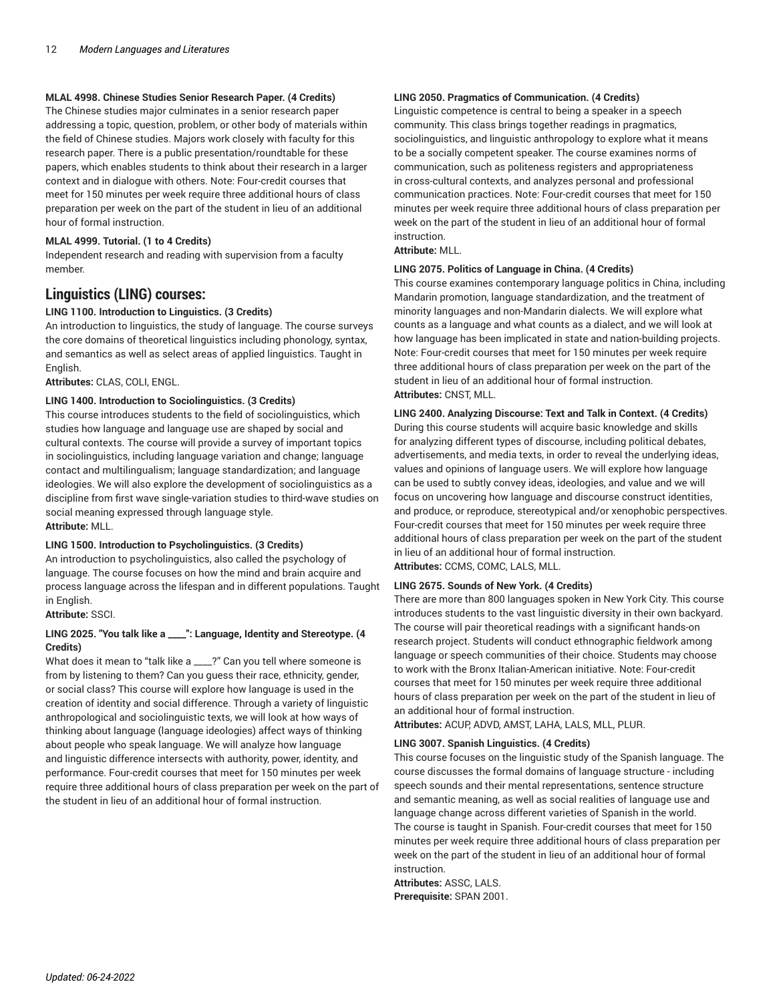#### **MLAL 4998. Chinese Studies Senior Research Paper. (4 Credits)**

The Chinese studies major culminates in a senior research paper addressing a topic, question, problem, or other body of materials within the field of Chinese studies. Majors work closely with faculty for this research paper. There is a public presentation/roundtable for these papers, which enables students to think about their research in a larger context and in dialogue with others. Note: Four-credit courses that meet for 150 minutes per week require three additional hours of class preparation per week on the part of the student in lieu of an additional hour of formal instruction.

#### **MLAL 4999. Tutorial. (1 to 4 Credits)**

Independent research and reading with supervision from a faculty member.

# **Linguistics (LING) courses:**

# **LING 1100. Introduction to Linguistics. (3 Credits)**

An introduction to linguistics, the study of language. The course surveys the core domains of theoretical linguistics including phonology, syntax, and semantics as well as select areas of applied linguistics. Taught in English.

**Attributes:** CLAS, COLI, ENGL.

#### **LING 1400. Introduction to Sociolinguistics. (3 Credits)**

This course introduces students to the field of sociolinguistics, which studies how language and language use are shaped by social and cultural contexts. The course will provide a survey of important topics in sociolinguistics, including language variation and change; language contact and multilingualism; language standardization; and language ideologies. We will also explore the development of sociolinguistics as a discipline from first wave single-variation studies to third-wave studies on social meaning expressed through language style. **Attribute:** MLL.

#### **LING 1500. Introduction to Psycholinguistics. (3 Credits)**

An introduction to psycholinguistics, also called the psychology of language. The course focuses on how the mind and brain acquire and process language across the lifespan and in different populations. Taught in English.

## **Attribute:** SSCI.

#### **LING 2025. "You talk like a \_\_\_\_": Language, Identity and Stereotype. (4 Credits)**

What does it mean to "talk like a \_\_\_\_?" Can you tell where someone is from by listening to them? Can you guess their race, ethnicity, gender, or social class? This course will explore how language is used in the creation of identity and social difference. Through a variety of linguistic anthropological and sociolinguistic texts, we will look at how ways of thinking about language (language ideologies) affect ways of thinking about people who speak language. We will analyze how language and linguistic difference intersects with authority, power, identity, and performance. Four-credit courses that meet for 150 minutes per week require three additional hours of class preparation per week on the part of the student in lieu of an additional hour of formal instruction.

#### **LING 2050. Pragmatics of Communication. (4 Credits)**

Linguistic competence is central to being a speaker in a speech community. This class brings together readings in pragmatics, sociolinguistics, and linguistic anthropology to explore what it means to be a socially competent speaker. The course examines norms of communication, such as politeness registers and appropriateness in cross-cultural contexts, and analyzes personal and professional communication practices. Note: Four-credit courses that meet for 150 minutes per week require three additional hours of class preparation per week on the part of the student in lieu of an additional hour of formal instruction.

#### **Attribute:** MLL.

#### **LING 2075. Politics of Language in China. (4 Credits)**

This course examines contemporary language politics in China, including Mandarin promotion, language standardization, and the treatment of minority languages and non-Mandarin dialects. We will explore what counts as a language and what counts as a dialect, and we will look at how language has been implicated in state and nation-building projects. Note: Four-credit courses that meet for 150 minutes per week require three additional hours of class preparation per week on the part of the student in lieu of an additional hour of formal instruction. **Attributes:** CNST, MLL.

# **LING 2400. Analyzing Discourse: Text and Talk in Context. (4 Credits)**

During this course students will acquire basic knowledge and skills for analyzing different types of discourse, including political debates, advertisements, and media texts, in order to reveal the underlying ideas, values and opinions of language users. We will explore how language can be used to subtly convey ideas, ideologies, and value and we will focus on uncovering how language and discourse construct identities, and produce, or reproduce, stereotypical and/or xenophobic perspectives. Four-credit courses that meet for 150 minutes per week require three additional hours of class preparation per week on the part of the student in lieu of an additional hour of formal instruction.

**Attributes:** CCMS, COMC, LALS, MLL.

#### **LING 2675. Sounds of New York. (4 Credits)**

There are more than 800 languages spoken in New York City. This course introduces students to the vast linguistic diversity in their own backyard. The course will pair theoretical readings with a significant hands-on research project. Students will conduct ethnographic fieldwork among language or speech communities of their choice. Students may choose to work with the Bronx Italian-American initiative. Note: Four-credit courses that meet for 150 minutes per week require three additional hours of class preparation per week on the part of the student in lieu of an additional hour of formal instruction.

**Attributes:** ACUP, ADVD, AMST, LAHA, LALS, MLL, PLUR.

#### **LING 3007. Spanish Linguistics. (4 Credits)**

This course focuses on the linguistic study of the Spanish language. The course discusses the formal domains of language structure - including speech sounds and their mental representations, sentence structure and semantic meaning, as well as social realities of language use and language change across different varieties of Spanish in the world. The course is taught in Spanish. Four-credit courses that meet for 150 minutes per week require three additional hours of class preparation per week on the part of the student in lieu of an additional hour of formal instruction.

**Attributes:** ASSC, LALS. **Prerequisite:** SPAN 2001.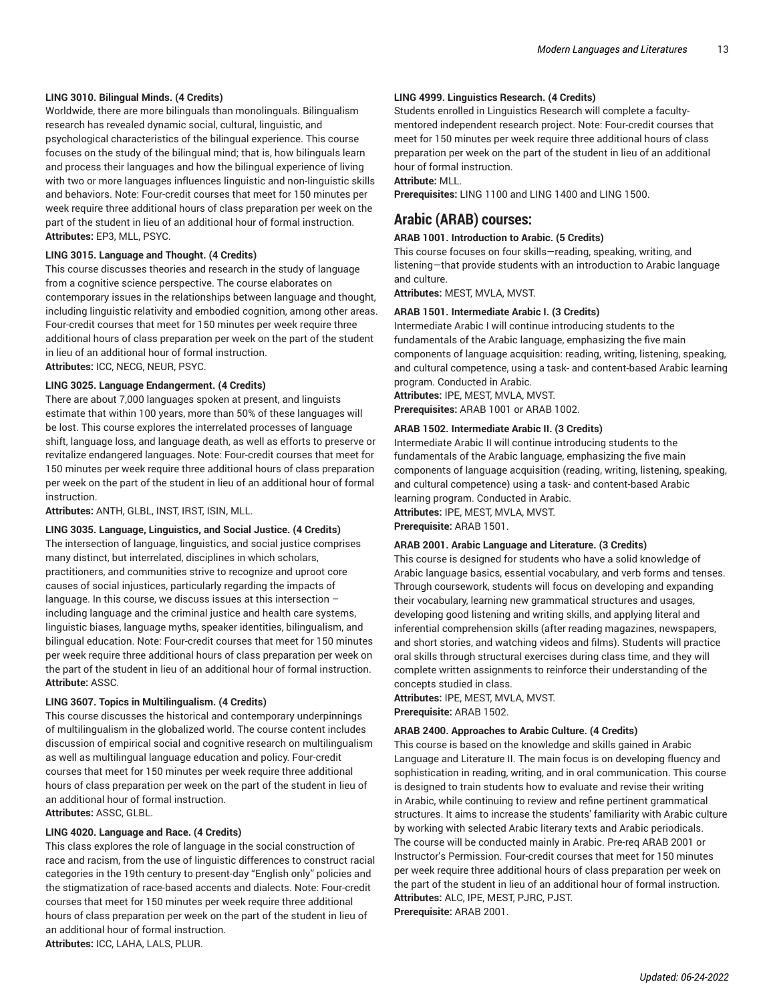#### **LING 3010. Bilingual Minds. (4 Credits)**

Worldwide, there are more bilinguals than monolinguals. Bilingualism research has revealed dynamic social, cultural, linguistic, and psychological characteristics of the bilingual experience. This course focuses on the study of the bilingual mind; that is, how bilinguals learn and process their languages and how the bilingual experience of living with two or more languages influences linguistic and non-linguistic skills and behaviors. Note: Four-credit courses that meet for 150 minutes per week require three additional hours of class preparation per week on the part of the student in lieu of an additional hour of formal instruction. **Attributes:** EP3, MLL, PSYC.

#### **LING 3015. Language and Thought. (4 Credits)**

This course discusses theories and research in the study of language from a cognitive science perspective. The course elaborates on contemporary issues in the relationships between language and thought, including linguistic relativity and embodied cognition, among other areas. Four-credit courses that meet for 150 minutes per week require three additional hours of class preparation per week on the part of the student in lieu of an additional hour of formal instruction. **Attributes:** ICC, NECG, NEUR, PSYC.

#### **LING 3025. Language Endangerment. (4 Credits)**

There are about 7,000 languages spoken at present, and linguists estimate that within 100 years, more than 50% of these languages will be lost. This course explores the interrelated processes of language shift, language loss, and language death, as well as efforts to preserve or revitalize endangered languages. Note: Four-credit courses that meet for 150 minutes per week require three additional hours of class preparation per week on the part of the student in lieu of an additional hour of formal instruction.

**Attributes:** ANTH, GLBL, INST, IRST, ISIN, MLL.

#### **LING 3035. Language, Linguistics, and Social Justice. (4 Credits)**

The intersection of language, linguistics, and social justice comprises many distinct, but interrelated, disciplines in which scholars, practitioners, and communities strive to recognize and uproot core causes of social injustices, particularly regarding the impacts of language. In this course, we discuss issues at this intersection – including language and the criminal justice and health care systems, linguistic biases, language myths, speaker identities, bilingualism, and bilingual education. Note: Four-credit courses that meet for 150 minutes per week require three additional hours of class preparation per week on the part of the student in lieu of an additional hour of formal instruction. **Attribute:** ASSC.

#### **LING 3607. Topics in Multilingualism. (4 Credits)**

This course discusses the historical and contemporary underpinnings of multilingualism in the globalized world. The course content includes discussion of empirical social and cognitive research on multilingualism as well as multilingual language education and policy. Four-credit courses that meet for 150 minutes per week require three additional hours of class preparation per week on the part of the student in lieu of an additional hour of formal instruction. **Attributes:** ASSC, GLBL.

#### **LING 4020. Language and Race. (4 Credits)**

This class explores the role of language in the social construction of race and racism, from the use of linguistic differences to construct racial categories in the 19th century to present-day "English only" policies and the stigmatization of race-based accents and dialects. Note: Four-credit courses that meet for 150 minutes per week require three additional hours of class preparation per week on the part of the student in lieu of an additional hour of formal instruction. **Attributes:** ICC, LAHA, LALS, PLUR.

#### **LING 4999. Linguistics Research. (4 Credits)**

Students enrolled in Linguistics Research will complete a facultymentored independent research project. Note: Four-credit courses that meet for 150 minutes per week require three additional hours of class preparation per week on the part of the student in lieu of an additional hour of formal instruction.

# **Attribute:** MLL.

**Prerequisites:** LING 1100 and LING 1400 and LING 1500.

# **Arabic (ARAB) courses:**

#### **ARAB 1001. Introduction to Arabic. (5 Credits)**

This course focuses on four skills—reading, speaking, writing, and listening—that provide students with an introduction to Arabic language and culture.

**Attributes:** MEST, MVLA, MVST.

#### **ARAB 1501. Intermediate Arabic I. (3 Credits)**

Intermediate Arabic I will continue introducing students to the fundamentals of the Arabic language, emphasizing the five main components of language acquisition: reading, writing, listening, speaking, and cultural competence, using a task- and content-based Arabic learning program. Conducted in Arabic.

**Attributes:** IPE, MEST, MVLA, MVST.

**Prerequisites:** ARAB 1001 or ARAB 1002.

#### **ARAB 1502. Intermediate Arabic II. (3 Credits)**

Intermediate Arabic II will continue introducing students to the fundamentals of the Arabic language, emphasizing the five main components of language acquisition (reading, writing, listening, speaking, and cultural competence) using a task- and content-based Arabic learning program. Conducted in Arabic. **Attributes:** IPE, MEST, MVLA, MVST. **Prerequisite:** ARAB 1501.

#### **ARAB 2001. Arabic Language and Literature. (3 Credits)**

This course is designed for students who have a solid knowledge of Arabic language basics, essential vocabulary, and verb forms and tenses. Through coursework, students will focus on developing and expanding their vocabulary, learning new grammatical structures and usages, developing good listening and writing skills, and applying literal and inferential comprehension skills (after reading magazines, newspapers, and short stories, and watching videos and films). Students will practice oral skills through structural exercises during class time, and they will complete written assignments to reinforce their understanding of the concepts studied in class.

**Attributes:** IPE, MEST, MVLA, MVST. **Prerequisite:** ARAB 1502.

#### **ARAB 2400. Approaches to Arabic Culture. (4 Credits)**

This course is based on the knowledge and skills gained in Arabic Language and Literature II. The main focus is on developing fluency and sophistication in reading, writing, and in oral communication. This course is designed to train students how to evaluate and revise their writing in Arabic, while continuing to review and refine pertinent grammatical structures. It aims to increase the students' familiarity with Arabic culture by working with selected Arabic literary texts and Arabic periodicals. The course will be conducted mainly in Arabic. Pre-req ARAB 2001 or Instructor's Permission. Four-credit courses that meet for 150 minutes per week require three additional hours of class preparation per week on the part of the student in lieu of an additional hour of formal instruction. **Attributes:** ALC, IPE, MEST, PJRC, PJST. **Prerequisite:** ARAB 2001.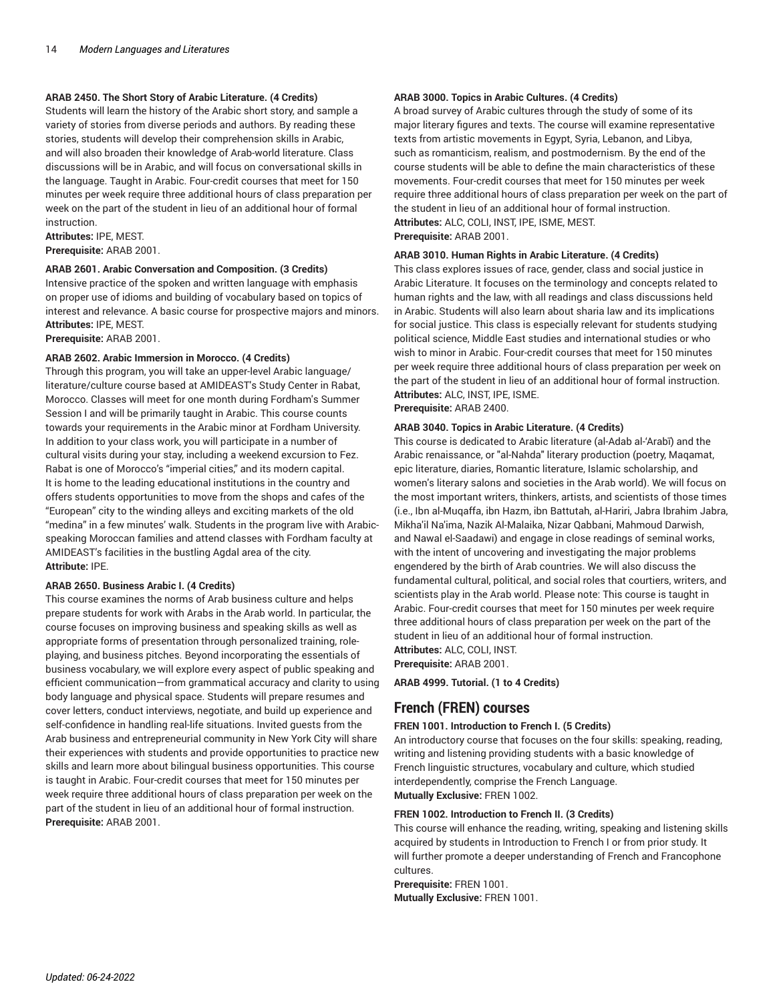#### **ARAB 2450. The Short Story of Arabic Literature. (4 Credits)**

Students will learn the history of the Arabic short story, and sample a variety of stories from diverse periods and authors. By reading these stories, students will develop their comprehension skills in Arabic, and will also broaden their knowledge of Arab-world literature. Class discussions will be in Arabic, and will focus on conversational skills in the language. Taught in Arabic. Four-credit courses that meet for 150 minutes per week require three additional hours of class preparation per week on the part of the student in lieu of an additional hour of formal instruction.

**Attributes:** IPE, MEST.

**Prerequisite:** ARAB 2001.

#### **ARAB 2601. Arabic Conversation and Composition. (3 Credits)**

Intensive practice of the spoken and written language with emphasis on proper use of idioms and building of vocabulary based on topics of interest and relevance. A basic course for prospective majors and minors. **Attributes:** IPE, MEST.

**Prerequisite:** ARAB 2001.

#### **ARAB 2602. Arabic Immersion in Morocco. (4 Credits)**

Through this program, you will take an upper-level Arabic language/ literature/culture course based at AMIDEAST's Study Center in Rabat, Morocco. Classes will meet for one month during Fordham's Summer Session I and will be primarily taught in Arabic. This course counts towards your requirements in the Arabic minor at Fordham University. In addition to your class work, you will participate in a number of cultural visits during your stay, including a weekend excursion to Fez. Rabat is one of Morocco's "imperial cities," and its modern capital. It is home to the leading educational institutions in the country and offers students opportunities to move from the shops and cafes of the "European" city to the winding alleys and exciting markets of the old "medina" in a few minutes' walk. Students in the program live with Arabicspeaking Moroccan families and attend classes with Fordham faculty at AMIDEAST's facilities in the bustling Agdal area of the city. **Attribute:** IPE.

#### **ARAB 2650. Business Arabic I. (4 Credits)**

This course examines the norms of Arab business culture and helps prepare students for work with Arabs in the Arab world. In particular, the course focuses on improving business and speaking skills as well as appropriate forms of presentation through personalized training, roleplaying, and business pitches. Beyond incorporating the essentials of business vocabulary, we will explore every aspect of public speaking and efficient communication—from grammatical accuracy and clarity to using body language and physical space. Students will prepare resumes and cover letters, conduct interviews, negotiate, and build up experience and self-confidence in handling real-life situations. Invited guests from the Arab business and entrepreneurial community in New York City will share their experiences with students and provide opportunities to practice new skills and learn more about bilingual business opportunities. This course is taught in Arabic. Four-credit courses that meet for 150 minutes per week require three additional hours of class preparation per week on the part of the student in lieu of an additional hour of formal instruction. **Prerequisite:** ARAB 2001.

#### **ARAB 3000. Topics in Arabic Cultures. (4 Credits)**

A broad survey of Arabic cultures through the study of some of its major literary figures and texts. The course will examine representative texts from artistic movements in Egypt, Syria, Lebanon, and Libya, such as romanticism, realism, and postmodernism. By the end of the course students will be able to define the main characteristics of these movements. Four-credit courses that meet for 150 minutes per week require three additional hours of class preparation per week on the part of the student in lieu of an additional hour of formal instruction. **Attributes:** ALC, COLI, INST, IPE, ISME, MEST. **Prerequisite:** ARAB 2001.

# **ARAB 3010. Human Rights in Arabic Literature. (4 Credits)**

This class explores issues of race, gender, class and social justice in Arabic Literature. It focuses on the terminology and concepts related to human rights and the law, with all readings and class discussions held in Arabic. Students will also learn about sharia law and its implications for social justice. This class is especially relevant for students studying political science, Middle East studies and international studies or who wish to minor in Arabic. Four-credit courses that meet for 150 minutes per week require three additional hours of class preparation per week on the part of the student in lieu of an additional hour of formal instruction. **Attributes:** ALC, INST, IPE, ISME.

**Prerequisite:** ARAB 2400.

#### **ARAB 3040. Topics in Arabic Literature. (4 Credits)**

This course is dedicated to Arabic literature (al-Adab al-'Arabī) and the Arabic renaissance, or "al-Nahda" literary production (poetry, Maqamat, epic literature, diaries, Romantic literature, Islamic scholarship, and women's literary salons and societies in the Arab world). We will focus on the most important writers, thinkers, artists, and scientists of those times (i.e., Ibn al-Muqaffa, ibn Hazm, ibn Battutah, al-Hariri, Jabra Ibrahim Jabra, Mikha'il Na'ima, Nazik Al-Malaika, Nizar Qabbani, Mahmoud Darwish, and Nawal el-Saadawi) and engage in close readings of seminal works, with the intent of uncovering and investigating the major problems engendered by the birth of Arab countries. We will also discuss the fundamental cultural, political, and social roles that courtiers, writers, and scientists play in the Arab world. Please note: This course is taught in Arabic. Four-credit courses that meet for 150 minutes per week require three additional hours of class preparation per week on the part of the student in lieu of an additional hour of formal instruction. **Attributes:** ALC, COLI, INST.

**Prerequisite:** ARAB 2001.

**ARAB 4999. Tutorial. (1 to 4 Credits)**

# **French (FREN) courses**

#### **FREN 1001. Introduction to French I. (5 Credits)**

An introductory course that focuses on the four skills: speaking, reading, writing and listening providing students with a basic knowledge of French linguistic structures, vocabulary and culture, which studied interdependently, comprise the French Language. **Mutually Exclusive:** FREN 1002.

#### **FREN 1002. Introduction to French II. (3 Credits)**

This course will enhance the reading, writing, speaking and listening skills acquired by students in Introduction to French I or from prior study. It will further promote a deeper understanding of French and Francophone cultures.

**Prerequisite:** FREN 1001. **Mutually Exclusive:** FREN 1001.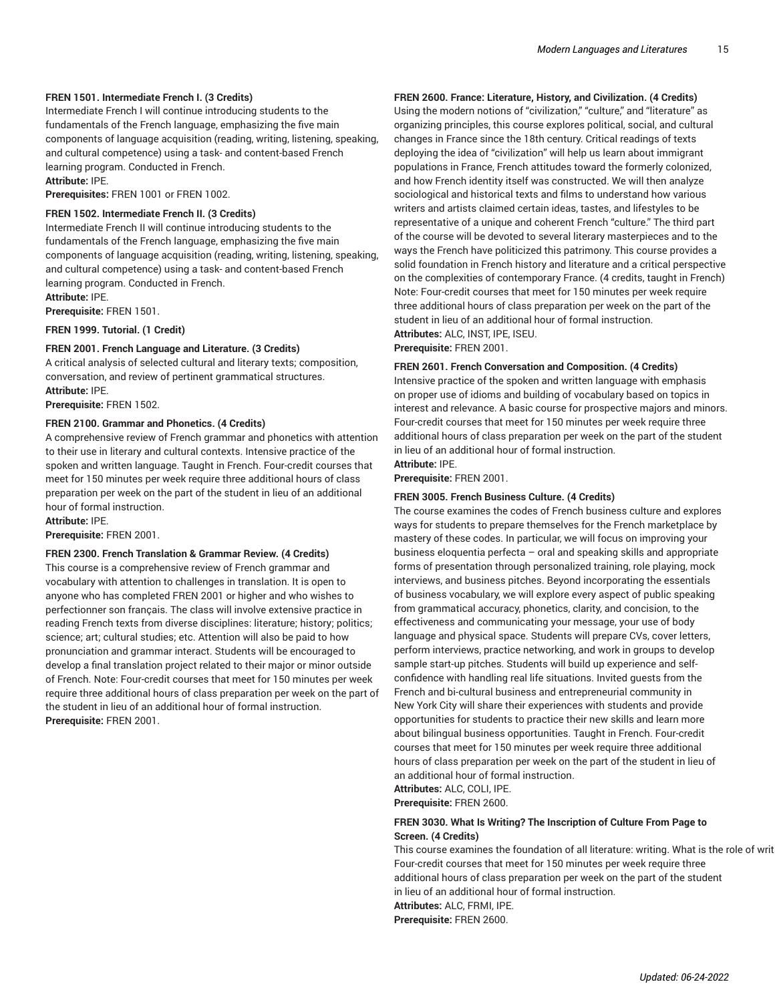#### **FREN 1501. Intermediate French I. (3 Credits)**

Intermediate French I will continue introducing students to the fundamentals of the French language, emphasizing the five main components of language acquisition (reading, writing, listening, speaking, and cultural competence) using a task- and content-based French learning program. Conducted in French. **Attribute:** IPE.

**Prerequisites:** FREN 1001 or FREN 1002.

#### **FREN 1502. Intermediate French II. (3 Credits)**

Intermediate French II will continue introducing students to the fundamentals of the French language, emphasizing the five main components of language acquisition (reading, writing, listening, speaking, and cultural competence) using a task- and content-based French learning program. Conducted in French.

**Attribute:** IPE. **Prerequisite:** FREN 1501.

**FREN 1999. Tutorial. (1 Credit)**

#### **FREN 2001. French Language and Literature. (3 Credits)**

A critical analysis of selected cultural and literary texts; composition, conversation, and review of pertinent grammatical structures. **Attribute:** IPE.

**Prerequisite:** FREN 1502.

#### **FREN 2100. Grammar and Phonetics. (4 Credits)**

A comprehensive review of French grammar and phonetics with attention to their use in literary and cultural contexts. Intensive practice of the spoken and written language. Taught in French. Four-credit courses that meet for 150 minutes per week require three additional hours of class preparation per week on the part of the student in lieu of an additional hour of formal instruction.

**Attribute:** IPE.

**Prerequisite:** FREN 2001.

#### **FREN 2300. French Translation & Grammar Review. (4 Credits)**

This course is a comprehensive review of French grammar and vocabulary with attention to challenges in translation. It is open to anyone who has completed FREN 2001 or higher and who wishes to perfectionner son français. The class will involve extensive practice in reading French texts from diverse disciplines: literature; history; politics; science; art; cultural studies; etc. Attention will also be paid to how pronunciation and grammar interact. Students will be encouraged to develop a final translation project related to their major or minor outside of French. Note: Four-credit courses that meet for 150 minutes per week require three additional hours of class preparation per week on the part of the student in lieu of an additional hour of formal instruction. **Prerequisite:** FREN 2001.

### **FREN 2600. France: Literature, History, and Civilization. (4 Credits)**

Using the modern notions of "civilization," "culture," and "literature" as organizing principles, this course explores political, social, and cultural changes in France since the 18th century. Critical readings of texts deploying the idea of "civilization" will help us learn about immigrant populations in France, French attitudes toward the formerly colonized, and how French identity itself was constructed. We will then analyze sociological and historical texts and films to understand how various writers and artists claimed certain ideas, tastes, and lifestyles to be representative of a unique and coherent French "culture." The third part of the course will be devoted to several literary masterpieces and to the ways the French have politicized this patrimony. This course provides a solid foundation in French history and literature and a critical perspective on the complexities of contemporary France. (4 credits, taught in French) Note: Four-credit courses that meet for 150 minutes per week require three additional hours of class preparation per week on the part of the student in lieu of an additional hour of formal instruction. **Attributes:** ALC, INST, IPE, ISEU. **Prerequisite:** FREN 2001.

#### **FREN 2601. French Conversation and Composition. (4 Credits)**

Intensive practice of the spoken and written language with emphasis on proper use of idioms and building of vocabulary based on topics in interest and relevance. A basic course for prospective majors and minors. Four-credit courses that meet for 150 minutes per week require three additional hours of class preparation per week on the part of the student in lieu of an additional hour of formal instruction. **Attribute:** IPE.

**Prerequisite:** FREN 2001.

#### **FREN 3005. French Business Culture. (4 Credits)**

The course examines the codes of French business culture and explores ways for students to prepare themselves for the French marketplace by mastery of these codes. In particular, we will focus on improving your business eloquentia perfecta – oral and speaking skills and appropriate forms of presentation through personalized training, role playing, mock interviews, and business pitches. Beyond incorporating the essentials of business vocabulary, we will explore every aspect of public speaking from grammatical accuracy, phonetics, clarity, and concision, to the effectiveness and communicating your message, your use of body language and physical space. Students will prepare CVs, cover letters, perform interviews, practice networking, and work in groups to develop sample start-up pitches. Students will build up experience and selfconfidence with handling real life situations. Invited guests from the French and bi-cultural business and entrepreneurial community in New York City will share their experiences with students and provide opportunities for students to practice their new skills and learn more about bilingual business opportunities. Taught in French. Four-credit courses that meet for 150 minutes per week require three additional hours of class preparation per week on the part of the student in lieu of an additional hour of formal instruction. **Attributes:** ALC, COLI, IPE.

**Prerequisite:** FREN 2600.

### **FREN 3030. What Is Writing? The Inscription of Culture From Page to Screen. (4 Credits)**

This course examines the foundation of all literature: writing. What is the role of writ Four-credit courses that meet for 150 minutes per week require three additional hours of class preparation per week on the part of the student in lieu of an additional hour of formal instruction. **Attributes:** ALC, FRMI, IPE. **Prerequisite:** FREN 2600.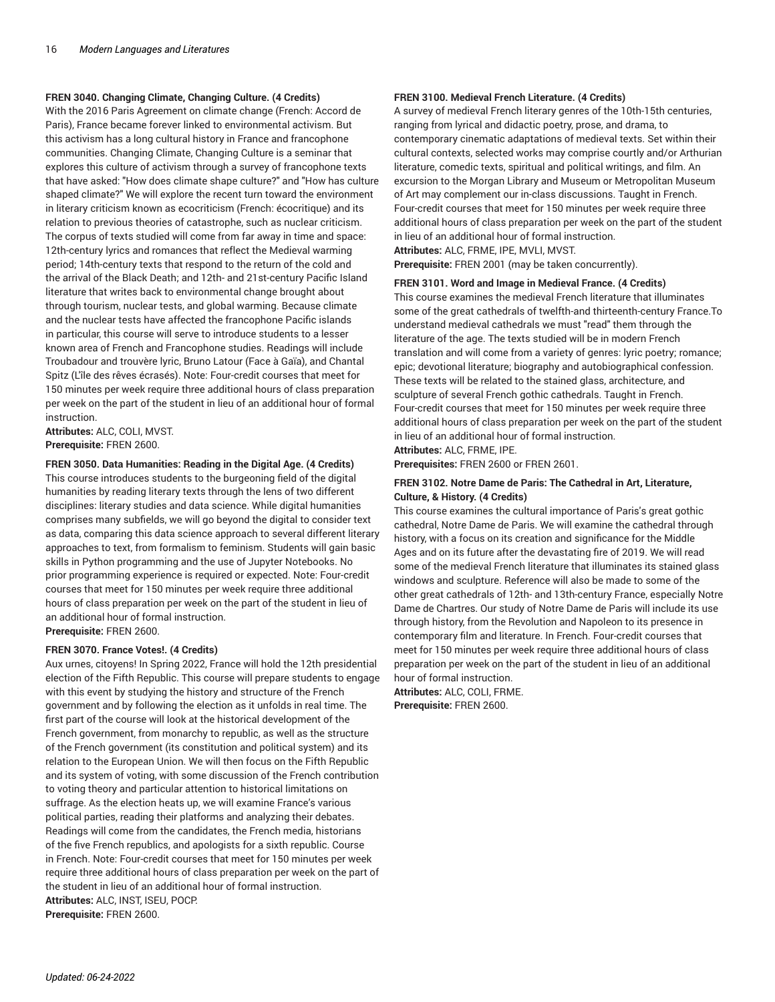#### **FREN 3040. Changing Climate, Changing Culture. (4 Credits)**

With the 2016 Paris Agreement on climate change (French: Accord de Paris), France became forever linked to environmental activism. But this activism has a long cultural history in France and francophone communities. Changing Climate, Changing Culture is a seminar that explores this culture of activism through a survey of francophone texts that have asked: "How does climate shape culture?" and "How has culture shaped climate?" We will explore the recent turn toward the environment in literary criticism known as ecocriticism (French: écocritique) and its relation to previous theories of catastrophe, such as nuclear criticism. The corpus of texts studied will come from far away in time and space: 12th-century lyrics and romances that reflect the Medieval warming period; 14th-century texts that respond to the return of the cold and the arrival of the Black Death; and 12th- and 21st-century Pacific Island literature that writes back to environmental change brought about through tourism, nuclear tests, and global warming. Because climate and the nuclear tests have affected the francophone Pacific islands in particular, this course will serve to introduce students to a lesser known area of French and Francophone studies. Readings will include Troubadour and trouvère lyric, Bruno Latour (Face à Gaïa), and Chantal Spitz (L'île des rêves écrasés). Note: Four-credit courses that meet for 150 minutes per week require three additional hours of class preparation per week on the part of the student in lieu of an additional hour of formal instruction.

**Attributes:** ALC, COLI, MVST. **Prerequisite:** FREN 2600.

#### **FREN 3050. Data Humanities: Reading in the Digital Age. (4 Credits)**

This course introduces students to the burgeoning field of the digital humanities by reading literary texts through the lens of two different disciplines: literary studies and data science. While digital humanities comprises many subfields, we will go beyond the digital to consider text as data, comparing this data science approach to several different literary approaches to text, from formalism to feminism. Students will gain basic skills in Python programming and the use of Jupyter Notebooks. No prior programming experience is required or expected. Note: Four-credit courses that meet for 150 minutes per week require three additional hours of class preparation per week on the part of the student in lieu of an additional hour of formal instruction. **Prerequisite:** FREN 2600.

#### **FREN 3070. France Votes!. (4 Credits)**

Aux urnes, citoyens! In Spring 2022, France will hold the 12th presidential election of the Fifth Republic. This course will prepare students to engage with this event by studying the history and structure of the French government and by following the election as it unfolds in real time. The first part of the course will look at the historical development of the French government, from monarchy to republic, as well as the structure of the French government (its constitution and political system) and its relation to the European Union. We will then focus on the Fifth Republic and its system of voting, with some discussion of the French contribution to voting theory and particular attention to historical limitations on suffrage. As the election heats up, we will examine France's various political parties, reading their platforms and analyzing their debates. Readings will come from the candidates, the French media, historians of the five French republics, and apologists for a sixth republic. Course in French. Note: Four-credit courses that meet for 150 minutes per week require three additional hours of class preparation per week on the part of the student in lieu of an additional hour of formal instruction. **Attributes:** ALC, INST, ISEU, POCP. **Prerequisite:** FREN 2600.

#### **FREN 3100. Medieval French Literature. (4 Credits)**

A survey of medieval French literary genres of the 10th-15th centuries, ranging from lyrical and didactic poetry, prose, and drama, to contemporary cinematic adaptations of medieval texts. Set within their cultural contexts, selected works may comprise courtly and/or Arthurian literature, comedic texts, spiritual and political writings, and film. An excursion to the Morgan Library and Museum or Metropolitan Museum of Art may complement our in-class discussions. Taught in French. Four-credit courses that meet for 150 minutes per week require three additional hours of class preparation per week on the part of the student in lieu of an additional hour of formal instruction. **Attributes:** ALC, FRME, IPE, MVLI, MVST.

**Prerequisite:** FREN 2001 (may be taken concurrently).

#### **FREN 3101. Word and Image in Medieval France. (4 Credits)**

This course examines the medieval French literature that illuminates some of the great cathedrals of twelfth-and thirteenth-century France.To understand medieval cathedrals we must "read" them through the literature of the age. The texts studied will be in modern French translation and will come from a variety of genres: lyric poetry; romance; epic; devotional literature; biography and autobiographical confession. These texts will be related to the stained glass, architecture, and sculpture of several French gothic cathedrals. Taught in French. Four-credit courses that meet for 150 minutes per week require three additional hours of class preparation per week on the part of the student in lieu of an additional hour of formal instruction. **Attributes:** ALC, FRME, IPE.

**Prerequisites:** FREN 2600 or FREN 2601.

#### **FREN 3102. Notre Dame de Paris: The Cathedral in Art, Literature, Culture, & History. (4 Credits)**

This course examines the cultural importance of Paris's great gothic cathedral, Notre Dame de Paris. We will examine the cathedral through history, with a focus on its creation and significance for the Middle Ages and on its future after the devastating fire of 2019. We will read some of the medieval French literature that illuminates its stained glass windows and sculpture. Reference will also be made to some of the other great cathedrals of 12th- and 13th-century France, especially Notre Dame de Chartres. Our study of Notre Dame de Paris will include its use through history, from the Revolution and Napoleon to its presence in contemporary film and literature. In French. Four-credit courses that meet for 150 minutes per week require three additional hours of class preparation per week on the part of the student in lieu of an additional hour of formal instruction.

**Attributes:** ALC, COLI, FRME. **Prerequisite:** FREN 2600.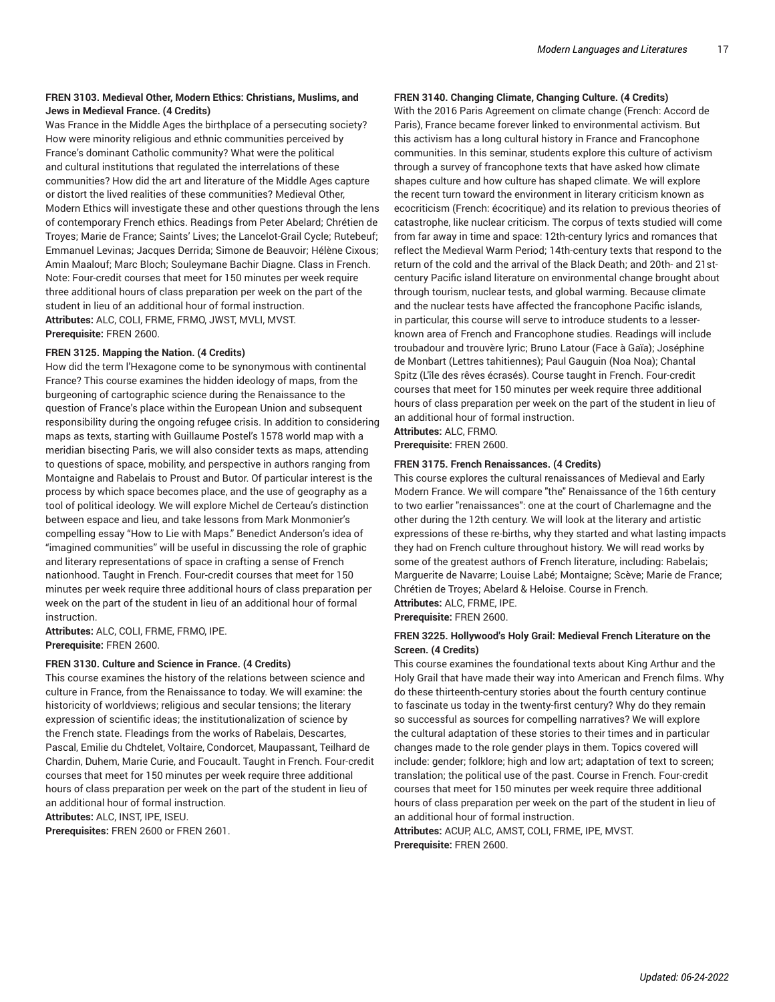### **FREN 3103. Medieval Other, Modern Ethics: Christians, Muslims, and Jews in Medieval France. (4 Credits)**

Was France in the Middle Ages the birthplace of a persecuting society? How were minority religious and ethnic communities perceived by France's dominant Catholic community? What were the political and cultural institutions that regulated the interrelations of these communities? How did the art and literature of the Middle Ages capture or distort the lived realities of these communities? Medieval Other, Modern Ethics will investigate these and other questions through the lens of contemporary French ethics. Readings from Peter Abelard; Chrétien de Troyes; Marie de France; Saints' Lives; the Lancelot-Grail Cycle; Rutebeuf; Emmanuel Levinas; Jacques Derrida; Simone de Beauvoir; Hélène Cixous; Amin Maalouf; Marc Bloch; Souleymane Bachir Diagne. Class in French. Note: Four-credit courses that meet for 150 minutes per week require three additional hours of class preparation per week on the part of the student in lieu of an additional hour of formal instruction. **Attributes:** ALC, COLI, FRME, FRMO, JWST, MVLI, MVST. **Prerequisite:** FREN 2600.

#### **FREN 3125. Mapping the Nation. (4 Credits)**

How did the term l'Hexagone come to be synonymous with continental France? This course examines the hidden ideology of maps, from the burgeoning of cartographic science during the Renaissance to the question of France's place within the European Union and subsequent responsibility during the ongoing refugee crisis. In addition to considering maps as texts, starting with Guillaume Postel's 1578 world map with a meridian bisecting Paris, we will also consider texts as maps, attending to questions of space, mobility, and perspective in authors ranging from Montaigne and Rabelais to Proust and Butor. Of particular interest is the process by which space becomes place, and the use of geography as a tool of political ideology. We will explore Michel de Certeau's distinction between espace and lieu, and take lessons from Mark Monmonier's compelling essay "How to Lie with Maps." Benedict Anderson's idea of "imagined communities" will be useful in discussing the role of graphic and literary representations of space in crafting a sense of French nationhood. Taught in French. Four-credit courses that meet for 150 minutes per week require three additional hours of class preparation per week on the part of the student in lieu of an additional hour of formal instruction.

**Attributes:** ALC, COLI, FRME, FRMO, IPE. **Prerequisite:** FREN 2600.

#### **FREN 3130. Culture and Science in France. (4 Credits)**

This course examines the history of the relations between science and culture in France, from the Renaissance to today. We will examine: the historicity of worldviews; religious and secular tensions; the literary expression of scientific ideas; the institutionalization of science by the French state. Fleadings from the works of Rabelais, Descartes, Pascal, Emilie du Chdtelet, Voltaire, Condorcet, Maupassant, Teilhard de Chardin, Duhem, Marie Curie, and Foucault. Taught in French. Four-credit courses that meet for 150 minutes per week require three additional hours of class preparation per week on the part of the student in lieu of an additional hour of formal instruction.

**Attributes:** ALC, INST, IPE, ISEU.

**Prerequisites:** FREN 2600 or FREN 2601.

#### **FREN 3140. Changing Climate, Changing Culture. (4 Credits)**

With the 2016 Paris Agreement on climate change (French: Accord de Paris), France became forever linked to environmental activism. But this activism has a long cultural history in France and Francophone communities. In this seminar, students explore this culture of activism through a survey of francophone texts that have asked how climate shapes culture and how culture has shaped climate. We will explore the recent turn toward the environment in literary criticism known as ecocriticism (French: écocritique) and its relation to previous theories of catastrophe, like nuclear criticism. The corpus of texts studied will come from far away in time and space: 12th-century lyrics and romances that reflect the Medieval Warm Period; 14th-century texts that respond to the return of the cold and the arrival of the Black Death; and 20th- and 21stcentury Pacific island literature on environmental change brought about through tourism, nuclear tests, and global warming. Because climate and the nuclear tests have affected the francophone Pacific islands, in particular, this course will serve to introduce students to a lesserknown area of French and Francophone studies. Readings will include troubadour and trouvère lyric; Bruno Latour (Face à Gaïa); Joséphine de Monbart (Lettres tahitiennes); Paul Gauguin (Noa Noa); Chantal Spitz (L'île des rêves écrasés). Course taught in French. Four-credit courses that meet for 150 minutes per week require three additional hours of class preparation per week on the part of the student in lieu of an additional hour of formal instruction. **Attributes:** ALC, FRMO.

**Prerequisite:** FREN 2600.

#### **FREN 3175. French Renaissances. (4 Credits)**

This course explores the cultural renaissances of Medieval and Early Modern France. We will compare "the" Renaissance of the 16th century to two earlier "renaissances": one at the court of Charlemagne and the other during the 12th century. We will look at the literary and artistic expressions of these re-births, why they started and what lasting impacts they had on French culture throughout history. We will read works by some of the greatest authors of French literature, including: Rabelais; Marguerite de Navarre; Louise Labé; Montaigne; Scève; Marie de France; Chrétien de Troyes; Abelard & Heloise. Course in French. **Attributes:** ALC, FRME, IPE.

**Prerequisite:** FREN 2600.

#### **FREN 3225. Hollywood's Holy Grail: Medieval French Literature on the Screen. (4 Credits)**

This course examines the foundational texts about King Arthur and the Holy Grail that have made their way into American and French films. Why do these thirteenth-century stories about the fourth century continue to fascinate us today in the twenty-first century? Why do they remain so successful as sources for compelling narratives? We will explore the cultural adaptation of these stories to their times and in particular changes made to the role gender plays in them. Topics covered will include: gender; folklore; high and low art; adaptation of text to screen; translation; the political use of the past. Course in French. Four-credit courses that meet for 150 minutes per week require three additional hours of class preparation per week on the part of the student in lieu of an additional hour of formal instruction.

**Attributes:** ACUP, ALC, AMST, COLI, FRME, IPE, MVST. **Prerequisite:** FREN 2600.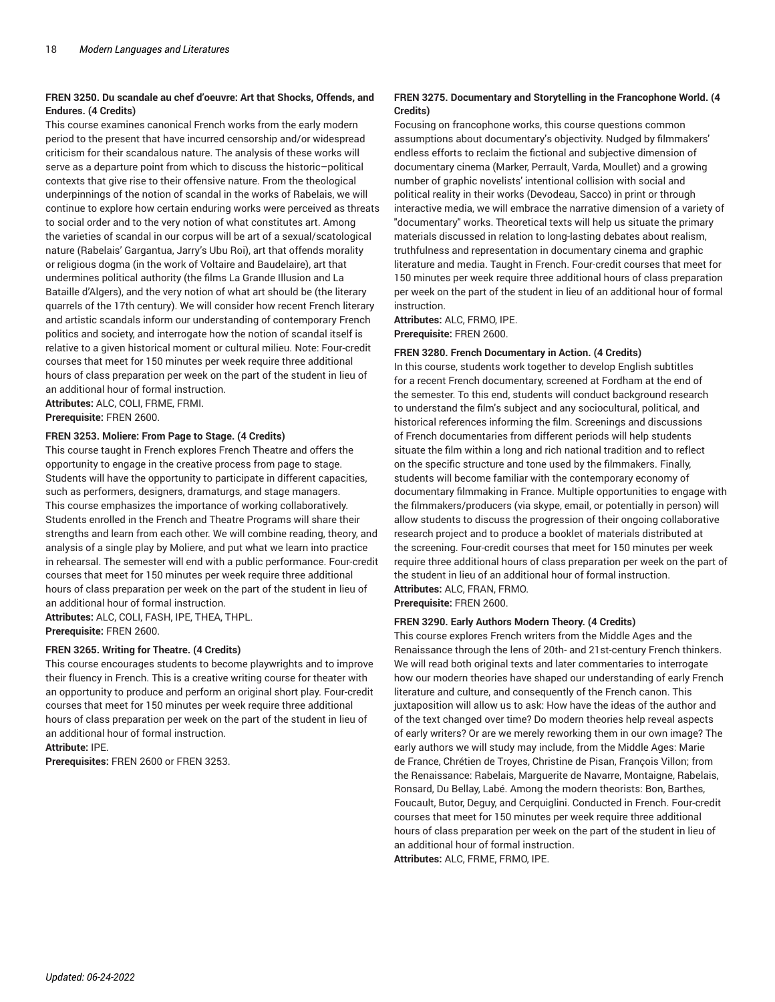#### **FREN 3250. Du scandale au chef d'oeuvre: Art that Shocks, Offends, and Endures. (4 Credits)**

This course examines canonical French works from the early modern period to the present that have incurred censorship and/or widespread criticism for their scandalous nature. The analysis of these works will serve as a departure point from which to discuss the historic–political contexts that give rise to their offensive nature. From the theological underpinnings of the notion of scandal in the works of Rabelais, we will continue to explore how certain enduring works were perceived as threats to social order and to the very notion of what constitutes art. Among the varieties of scandal in our corpus will be art of a sexual/scatological nature (Rabelais' Gargantua, Jarry's Ubu Roi), art that offends morality or religious dogma (in the work of Voltaire and Baudelaire), art that undermines political authority (the films La Grande Illusion and La Bataille d'Algers), and the very notion of what art should be (the literary quarrels of the 17th century). We will consider how recent French literary and artistic scandals inform our understanding of contemporary French politics and society, and interrogate how the notion of scandal itself is relative to a given historical moment or cultural milieu. Note: Four-credit courses that meet for 150 minutes per week require three additional hours of class preparation per week on the part of the student in lieu of an additional hour of formal instruction.

**Attributes:** ALC, COLI, FRME, FRMI. **Prerequisite:** FREN 2600.

# **FREN 3253. Moliere: From Page to Stage. (4 Credits)**

This course taught in French explores French Theatre and offers the opportunity to engage in the creative process from page to stage. Students will have the opportunity to participate in different capacities, such as performers, designers, dramaturgs, and stage managers. This course emphasizes the importance of working collaboratively. Students enrolled in the French and Theatre Programs will share their strengths and learn from each other. We will combine reading, theory, and analysis of a single play by Moliere, and put what we learn into practice in rehearsal. The semester will end with a public performance. Four-credit courses that meet for 150 minutes per week require three additional hours of class preparation per week on the part of the student in lieu of an additional hour of formal instruction.

**Attributes:** ALC, COLI, FASH, IPE, THEA, THPL. **Prerequisite:** FREN 2600.

#### **FREN 3265. Writing for Theatre. (4 Credits)**

This course encourages students to become playwrights and to improve their fluency in French. This is a creative writing course for theater with an opportunity to produce and perform an original short play. Four-credit courses that meet for 150 minutes per week require three additional hours of class preparation per week on the part of the student in lieu of an additional hour of formal instruction.

**Attribute:** IPE.

**Prerequisites:** FREN 2600 or FREN 3253.

#### **FREN 3275. Documentary and Storytelling in the Francophone World. (4 Credits)**

Focusing on francophone works, this course questions common assumptions about documentary's objectivity. Nudged by filmmakers' endless efforts to reclaim the fictional and subjective dimension of documentary cinema (Marker, Perrault, Varda, Moullet) and a growing number of graphic novelists' intentional collision with social and political reality in their works (Devodeau, Sacco) in print or through interactive media, we will embrace the narrative dimension of a variety of "documentary" works. Theoretical texts will help us situate the primary materials discussed in relation to long-lasting debates about realism, truthfulness and representation in documentary cinema and graphic literature and media. Taught in French. Four-credit courses that meet for 150 minutes per week require three additional hours of class preparation per week on the part of the student in lieu of an additional hour of formal instruction.

**Attributes:** ALC, FRMO, IPE. **Prerequisite:** FREN 2600.

#### **FREN 3280. French Documentary in Action. (4 Credits)**

In this course, students work together to develop English subtitles for a recent French documentary, screened at Fordham at the end of the semester. To this end, students will conduct background research to understand the film's subject and any sociocultural, political, and historical references informing the film. Screenings and discussions of French documentaries from different periods will help students situate the film within a long and rich national tradition and to reflect on the specific structure and tone used by the filmmakers. Finally, students will become familiar with the contemporary economy of documentary filmmaking in France. Multiple opportunities to engage with the filmmakers/producers (via skype, email, or potentially in person) will allow students to discuss the progression of their ongoing collaborative research project and to produce a booklet of materials distributed at the screening. Four-credit courses that meet for 150 minutes per week require three additional hours of class preparation per week on the part of the student in lieu of an additional hour of formal instruction. **Attributes:** ALC, FRAN, FRMO.

**Prerequisite:** FREN 2600.

#### **FREN 3290. Early Authors Modern Theory. (4 Credits)**

This course explores French writers from the Middle Ages and the Renaissance through the lens of 20th- and 21st-century French thinkers. We will read both original texts and later commentaries to interrogate how our modern theories have shaped our understanding of early French literature and culture, and consequently of the French canon. This juxtaposition will allow us to ask: How have the ideas of the author and of the text changed over time? Do modern theories help reveal aspects of early writers? Or are we merely reworking them in our own image? The early authors we will study may include, from the Middle Ages: Marie de France, Chrétien de Troyes, Christine de Pisan, François Villon; from the Renaissance: Rabelais, Marguerite de Navarre, Montaigne, Rabelais, Ronsard, Du Bellay, Labé. Among the modern theorists: Bon, Barthes, Foucault, Butor, Deguy, and Cerquiglini. Conducted in French. Four-credit courses that meet for 150 minutes per week require three additional hours of class preparation per week on the part of the student in lieu of an additional hour of formal instruction.

**Attributes:** ALC, FRME, FRMO, IPE.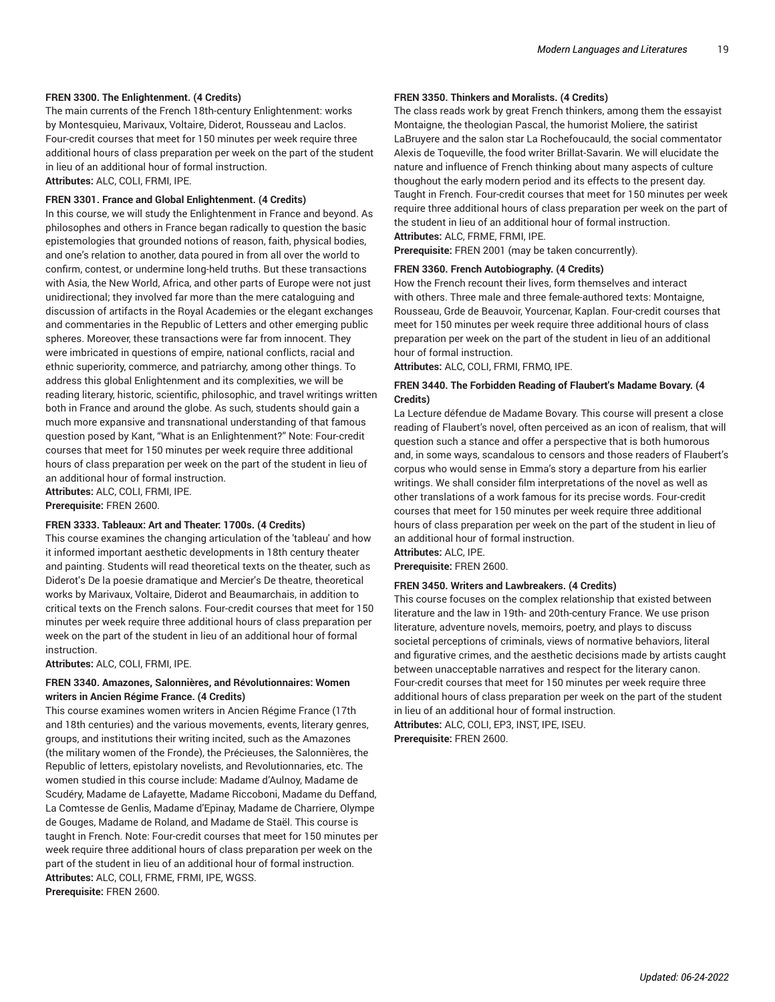#### **FREN 3300. The Enlightenment. (4 Credits)**

The main currents of the French 18th-century Enlightenment: works by Montesquieu, Marivaux, Voltaire, Diderot, Rousseau and Laclos. Four-credit courses that meet for 150 minutes per week require three additional hours of class preparation per week on the part of the student in lieu of an additional hour of formal instruction. **Attributes:** ALC, COLI, FRMI, IPE.

#### **FREN 3301. France and Global Enlightenment. (4 Credits)**

In this course, we will study the Enlightenment in France and beyond. As philosophes and others in France began radically to question the basic epistemologies that grounded notions of reason, faith, physical bodies, and one's relation to another, data poured in from all over the world to confirm, contest, or undermine long-held truths. But these transactions with Asia, the New World, Africa, and other parts of Europe were not just unidirectional; they involved far more than the mere cataloguing and discussion of artifacts in the Royal Academies or the elegant exchanges and commentaries in the Republic of Letters and other emerging public spheres. Moreover, these transactions were far from innocent. They were imbricated in questions of empire, national conflicts, racial and ethnic superiority, commerce, and patriarchy, among other things. To address this global Enlightenment and its complexities, we will be reading literary, historic, scientific, philosophic, and travel writings written both in France and around the globe. As such, students should gain a much more expansive and transnational understanding of that famous question posed by Kant, "What is an Enlightenment?" Note: Four-credit courses that meet for 150 minutes per week require three additional hours of class preparation per week on the part of the student in lieu of an additional hour of formal instruction.

**Attributes:** ALC, COLI, FRMI, IPE.

**Prerequisite:** FREN 2600.

#### **FREN 3333. Tableaux: Art and Theater: 1700s. (4 Credits)**

This course examines the changing articulation of the 'tableau' and how it informed important aesthetic developments in 18th century theater and painting. Students will read theoretical texts on the theater, such as Diderot's De la poesie dramatique and Mercier's De theatre, theoretical works by Marivaux, Voltaire, Diderot and Beaumarchais, in addition to critical texts on the French salons. Four-credit courses that meet for 150 minutes per week require three additional hours of class preparation per week on the part of the student in lieu of an additional hour of formal instruction.

**Attributes:** ALC, COLI, FRMI, IPE.

#### **FREN 3340. Amazones, Salonnières, and Révolutionnaires: Women writers in Ancien Régime France. (4 Credits)**

This course examines women writers in Ancien Régime France (17th and 18th centuries) and the various movements, events, literary genres, groups, and institutions their writing incited, such as the Amazones (the military women of the Fronde), the Précieuses, the Salonnières, the Republic of letters, epistolary novelists, and Revolutionnaries, etc. The women studied in this course include: Madame d'Aulnoy, Madame de Scudéry, Madame de Lafayette, Madame Riccoboni, Madame du Deffand, La Comtesse de Genlis, Madame d'Epinay, Madame de Charriere, Olympe de Gouges, Madame de Roland, and Madame de Staël. This course is taught in French. Note: Four-credit courses that meet for 150 minutes per week require three additional hours of class preparation per week on the part of the student in lieu of an additional hour of formal instruction. **Attributes:** ALC, COLI, FRME, FRMI, IPE, WGSS. **Prerequisite:** FREN 2600.

#### **FREN 3350. Thinkers and Moralists. (4 Credits)**

The class reads work by great French thinkers, among them the essayist Montaigne, the theologian Pascal, the humorist Moliere, the satirist LaBruyere and the salon star La Rochefoucauld, the social commentator Alexis de Toqueville, the food writer Brillat-Savarin. We will elucidate the nature and influence of French thinking about many aspects of culture thoughout the early modern period and its effects to the present day. Taught in French. Four-credit courses that meet for 150 minutes per week require three additional hours of class preparation per week on the part of the student in lieu of an additional hour of formal instruction. **Attributes:** ALC, FRME, FRMI, IPE.

**Prerequisite:** FREN 2001 (may be taken concurrently).

#### **FREN 3360. French Autobiography. (4 Credits)**

How the French recount their lives, form themselves and interact with others. Three male and three female-authored texts: Montaigne, Rousseau, Grde de Beauvoir, Yourcenar, Kaplan. Four-credit courses that meet for 150 minutes per week require three additional hours of class preparation per week on the part of the student in lieu of an additional hour of formal instruction.

**Attributes:** ALC, COLI, FRMI, FRMO, IPE.

#### **FREN 3440. The Forbidden Reading of Flaubert's Madame Bovary. (4 Credits)**

La Lecture défendue de Madame Bovary. This course will present a close reading of Flaubert's novel, often perceived as an icon of realism, that will question such a stance and offer a perspective that is both humorous and, in some ways, scandalous to censors and those readers of Flaubert's corpus who would sense in Emma's story a departure from his earlier writings. We shall consider film interpretations of the novel as well as other translations of a work famous for its precise words. Four-credit courses that meet for 150 minutes per week require three additional hours of class preparation per week on the part of the student in lieu of an additional hour of formal instruction.

**Attributes:** ALC, IPE.

**Prerequisite:** FREN 2600.

#### **FREN 3450. Writers and Lawbreakers. (4 Credits)**

This course focuses on the complex relationship that existed between literature and the law in 19th- and 20th-century France. We use prison literature, adventure novels, memoirs, poetry, and plays to discuss societal perceptions of criminals, views of normative behaviors, literal and figurative crimes, and the aesthetic decisions made by artists caught between unacceptable narratives and respect for the literary canon. Four-credit courses that meet for 150 minutes per week require three additional hours of class preparation per week on the part of the student in lieu of an additional hour of formal instruction. **Attributes:** ALC, COLI, EP3, INST, IPE, ISEU.

**Prerequisite:** FREN 2600.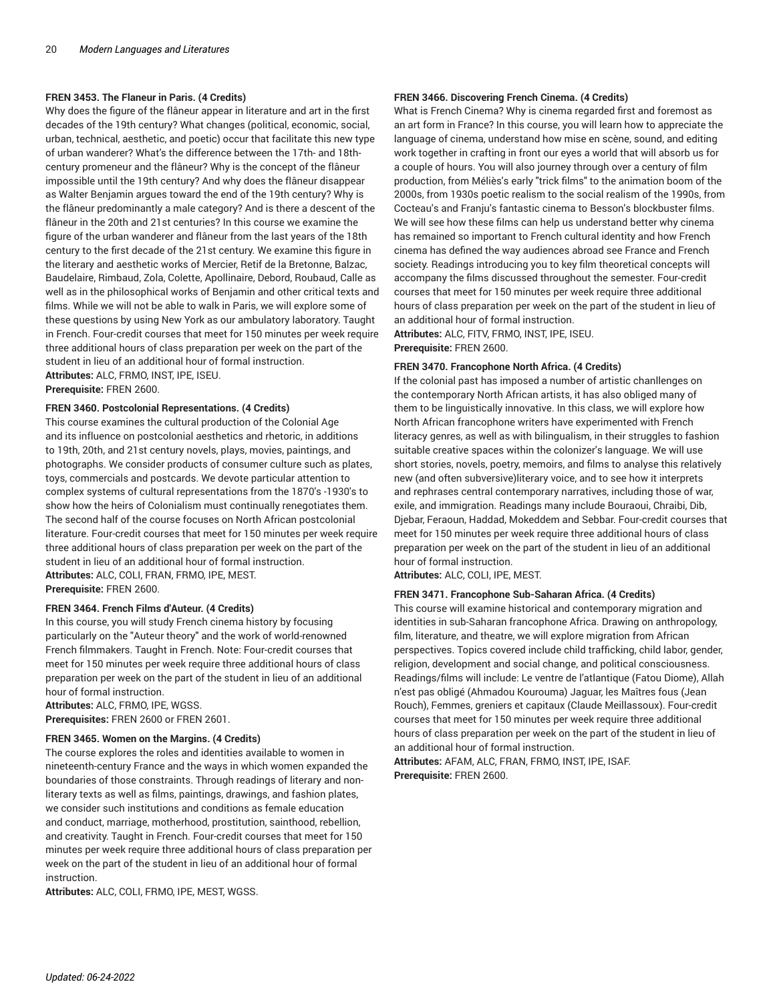#### **FREN 3453. The Flaneur in Paris. (4 Credits)**

Why does the figure of the flâneur appear in literature and art in the first decades of the 19th century? What changes (political, economic, social, urban, technical, aesthetic, and poetic) occur that facilitate this new type of urban wanderer? What's the difference between the 17th- and 18thcentury promeneur and the flâneur? Why is the concept of the flâneur impossible until the 19th century? And why does the flâneur disappear as Walter Benjamin argues toward the end of the 19th century? Why is the flâneur predominantly a male category? And is there a descent of the flâneur in the 20th and 21st centuries? In this course we examine the figure of the urban wanderer and flâneur from the last years of the 18th century to the first decade of the 21st century. We examine this figure in the literary and aesthetic works of Mercier, Retif de la Bretonne, Balzac, Baudelaire, Rimbaud, Zola, Colette, Apollinaire, Debord, Roubaud, Calle as well as in the philosophical works of Benjamin and other critical texts and films. While we will not be able to walk in Paris, we will explore some of these questions by using New York as our ambulatory laboratory. Taught in French. Four-credit courses that meet for 150 minutes per week require three additional hours of class preparation per week on the part of the student in lieu of an additional hour of formal instruction. **Attributes:** ALC, FRMO, INST, IPE, ISEU. **Prerequisite:** FREN 2600.

#### **FREN 3460. Postcolonial Representations. (4 Credits)**

This course examines the cultural production of the Colonial Age and its influence on postcolonial aesthetics and rhetoric, in additions to 19th, 20th, and 21st century novels, plays, movies, paintings, and photographs. We consider products of consumer culture such as plates, toys, commercials and postcards. We devote particular attention to complex systems of cultural representations from the 1870's -1930's to show how the heirs of Colonialism must continually renegotiates them. The second half of the course focuses on North African postcolonial literature. Four-credit courses that meet for 150 minutes per week require three additional hours of class preparation per week on the part of the student in lieu of an additional hour of formal instruction. **Attributes:** ALC, COLI, FRAN, FRMO, IPE, MEST. **Prerequisite:** FREN 2600.

#### **FREN 3464. French Films d'Auteur. (4 Credits)**

In this course, you will study French cinema history by focusing particularly on the "Auteur theory" and the work of world-renowned French filmmakers. Taught in French. Note: Four-credit courses that meet for 150 minutes per week require three additional hours of class preparation per week on the part of the student in lieu of an additional hour of formal instruction.

**Attributes:** ALC, FRMO, IPE, WGSS. **Prerequisites:** FREN 2600 or FREN 2601.

#### **FREN 3465. Women on the Margins. (4 Credits)**

The course explores the roles and identities available to women in nineteenth-century France and the ways in which women expanded the boundaries of those constraints. Through readings of literary and nonliterary texts as well as films, paintings, drawings, and fashion plates, we consider such institutions and conditions as female education and conduct, marriage, motherhood, prostitution, sainthood, rebellion, and creativity. Taught in French. Four-credit courses that meet for 150 minutes per week require three additional hours of class preparation per week on the part of the student in lieu of an additional hour of formal instruction.

**Attributes:** ALC, COLI, FRMO, IPE, MEST, WGSS.

#### **FREN 3466. Discovering French Cinema. (4 Credits)**

What is French Cinema? Why is cinema regarded first and foremost as an art form in France? In this course, you will learn how to appreciate the language of cinema, understand how mise en scène, sound, and editing work together in crafting in front our eyes a world that will absorb us for a couple of hours. You will also journey through over a century of film production, from Méliès's early "trick films" to the animation boom of the 2000s, from 1930s poetic realism to the social realism of the 1990s, from Cocteau's and Franju's fantastic cinema to Besson's blockbuster films. We will see how these films can help us understand better why cinema has remained so important to French cultural identity and how French cinema has defined the way audiences abroad see France and French society. Readings introducing you to key film theoretical concepts will accompany the films discussed throughout the semester. Four-credit courses that meet for 150 minutes per week require three additional hours of class preparation per week on the part of the student in lieu of an additional hour of formal instruction.

**Attributes:** ALC, FITV, FRMO, INST, IPE, ISEU. **Prerequisite:** FREN 2600.

#### **FREN 3470. Francophone North Africa. (4 Credits)**

If the colonial past has imposed a number of artistic chanllenges on the contemporary North African artists, it has also obliged many of them to be linguistically innovative. In this class, we will explore how North African francophone writers have experimented with French literacy genres, as well as with bilingualism, in their struggles to fashion suitable creative spaces within the colonizer's language. We will use short stories, novels, poetry, memoirs, and films to analyse this relatively new (and often subversive)literary voice, and to see how it interprets and rephrases central contemporary narratives, including those of war, exile, and immigration. Readings many include Bouraoui, Chraibi, Dib, Djebar, Feraoun, Haddad, Mokeddem and Sebbar. Four-credit courses that meet for 150 minutes per week require three additional hours of class preparation per week on the part of the student in lieu of an additional hour of formal instruction.

**Attributes:** ALC, COLI, IPE, MEST.

#### **FREN 3471. Francophone Sub-Saharan Africa. (4 Credits)**

This course will examine historical and contemporary migration and identities in sub-Saharan francophone Africa. Drawing on anthropology, film, literature, and theatre, we will explore migration from African perspectives. Topics covered include child trafficking, child labor, gender, religion, development and social change, and political consciousness. Readings/films will include: Le ventre de l'atlantique (Fatou Diome), Allah n'est pas obligé (Ahmadou Kourouma) Jaguar, les Maîtres fous (Jean Rouch), Femmes, greniers et capitaux (Claude Meillassoux). Four-credit courses that meet for 150 minutes per week require three additional hours of class preparation per week on the part of the student in lieu of an additional hour of formal instruction.

**Attributes:** AFAM, ALC, FRAN, FRMO, INST, IPE, ISAF. **Prerequisite:** FREN 2600.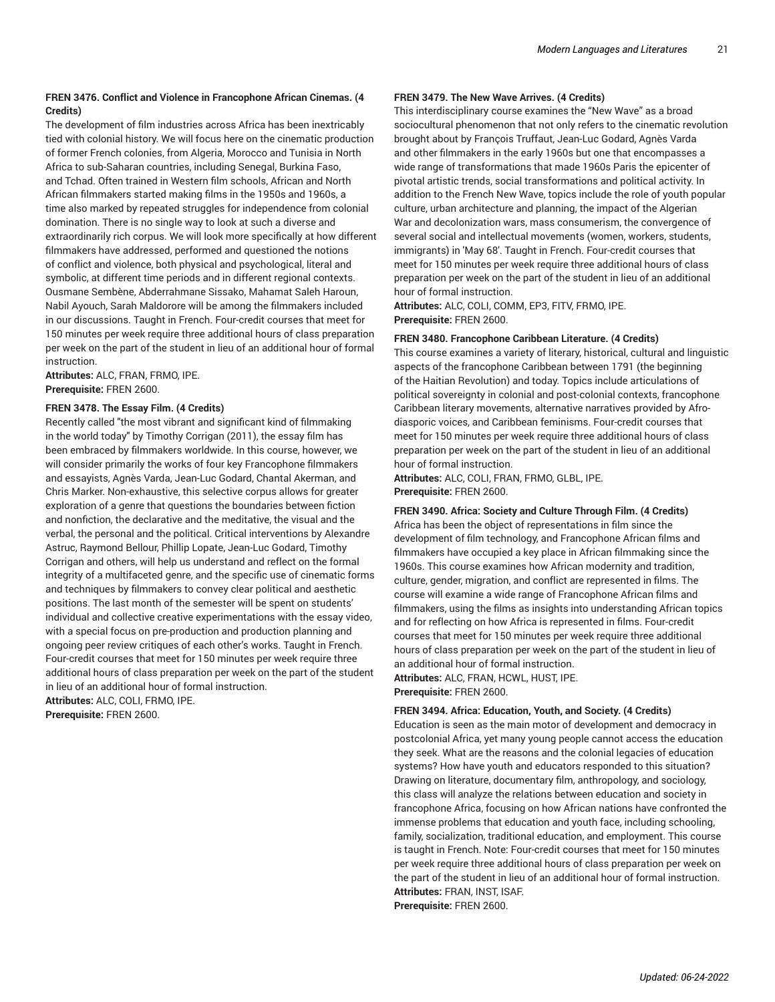#### **FREN 3476. Conflict and Violence in Francophone African Cinemas. (4 Credits)**

The development of film industries across Africa has been inextricably tied with colonial history. We will focus here on the cinematic production of former French colonies, from Algeria, Morocco and Tunisia in North Africa to sub-Saharan countries, including Senegal, Burkina Faso, and Tchad. Often trained in Western film schools, African and North African filmmakers started making films in the 1950s and 1960s, a time also marked by repeated struggles for independence from colonial domination. There is no single way to look at such a diverse and extraordinarily rich corpus. We will look more specifically at how different filmmakers have addressed, performed and questioned the notions of conflict and violence, both physical and psychological, literal and symbolic, at different time periods and in different regional contexts. Ousmane Sembène, Abderrahmane Sissako, Mahamat Saleh Haroun, Nabil Ayouch, Sarah Maldorore will be among the filmmakers included in our discussions. Taught in French. Four-credit courses that meet for 150 minutes per week require three additional hours of class preparation per week on the part of the student in lieu of an additional hour of formal instruction.

**Attributes:** ALC, FRAN, FRMO, IPE. **Prerequisite:** FREN 2600.

#### **FREN 3478. The Essay Film. (4 Credits)**

Recently called "the most vibrant and significant kind of filmmaking in the world today" by Timothy Corrigan (2011), the essay film has been embraced by filmmakers worldwide. In this course, however, we will consider primarily the works of four key Francophone filmmakers and essayists, Agnès Varda, Jean-Luc Godard, Chantal Akerman, and Chris Marker. Non-exhaustive, this selective corpus allows for greater exploration of a genre that questions the boundaries between fiction and nonfiction, the declarative and the meditative, the visual and the verbal, the personal and the political. Critical interventions by Alexandre Astruc, Raymond Bellour, Phillip Lopate, Jean-Luc Godard, Timothy Corrigan and others, will help us understand and reflect on the formal integrity of a multifaceted genre, and the specific use of cinematic forms and techniques by filmmakers to convey clear political and aesthetic positions. The last month of the semester will be spent on students' individual and collective creative experimentations with the essay video, with a special focus on pre-production and production planning and ongoing peer review critiques of each other's works. Taught in French. Four-credit courses that meet for 150 minutes per week require three additional hours of class preparation per week on the part of the student in lieu of an additional hour of formal instruction. **Attributes:** ALC, COLI, FRMO, IPE.

**Prerequisite:** FREN 2600.

#### **FREN 3479. The New Wave Arrives. (4 Credits)**

This interdisciplinary course examines the "New Wave" as a broad sociocultural phenomenon that not only refers to the cinematic revolution brought about by François Truffaut, Jean-Luc Godard, Agnès Varda and other filmmakers in the early 1960s but one that encompasses a wide range of transformations that made 1960s Paris the epicenter of pivotal artistic trends, social transformations and political activity. In addition to the French New Wave, topics include the role of youth popular culture, urban architecture and planning, the impact of the Algerian War and decolonization wars, mass consumerism, the convergence of several social and intellectual movements (women, workers, students, immigrants) in 'May 68'. Taught in French. Four-credit courses that meet for 150 minutes per week require three additional hours of class preparation per week on the part of the student in lieu of an additional hour of formal instruction.

**Attributes:** ALC, COLI, COMM, EP3, FITV, FRMO, IPE. **Prerequisite:** FREN 2600.

#### **FREN 3480. Francophone Caribbean Literature. (4 Credits)**

This course examines a variety of literary, historical, cultural and linguistic aspects of the francophone Caribbean between 1791 (the beginning of the Haitian Revolution) and today. Topics include articulations of political sovereignty in colonial and post-colonial contexts, francophone Caribbean literary movements, alternative narratives provided by Afrodiasporic voices, and Caribbean feminisms. Four-credit courses that meet for 150 minutes per week require three additional hours of class preparation per week on the part of the student in lieu of an additional hour of formal instruction.

**Attributes:** ALC, COLI, FRAN, FRMO, GLBL, IPE. **Prerequisite:** FREN 2600.

#### **FREN 3490. Africa: Society and Culture Through Film. (4 Credits)**

Africa has been the object of representations in film since the development of film technology, and Francophone African films and filmmakers have occupied a key place in African filmmaking since the 1960s. This course examines how African modernity and tradition, culture, gender, migration, and conflict are represented in films. The course will examine a wide range of Francophone African films and filmmakers, using the films as insights into understanding African topics and for reflecting on how Africa is represented in films. Four-credit courses that meet for 150 minutes per week require three additional hours of class preparation per week on the part of the student in lieu of an additional hour of formal instruction.

**Attributes:** ALC, FRAN, HCWL, HUST, IPE. **Prerequisite:** FREN 2600.

#### **FREN 3494. Africa: Education, Youth, and Society. (4 Credits)**

Education is seen as the main motor of development and democracy in postcolonial Africa, yet many young people cannot access the education they seek. What are the reasons and the colonial legacies of education systems? How have youth and educators responded to this situation? Drawing on literature, documentary film, anthropology, and sociology, this class will analyze the relations between education and society in francophone Africa, focusing on how African nations have confronted the immense problems that education and youth face, including schooling, family, socialization, traditional education, and employment. This course is taught in French. Note: Four-credit courses that meet for 150 minutes per week require three additional hours of class preparation per week on the part of the student in lieu of an additional hour of formal instruction. **Attributes:** FRAN, INST, ISAF.

**Prerequisite:** FREN 2600.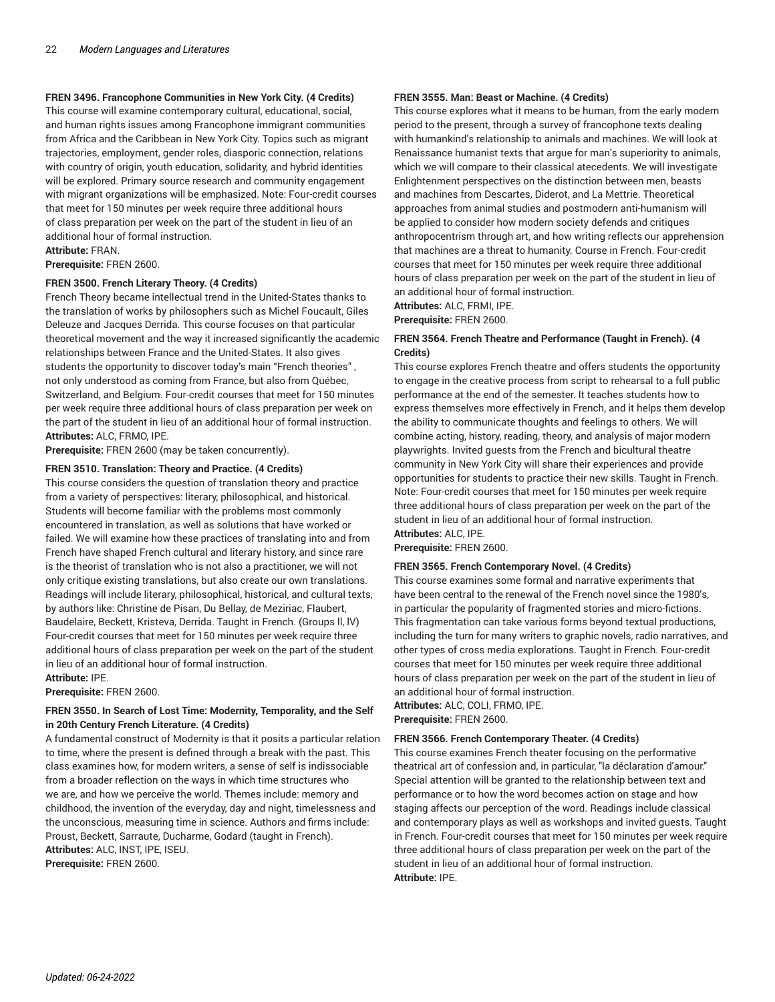#### **FREN 3496. Francophone Communities in New York City. (4 Credits)**

This course will examine contemporary cultural, educational, social, and human rights issues among Francophone immigrant communities from Africa and the Caribbean in New York City. Topics such as migrant trajectories, employment, gender roles, diasporic connection, relations with country of origin, youth education, solidarity, and hybrid identities will be explored. Primary source research and community engagement with migrant organizations will be emphasized. Note: Four-credit courses that meet for 150 minutes per week require three additional hours of class preparation per week on the part of the student in lieu of an additional hour of formal instruction.

**Attribute:** FRAN. **Prerequisite:** FREN 2600.

#### **FREN 3500. French Literary Theory. (4 Credits)**

French Theory became intellectual trend in the United-States thanks to the translation of works by philosophers such as Michel Foucault, Giles Deleuze and Jacques Derrida. This course focuses on that particular theoretical movement and the way it increased significantly the academic relationships between France and the United-States. It also gives students the opportunity to discover today's main "French theories" , not only understood as coming from France, but also from Québec, Switzerland, and Belgium. Four-credit courses that meet for 150 minutes per week require three additional hours of class preparation per week on the part of the student in lieu of an additional hour of formal instruction. **Attributes:** ALC, FRMO, IPE.

**Prerequisite:** FREN 2600 (may be taken concurrently).

#### **FREN 3510. Translation: Theory and Practice. (4 Credits)**

This course considers the question of translation theory and practice from a variety of perspectives: literary, philosophical, and historical. Students will become familiar with the problems most commonly encountered in translation, as well as solutions that have worked or failed. We will examine how these practices of translating into and from French have shaped French cultural and literary history, and since rare is the theorist of translation who is not also a practitioner, we will not only critique existing translations, but also create our own translations. Readings will include literary, philosophical, historical, and cultural texts, by authors like: Christine de Pisan, Du Bellay, de Meziriac, Flaubert, Baudelaire, Beckett, Kristeva, Derrida. Taught in French. (Groups ll, lV) Four-credit courses that meet for 150 minutes per week require three additional hours of class preparation per week on the part of the student in lieu of an additional hour of formal instruction. **Attribute:** IPE.

**Prerequisite:** FREN 2600.

#### **FREN 3550. In Search of Lost Time: Modernity, Temporality, and the Self in 20th Century French Literature. (4 Credits)**

A fundamental construct of Modernity is that it posits a particular relation to time, where the present is defined through a break with the past. This class examines how, for modern writers, a sense of self is indissociable from a broader reflection on the ways in which time structures who we are, and how we perceive the world. Themes include: memory and childhood, the invention of the everyday, day and night, timelessness and the unconscious, measuring time in science. Authors and firms include: Proust, Beckett, Sarraute, Ducharme, Godard (taught in French). **Attributes:** ALC, INST, IPE, ISEU.

**Prerequisite:** FREN 2600.

#### **FREN 3555. Man: Beast or Machine. (4 Credits)**

This course explores what it means to be human, from the early modern period to the present, through a survey of francophone texts dealing with humankind's relationship to animals and machines. We will look at Renaissance humanist texts that argue for man's superiority to animals, which we will compare to their classical atecedents. We will investigate Enlightenment perspectives on the distinction between men, beasts and machines from Descartes, Diderot, and La Mettrie. Theoretical approaches from animal studies and postmodern anti-humanism will be applied to consider how modern society defends and critiques anthropocentrism through art, and how writing reflects our apprehension that machines are a threat to humanity. Course in French. Four-credit courses that meet for 150 minutes per week require three additional hours of class preparation per week on the part of the student in lieu of an additional hour of formal instruction. **Attributes:** ALC, FRMI, IPE.

**Prerequisite:** FREN 2600.

#### **FREN 3564. French Theatre and Performance (Taught in French). (4 Credits)**

This course explores French theatre and offers students the opportunity to engage in the creative process from script to rehearsal to a full public performance at the end of the semester. It teaches students how to express themselves more effectively in French, and it helps them develop the ability to communicate thoughts and feelings to others. We will combine acting, history, reading, theory, and analysis of major modern playwrights. Invited guests from the French and bicultural theatre community in New York City will share their experiences and provide opportunities for students to practice their new skills. Taught in French. Note: Four-credit courses that meet for 150 minutes per week require three additional hours of class preparation per week on the part of the student in lieu of an additional hour of formal instruction. **Attributes:** ALC, IPE.

**Prerequisite:** FREN 2600.

#### **FREN 3565. French Contemporary Novel. (4 Credits)**

This course examines some formal and narrative experiments that have been central to the renewal of the French novel since the 1980's, in particular the popularity of fragmented stories and micro-fictions. This fragmentation can take various forms beyond textual productions, including the turn for many writers to graphic novels, radio narratives, and other types of cross media explorations. Taught in French. Four-credit courses that meet for 150 minutes per week require three additional hours of class preparation per week on the part of the student in lieu of an additional hour of formal instruction. **Attributes:** ALC, COLI, FRMO, IPE.

**Prerequisite:** FREN 2600.

#### **FREN 3566. French Contemporary Theater. (4 Credits)**

This course examines French theater focusing on the performative theatrical art of confession and, in particular, "la déclaration d'amour." Special attention will be granted to the relationship between text and performance or to how the word becomes action on stage and how staging affects our perception of the word. Readings include classical and contemporary plays as well as workshops and invited guests. Taught in French. Four-credit courses that meet for 150 minutes per week require three additional hours of class preparation per week on the part of the student in lieu of an additional hour of formal instruction. **Attribute:** IPE.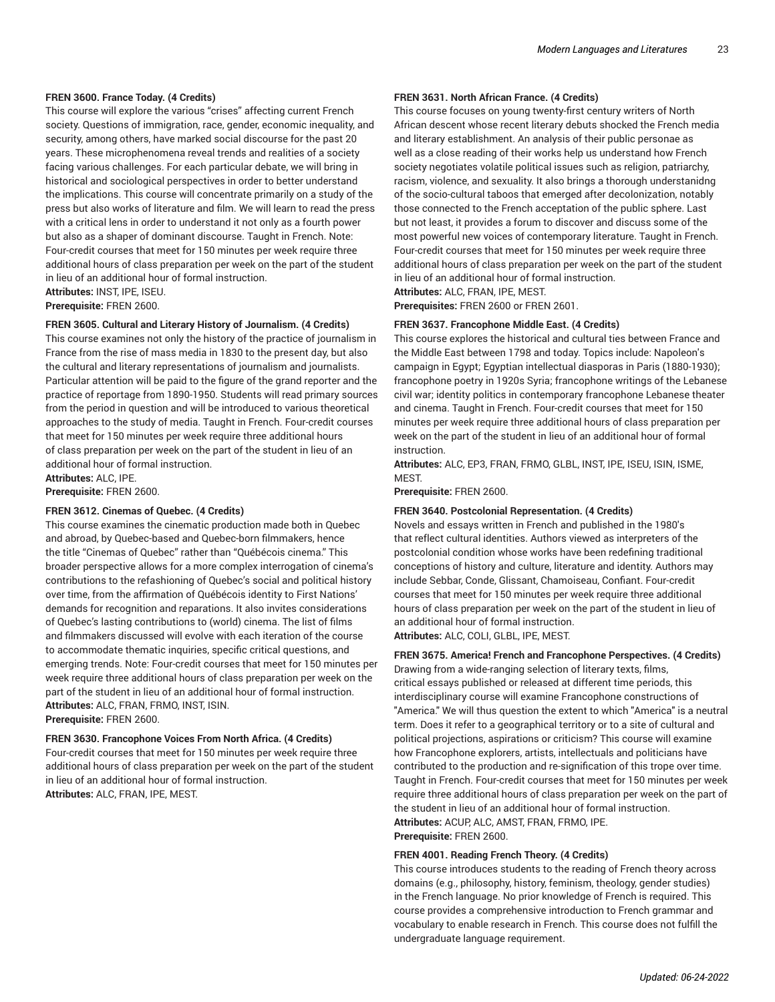#### **FREN 3600. France Today. (4 Credits)**

This course will explore the various "crises" affecting current French society. Questions of immigration, race, gender, economic inequality, and security, among others, have marked social discourse for the past 20 years. These microphenomena reveal trends and realities of a society facing various challenges. For each particular debate, we will bring in historical and sociological perspectives in order to better understand the implications. This course will concentrate primarily on a study of the press but also works of literature and film. We will learn to read the press with a critical lens in order to understand it not only as a fourth power but also as a shaper of dominant discourse. Taught in French. Note: Four-credit courses that meet for 150 minutes per week require three additional hours of class preparation per week on the part of the student in lieu of an additional hour of formal instruction. **Attributes:** INST, IPE, ISEU.

**Prerequisite:** FREN 2600.

#### **FREN 3605. Cultural and Literary History of Journalism. (4 Credits)**

This course examines not only the history of the practice of journalism in France from the rise of mass media in 1830 to the present day, but also the cultural and literary representations of journalism and journalists. Particular attention will be paid to the figure of the grand reporter and the practice of reportage from 1890-1950. Students will read primary sources from the period in question and will be introduced to various theoretical approaches to the study of media. Taught in French. Four-credit courses that meet for 150 minutes per week require three additional hours of class preparation per week on the part of the student in lieu of an additional hour of formal instruction.

**Attributes:** ALC, IPE.

**Prerequisite:** FREN 2600.

#### **FREN 3612. Cinemas of Quebec. (4 Credits)**

This course examines the cinematic production made both in Quebec and abroad, by Quebec-based and Quebec-born filmmakers, hence the title "Cinemas of Quebec" rather than "Québécois cinema." This broader perspective allows for a more complex interrogation of cinema's contributions to the refashioning of Quebec's social and political history over time, from the affirmation of Québécois identity to First Nations' demands for recognition and reparations. It also invites considerations of Quebec's lasting contributions to (world) cinema. The list of films and filmmakers discussed will evolve with each iteration of the course to accommodate thematic inquiries, specific critical questions, and emerging trends. Note: Four-credit courses that meet for 150 minutes per week require three additional hours of class preparation per week on the part of the student in lieu of an additional hour of formal instruction. **Attributes:** ALC, FRAN, FRMO, INST, ISIN. **Prerequisite:** FREN 2600.

**FREN 3630. Francophone Voices From North Africa. (4 Credits)** Four-credit courses that meet for 150 minutes per week require three additional hours of class preparation per week on the part of the student in lieu of an additional hour of formal instruction. **Attributes:** ALC, FRAN, IPE, MEST.

#### **FREN 3631. North African France. (4 Credits)**

This course focuses on young twenty-first century writers of North African descent whose recent literary debuts shocked the French media and literary establishment. An analysis of their public personae as well as a close reading of their works help us understand how French society negotiates volatile political issues such as religion, patriarchy, racism, violence, and sexuality. It also brings a thorough understanidng of the socio-cultural taboos that emerged after decolonization, notably those connected to the French acceptation of the public sphere. Last but not least, it provides a forum to discover and discuss some of the most powerful new voices of contemporary literature. Taught in French. Four-credit courses that meet for 150 minutes per week require three additional hours of class preparation per week on the part of the student in lieu of an additional hour of formal instruction.

**Attributes:** ALC, FRAN, IPE, MEST.

# **Prerequisites:** FREN 2600 or FREN 2601.

#### **FREN 3637. Francophone Middle East. (4 Credits)**

This course explores the historical and cultural ties between France and the Middle East between 1798 and today. Topics include: Napoleon's campaign in Egypt; Egyptian intellectual diasporas in Paris (1880-1930); francophone poetry in 1920s Syria; francophone writings of the Lebanese civil war; identity politics in contemporary francophone Lebanese theater and cinema. Taught in French. Four-credit courses that meet for 150 minutes per week require three additional hours of class preparation per week on the part of the student in lieu of an additional hour of formal instruction.

**Attributes:** ALC, EP3, FRAN, FRMO, GLBL, INST, IPE, ISEU, ISIN, ISME, **MEST.** 

**Prerequisite:** FREN 2600.

#### **FREN 3640. Postcolonial Representation. (4 Credits)**

Novels and essays written in French and published in the 1980's that reflect cultural identities. Authors viewed as interpreters of the postcolonial condition whose works have been redefining traditional conceptions of history and culture, literature and identity. Authors may include Sebbar, Conde, Glissant, Chamoiseau, Confiant. Four-credit courses that meet for 150 minutes per week require three additional hours of class preparation per week on the part of the student in lieu of an additional hour of formal instruction. **Attributes:** ALC, COLI, GLBL, IPE, MEST.

#### **FREN 3675. America! French and Francophone Perspectives. (4 Credits)**

Drawing from a wide-ranging selection of literary texts, films, critical essays published or released at different time periods, this interdisciplinary course will examine Francophone constructions of "America." We will thus question the extent to which "America" is a neutral term. Does it refer to a geographical territory or to a site of cultural and political projections, aspirations or criticism? This course will examine how Francophone explorers, artists, intellectuals and politicians have contributed to the production and re-signification of this trope over time. Taught in French. Four-credit courses that meet for 150 minutes per week require three additional hours of class preparation per week on the part of the student in lieu of an additional hour of formal instruction. **Attributes:** ACUP, ALC, AMST, FRAN, FRMO, IPE.

**Prerequisite:** FREN 2600.

#### **FREN 4001. Reading French Theory. (4 Credits)**

This course introduces students to the reading of French theory across domains (e.g., philosophy, history, feminism, theology, gender studies) in the French language. No prior knowledge of French is required. This course provides a comprehensive introduction to French grammar and vocabulary to enable research in French. This course does not fulfill the undergraduate language requirement.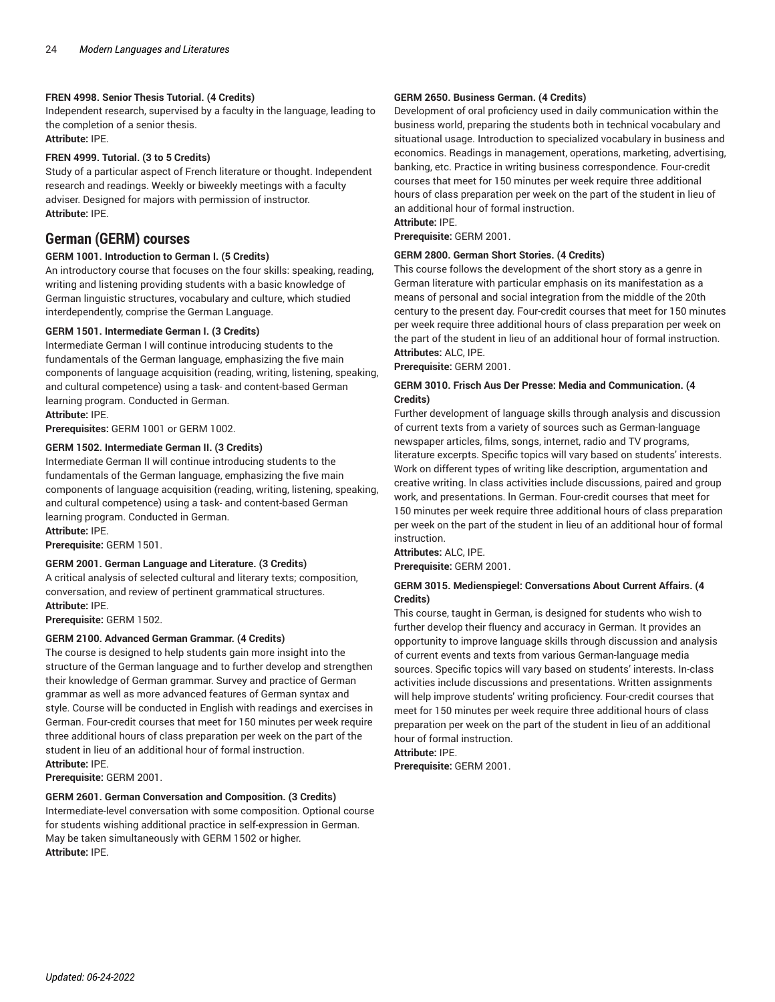#### **FREN 4998. Senior Thesis Tutorial. (4 Credits)**

Independent research, supervised by a faculty in the language, leading to the completion of a senior thesis. **Attribute:** IPE.

### **FREN 4999. Tutorial. (3 to 5 Credits)**

Study of a particular aspect of French literature or thought. Independent research and readings. Weekly or biweekly meetings with a faculty adviser. Designed for majors with permission of instructor. **Attribute:** IPE.

# **German (GERM) courses**

#### **GERM 1001. Introduction to German I. (5 Credits)**

An introductory course that focuses on the four skills: speaking, reading, writing and listening providing students with a basic knowledge of German linguistic structures, vocabulary and culture, which studied interdependently, comprise the German Language.

#### **GERM 1501. Intermediate German I. (3 Credits)**

Intermediate German I will continue introducing students to the fundamentals of the German language, emphasizing the five main components of language acquisition (reading, writing, listening, speaking, and cultural competence) using a task- and content-based German learning program. Conducted in German.

**Attribute:** IPE.

**Prerequisites:** GERM 1001 or GERM 1002.

#### **GERM 1502. Intermediate German II. (3 Credits)**

Intermediate German II will continue introducing students to the fundamentals of the German language, emphasizing the five main components of language acquisition (reading, writing, listening, speaking, and cultural competence) using a task- and content-based German learning program. Conducted in German.

**Attribute:** IPE.

**Prerequisite:** GERM 1501.

#### **GERM 2001. German Language and Literature. (3 Credits)**

A critical analysis of selected cultural and literary texts; composition, conversation, and review of pertinent grammatical structures. **Attribute:** IPE.

**Prerequisite:** GERM 1502.

#### **GERM 2100. Advanced German Grammar. (4 Credits)**

The course is designed to help students gain more insight into the structure of the German language and to further develop and strengthen their knowledge of German grammar. Survey and practice of German grammar as well as more advanced features of German syntax and style. Course will be conducted in English with readings and exercises in German. Four-credit courses that meet for 150 minutes per week require three additional hours of class preparation per week on the part of the student in lieu of an additional hour of formal instruction. **Attribute:** IPE.

**Prerequisite:** GERM 2001.

#### **GERM 2601. German Conversation and Composition. (3 Credits)**

Intermediate-level conversation with some composition. Optional course for students wishing additional practice in self-expression in German. May be taken simultaneously with GERM 1502 or higher. **Attribute:** IPE.

#### **GERM 2650. Business German. (4 Credits)**

Development of oral proficiency used in daily communication within the business world, preparing the students both in technical vocabulary and situational usage. Introduction to specialized vocabulary in business and economics. Readings in management, operations, marketing, advertising, banking, etc. Practice in writing business correspondence. Four-credit courses that meet for 150 minutes per week require three additional hours of class preparation per week on the part of the student in lieu of an additional hour of formal instruction.

**Attribute:** IPE. **Prerequisite:** GERM 2001.

# **GERM 2800. German Short Stories. (4 Credits)**

This course follows the development of the short story as a genre in German literature with particular emphasis on its manifestation as a means of personal and social integration from the middle of the 20th century to the present day. Four-credit courses that meet for 150 minutes per week require three additional hours of class preparation per week on the part of the student in lieu of an additional hour of formal instruction. **Attributes:** ALC, IPE.

**Prerequisite:** GERM 2001.

#### **GERM 3010. Frisch Aus Der Presse: Media and Communication. (4 Credits)**

Further development of language skills through analysis and discussion of current texts from a variety of sources such as German-language newspaper articles, films, songs, internet, radio and TV programs, literature excerpts. Specific topics will vary based on students' interests. Work on different types of writing like description, argumentation and creative writing. ln class activities include discussions, paired and group work, and presentations. ln German. Four-credit courses that meet for 150 minutes per week require three additional hours of class preparation per week on the part of the student in lieu of an additional hour of formal instruction.

# **Attributes:** ALC, IPE.

**Prerequisite:** GERM 2001.

#### **GERM 3015. Medienspiegel: Conversations About Current Affairs. (4 Credits)**

This course, taught in German, is designed for students who wish to further develop their fluency and accuracy in German. It provides an opportunity to improve language skills through discussion and analysis of current events and texts from various German-language media sources. Specific topics will vary based on students' interests. In-class activities include discussions and presentations. Written assignments will help improve students' writing proficiency. Four-credit courses that meet for 150 minutes per week require three additional hours of class preparation per week on the part of the student in lieu of an additional hour of formal instruction.

## **Attribute:** IPE.

**Prerequisite:** GERM 2001.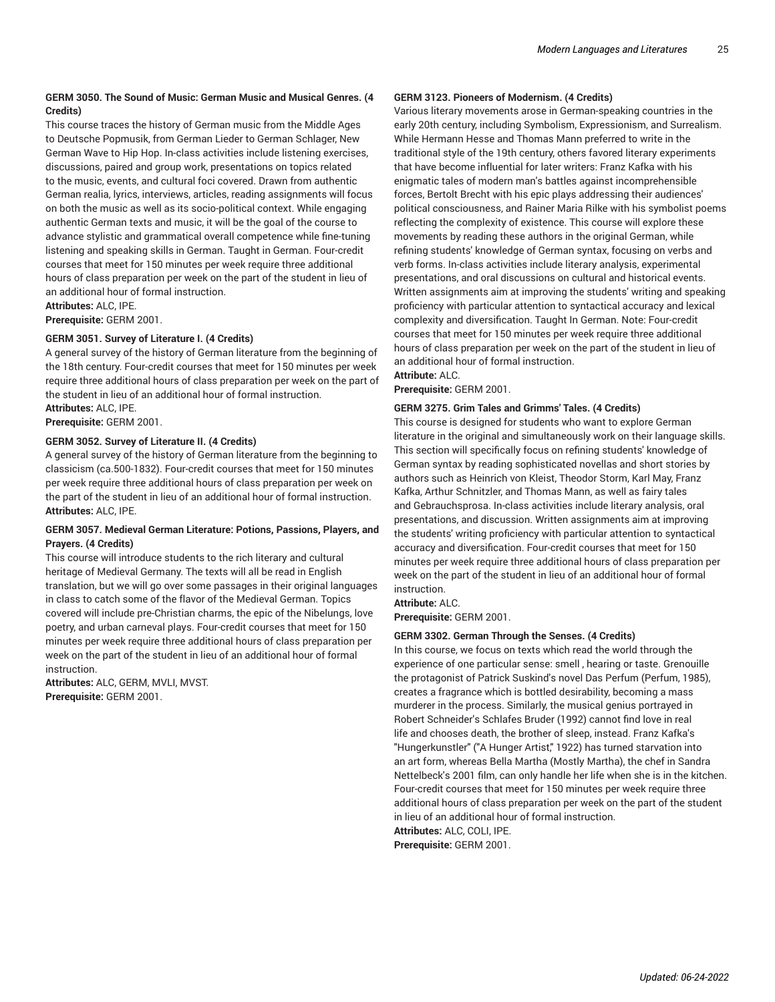#### **GERM 3050. The Sound of Music: German Music and Musical Genres. (4 Credits)**

This course traces the history of German music from the Middle Ages to Deutsche Popmusik, from German Lieder to German Schlager, New German Wave to Hip Hop. In-class activities include listening exercises, discussions, paired and group work, presentations on topics related to the music, events, and cultural foci covered. Drawn from authentic German realia, lyrics, interviews, articles, reading assignments will focus on both the music as well as its socio-political context. While engaging authentic German texts and music, it will be the goal of the course to advance stylistic and grammatical overall competence while fine-tuning listening and speaking skills in German. Taught in German. Four-credit courses that meet for 150 minutes per week require three additional hours of class preparation per week on the part of the student in lieu of an additional hour of formal instruction.

**Attributes:** ALC, IPE.

**Prerequisite:** GERM 2001.

#### **GERM 3051. Survey of Literature I. (4 Credits)**

A general survey of the history of German literature from the beginning of the 18th century. Four-credit courses that meet for 150 minutes per week require three additional hours of class preparation per week on the part of the student in lieu of an additional hour of formal instruction. **Attributes:** ALC, IPE.

**Prerequisite:** GERM 2001.

#### **GERM 3052. Survey of Literature II. (4 Credits)**

A general survey of the history of German literature from the beginning to classicism (ca.500-1832). Four-credit courses that meet for 150 minutes per week require three additional hours of class preparation per week on the part of the student in lieu of an additional hour of formal instruction. **Attributes:** ALC, IPE.

#### **GERM 3057. Medieval German Literature: Potions, Passions, Players, and Prayers. (4 Credits)**

This course will introduce students to the rich literary and cultural heritage of Medieval Germany. The texts will all be read in English translation, but we will go over some passages in their original languages in class to catch some of the flavor of the Medieval German. Topics covered will include pre-Christian charms, the epic of the Nibelungs, love poetry, and urban carneval plays. Four-credit courses that meet for 150 minutes per week require three additional hours of class preparation per week on the part of the student in lieu of an additional hour of formal instruction.

**Attributes:** ALC, GERM, MVLI, MVST. **Prerequisite:** GERM 2001.

#### **GERM 3123. Pioneers of Modernism. (4 Credits)**

Various literary movements arose in German-speaking countries in the early 20th century, including Symbolism, Expressionism, and Surrealism. While Hermann Hesse and Thomas Mann preferred to write in the traditional style of the 19th century, others favored literary experiments that have become influential for later writers: Franz Kafka with his enigmatic tales of modern man's battles against incomprehensible forces, Bertolt Brecht with his epic plays addressing their audiences' political consciousness, and Rainer Maria Rilke with his symbolist poems reflecting the complexity of existence. This course will explore these movements by reading these authors in the original German, while refining students' knowledge of German syntax, focusing on verbs and verb forms. In-class activities include literary analysis, experimental presentations, and oral discussions on cultural and historical events. Written assignments aim at improving the students' writing and speaking proficiency with particular attention to syntactical accuracy and lexical complexity and diversification. Taught In German. Note: Four-credit courses that meet for 150 minutes per week require three additional hours of class preparation per week on the part of the student in lieu of an additional hour of formal instruction.

**Attribute:** ALC.

**Prerequisite:** GERM 2001.

#### **GERM 3275. Grim Tales and Grimms' Tales. (4 Credits)**

This course is designed for students who want to explore German literature in the original and simultaneously work on their language skills. This section will specifically focus on refining students' knowledge of German syntax by reading sophisticated novellas and short stories by authors such as Heinrich von Kleist, Theodor Storm, Karl May, Franz Kafka, Arthur Schnitzler, and Thomas Mann, as well as fairy tales and Gebrauchsprosa. In-class activities include literary analysis, oral presentations, and discussion. Written assignments aim at improving the students' writing proficiency with particular attention to syntactical accuracy and diversification. Four-credit courses that meet for 150 minutes per week require three additional hours of class preparation per week on the part of the student in lieu of an additional hour of formal instruction.

**Attribute:** ALC.

**Prerequisite:** GERM 2001.

#### **GERM 3302. German Through the Senses. (4 Credits)**

In this course, we focus on texts which read the world through the experience of one particular sense: smell , hearing or taste. Grenouille the protagonist of Patrick Suskind's novel Das Perfum (Perfum, 1985), creates a fragrance which is bottled desirability, becoming a mass murderer in the process. Similarly, the musical genius portrayed in Robert Schneider's Schlafes Bruder (1992) cannot find love in real life and chooses death, the brother of sleep, instead. Franz Kafka's "Hungerkunstler" ("A Hunger Artist," 1922) has turned starvation into an art form, whereas Bella Martha (Mostly Martha), the chef in Sandra Nettelbeck's 2001 film, can only handle her life when she is in the kitchen. Four-credit courses that meet for 150 minutes per week require three additional hours of class preparation per week on the part of the student in lieu of an additional hour of formal instruction.

**Attributes:** ALC, COLI, IPE.

**Prerequisite:** GERM 2001.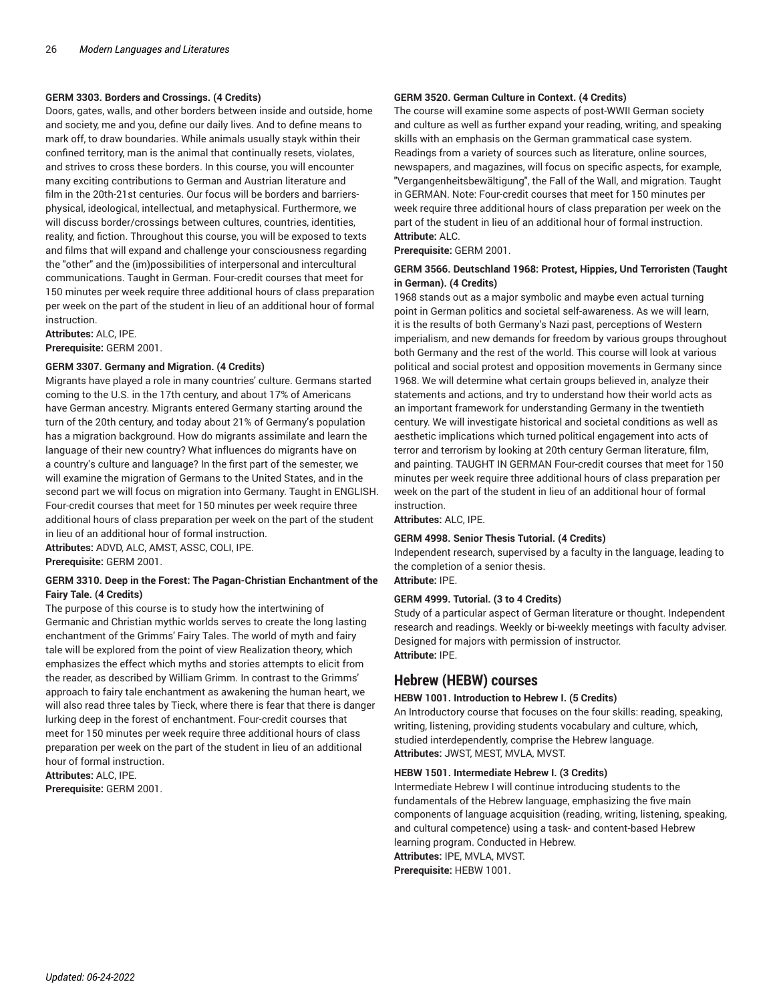#### **GERM 3303. Borders and Crossings. (4 Credits)**

Doors, gates, walls, and other borders between inside and outside, home and society, me and you, define our daily lives. And to define means to mark off, to draw boundaries. While animals usually stayk within their confined territory, man is the animal that continually resets, violates, and strives to cross these borders. In this course, you will encounter many exciting contributions to German and Austrian literature and film in the 20th-21st centuries. Our focus will be borders and barriersphysical, ideological, intellectual, and metaphysical. Furthermore, we will discuss border/crossings between cultures, countries, identities, reality, and fiction. Throughout this course, you will be exposed to texts and films that will expand and challenge your consciousness regarding the "other" and the (im)possibilities of interpersonal and intercultural communications. Taught in German. Four-credit courses that meet for 150 minutes per week require three additional hours of class preparation per week on the part of the student in lieu of an additional hour of formal instruction.

**Attributes:** ALC, IPE.

**Prerequisite:** GERM 2001.

#### **GERM 3307. Germany and Migration. (4 Credits)**

Migrants have played a role in many countries' culture. Germans started coming to the U.S. in the 17th century, and about 17% of Americans have German ancestry. Migrants entered Germany starting around the turn of the 20th century, and today about 21% of Germany's population has a migration background. How do migrants assimilate and learn the language of their new country? What influences do migrants have on a country's culture and language? In the first part of the semester, we will examine the migration of Germans to the United States, and in the second part we will focus on migration into Germany. Taught in ENGLISH. Four-credit courses that meet for 150 minutes per week require three additional hours of class preparation per week on the part of the student in lieu of an additional hour of formal instruction.

**Attributes:** ADVD, ALC, AMST, ASSC, COLI, IPE. **Prerequisite:** GERM 2001.

#### **GERM 3310. Deep in the Forest: The Pagan-Christian Enchantment of the Fairy Tale. (4 Credits)**

The purpose of this course is to study how the intertwining of Germanic and Christian mythic worlds serves to create the long lasting enchantment of the Grimms' Fairy Tales. The world of myth and fairy tale will be explored from the point of view Realization theory, which emphasizes the effect which myths and stories attempts to elicit from the reader, as described by William Grimm. In contrast to the Grimms' approach to fairy tale enchantment as awakening the human heart, we will also read three tales by Tieck, where there is fear that there is danger lurking deep in the forest of enchantment. Four-credit courses that meet for 150 minutes per week require three additional hours of class preparation per week on the part of the student in lieu of an additional hour of formal instruction.

**Attributes:** ALC, IPE. **Prerequisite:** GERM 2001.

#### **GERM 3520. German Culture in Context. (4 Credits)**

The course will examine some aspects of post-WWII German society and culture as well as further expand your reading, writing, and speaking skills with an emphasis on the German grammatical case system. Readings from a variety of sources such as literature, online sources, newspapers, and magazines, will focus on specific aspects, for example, "Vergangenheitsbewältigung", the Fall of the Wall, and migration. Taught in GERMAN. Note: Four-credit courses that meet for 150 minutes per week require three additional hours of class preparation per week on the part of the student in lieu of an additional hour of formal instruction. **Attribute:** ALC.

**Prerequisite:** GERM 2001.

#### **GERM 3566. Deutschland 1968: Protest, Hippies, Und Terroristen (Taught in German). (4 Credits)**

1968 stands out as a major symbolic and maybe even actual turning point in German politics and societal self-awareness. As we will learn, it is the results of both Germany's Nazi past, perceptions of Western imperialism, and new demands for freedom by various groups throughout both Germany and the rest of the world. This course will look at various political and social protest and opposition movements in Germany since 1968. We will determine what certain groups believed in, analyze their statements and actions, and try to understand how their world acts as an important framework for understanding Germany in the twentieth century. We will investigate historical and societal conditions as well as aesthetic implications which turned political engagement into acts of terror and terrorism by looking at 20th century German literature, film, and painting. TAUGHT IN GERMAN Four-credit courses that meet for 150 minutes per week require three additional hours of class preparation per week on the part of the student in lieu of an additional hour of formal instruction.

**Attributes:** ALC, IPE.

#### **GERM 4998. Senior Thesis Tutorial. (4 Credits)**

Independent research, supervised by a faculty in the language, leading to the completion of a senior thesis.

**Attribute:** IPE.

#### **GERM 4999. Tutorial. (3 to 4 Credits)**

Study of a particular aspect of German literature or thought. Independent research and readings. Weekly or bi-weekly meetings with faculty adviser. Designed for majors with permission of instructor. **Attribute:** IPE.

# **Hebrew (HEBW) courses**

#### **HEBW 1001. Introduction to Hebrew I. (5 Credits)**

An Introductory course that focuses on the four skills: reading, speaking, writing, listening, providing students vocabulary and culture, which, studied interdependently, comprise the Hebrew language. **Attributes:** JWST, MEST, MVLA, MVST.

#### **HEBW 1501. Intermediate Hebrew I. (3 Credits)**

Intermediate Hebrew I will continue introducing students to the fundamentals of the Hebrew language, emphasizing the five main components of language acquisition (reading, writing, listening, speaking, and cultural competence) using a task- and content-based Hebrew learning program. Conducted in Hebrew. **Attributes:** IPE, MVLA, MVST. **Prerequisite:** HEBW 1001.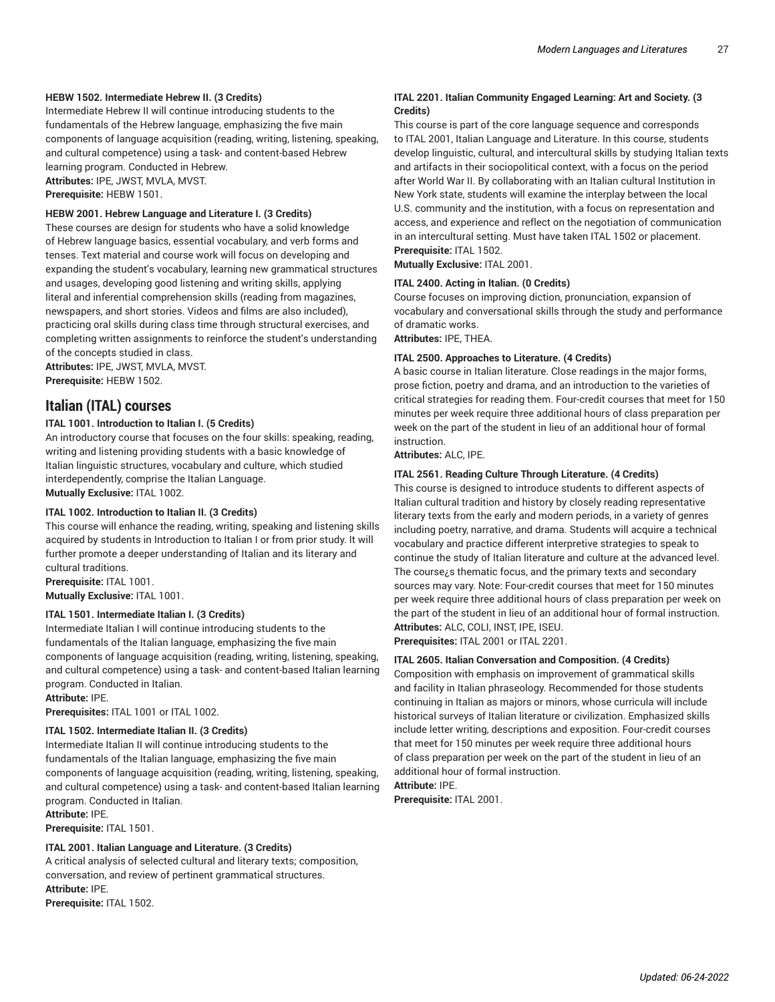#### **HEBW 1502. Intermediate Hebrew II. (3 Credits)**

Intermediate Hebrew II will continue introducing students to the fundamentals of the Hebrew language, emphasizing the five main components of language acquisition (reading, writing, listening, speaking, and cultural competence) using a task- and content-based Hebrew learning program. Conducted in Hebrew. **Attributes:** IPE, JWST, MVLA, MVST.

**Prerequisite:** HEBW 1501.

#### **HEBW 2001. Hebrew Language and Literature I. (3 Credits)**

These courses are design for students who have a solid knowledge of Hebrew language basics, essential vocabulary, and verb forms and tenses. Text material and course work will focus on developing and expanding the student's vocabulary, learning new grammatical structures and usages, developing good listening and writing skills, applying literal and inferential comprehension skills (reading from magazines, newspapers, and short stories. Videos and films are also included), practicing oral skills during class time through structural exercises, and completing written assignments to reinforce the student's understanding of the concepts studied in class.

**Attributes:** IPE, JWST, MVLA, MVST. **Prerequisite:** HEBW 1502.

# **Italian (ITAL) courses**

#### **ITAL 1001. Introduction to Italian I. (5 Credits)**

An introductory course that focuses on the four skills: speaking, reading, writing and listening providing students with a basic knowledge of Italian linguistic structures, vocabulary and culture, which studied interdependently, comprise the Italian Language. **Mutually Exclusive:** ITAL 1002.

#### **ITAL 1002. Introduction to Italian II. (3 Credits)**

This course will enhance the reading, writing, speaking and listening skills acquired by students in Introduction to Italian I or from prior study. It will further promote a deeper understanding of Italian and its literary and cultural traditions.

**Prerequisite:** ITAL 1001. **Mutually Exclusive:** ITAL 1001.

# **ITAL 1501. Intermediate Italian I. (3 Credits)**

Intermediate Italian I will continue introducing students to the fundamentals of the Italian language, emphasizing the five main components of language acquisition (reading, writing, listening, speaking, and cultural competence) using a task- and content-based Italian learning program. Conducted in Italian.

**Attribute:** IPE.

**Prerequisites:** ITAL 1001 or ITAL 1002.

#### **ITAL 1502. Intermediate Italian II. (3 Credits)**

Intermediate Italian II will continue introducing students to the fundamentals of the Italian language, emphasizing the five main components of language acquisition (reading, writing, listening, speaking, and cultural competence) using a task- and content-based Italian learning program. Conducted in Italian. **Attribute:** IPE.

**Prerequisite:** ITAL 1501.

#### **ITAL 2001. Italian Language and Literature. (3 Credits)**

A critical analysis of selected cultural and literary texts; composition, conversation, and review of pertinent grammatical structures. **Attribute:** IPE.

**Prerequisite:** ITAL 1502.

#### **ITAL 2201. Italian Community Engaged Learning: Art and Society. (3 Credits)**

This course is part of the core language sequence and corresponds to ITAL 2001, Italian Language and Literature. In this course, students develop linguistic, cultural, and intercultural skills by studying Italian texts and artifacts in their sociopolitical context, with a focus on the period after World War II. By collaborating with an Italian cultural Institution in New York state, students will examine the interplay between the local U.S. community and the institution, with a focus on representation and access, and experience and reflect on the negotiation of communication in an intercultural setting. Must have taken ITAL 1502 or placement. **Prerequisite:** ITAL 1502.

**Mutually Exclusive:** ITAL 2001.

#### **ITAL 2400. Acting in Italian. (0 Credits)**

Course focuses on improving diction, pronunciation, expansion of vocabulary and conversational skills through the study and performance of dramatic works.

**Attributes:** IPE, THEA.

#### **ITAL 2500. Approaches to Literature. (4 Credits)**

A basic course in Italian literature. Close readings in the major forms, prose fiction, poetry and drama, and an introduction to the varieties of critical strategies for reading them. Four-credit courses that meet for 150 minutes per week require three additional hours of class preparation per week on the part of the student in lieu of an additional hour of formal instruction.

**Attributes:** ALC, IPE.

#### **ITAL 2561. Reading Culture Through Literature. (4 Credits)**

This course is designed to introduce students to different aspects of Italian cultural tradition and history by closely reading representative literary texts from the early and modern periods, in a variety of genres including poetry, narrative, and drama. Students will acquire a technical vocabulary and practice different interpretive strategies to speak to continue the study of Italian literature and culture at the advanced level. The course¿s thematic focus, and the primary texts and secondary sources may vary. Note: Four-credit courses that meet for 150 minutes per week require three additional hours of class preparation per week on the part of the student in lieu of an additional hour of formal instruction. **Attributes:** ALC, COLI, INST, IPE, ISEU.

**Prerequisites:** ITAL 2001 or ITAL 2201.

#### **ITAL 2605. Italian Conversation and Composition. (4 Credits)**

Composition with emphasis on improvement of grammatical skills and facility in Italian phraseology. Recommended for those students continuing in Italian as majors or minors, whose curricula will include historical surveys of Italian literature or civilization. Emphasized skills include letter writing, descriptions and exposition. Four-credit courses that meet for 150 minutes per week require three additional hours of class preparation per week on the part of the student in lieu of an additional hour of formal instruction.

**Attribute:** IPE.

**Prerequisite:** ITAL 2001.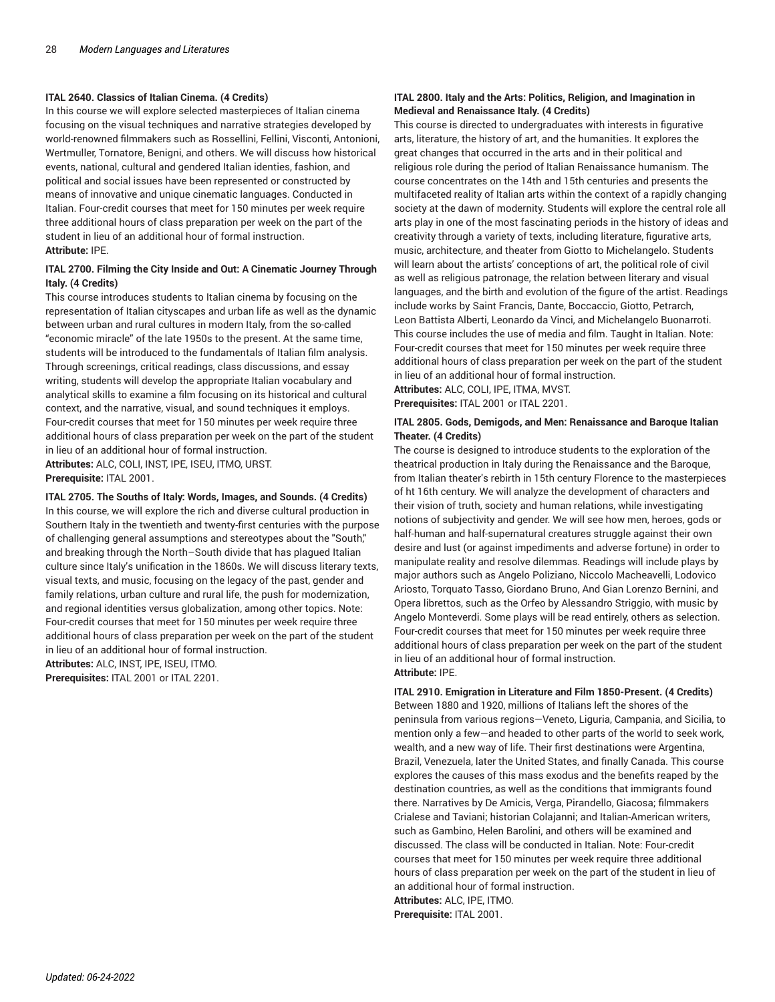#### **ITAL 2640. Classics of Italian Cinema. (4 Credits)**

In this course we will explore selected masterpieces of Italian cinema focusing on the visual techniques and narrative strategies developed by world-renowned filmmakers such as Rossellini, Fellini, Visconti, Antonioni, Wertmuller, Tornatore, Benigni, and others. We will discuss how historical events, national, cultural and gendered Italian identies, fashion, and political and social issues have been represented or constructed by means of innovative and unique cinematic languages. Conducted in Italian. Four-credit courses that meet for 150 minutes per week require three additional hours of class preparation per week on the part of the student in lieu of an additional hour of formal instruction. **Attribute:** IPE.

#### **ITAL 2700. Filming the City Inside and Out: A Cinematic Journey Through Italy. (4 Credits)**

This course introduces students to Italian cinema by focusing on the representation of Italian cityscapes and urban life as well as the dynamic between urban and rural cultures in modern Italy, from the so-called "economic miracle" of the late 1950s to the present. At the same time, students will be introduced to the fundamentals of Italian film analysis. Through screenings, critical readings, class discussions, and essay writing, students will develop the appropriate Italian vocabulary and analytical skills to examine a film focusing on its historical and cultural context, and the narrative, visual, and sound techniques it employs. Four-credit courses that meet for 150 minutes per week require three additional hours of class preparation per week on the part of the student in lieu of an additional hour of formal instruction.

**Attributes:** ALC, COLI, INST, IPE, ISEU, ITMO, URST. **Prerequisite:** ITAL 2001.

**ITAL 2705. The Souths of Italy: Words, Images, and Sounds. (4 Credits)** In this course, we will explore the rich and diverse cultural production in Southern Italy in the twentieth and twenty-first centuries with the purpose of challenging general assumptions and stereotypes about the "South," and breaking through the North–South divide that has plagued Italian culture since Italy's unification in the 1860s. We will discuss literary texts, visual texts, and music, focusing on the legacy of the past, gender and family relations, urban culture and rural life, the push for modernization, and regional identities versus globalization, among other topics. Note: Four-credit courses that meet for 150 minutes per week require three additional hours of class preparation per week on the part of the student in lieu of an additional hour of formal instruction.

**Attributes:** ALC, INST, IPE, ISEU, ITMO.

**Prerequisites:** ITAL 2001 or ITAL 2201.

# **ITAL 2800. Italy and the Arts: Politics, Religion, and Imagination in Medieval and Renaissance Italy. (4 Credits)**

This course is directed to undergraduates with interests in figurative arts, literature, the history of art, and the humanities. It explores the great changes that occurred in the arts and in their political and religious role during the period of Italian Renaissance humanism. The course concentrates on the 14th and 15th centuries and presents the multifaceted reality of Italian arts within the context of a rapidly changing society at the dawn of modernity. Students will explore the central role all arts play in one of the most fascinating periods in the history of ideas and creativity through a variety of texts, including literature, figurative arts, music, architecture, and theater from Giotto to Michelangelo. Students will learn about the artists' conceptions of art, the political role of civil as well as religious patronage, the relation between literary and visual languages, and the birth and evolution of the figure of the artist. Readings include works by Saint Francis, Dante, Boccaccio, Giotto, Petrarch, Leon Battista Alberti, Leonardo da Vinci, and Michelangelo Buonarroti. This course includes the use of media and film. Taught in Italian. Note: Four-credit courses that meet for 150 minutes per week require three additional hours of class preparation per week on the part of the student in lieu of an additional hour of formal instruction. **Attributes:** ALC, COLI, IPE, ITMA, MVST.

**Prerequisites:** ITAL 2001 or ITAL 2201.

#### **ITAL 2805. Gods, Demigods, and Men: Renaissance and Baroque Italian Theater. (4 Credits)**

The course is designed to introduce students to the exploration of the theatrical production in Italy during the Renaissance and the Baroque, from Italian theater's rebirth in 15th century Florence to the masterpieces of ht 16th century. We will analyze the development of characters and their vision of truth, society and human relations, while investigating notions of subjectivity and gender. We will see how men, heroes, gods or half-human and half-supernatural creatures struggle against their own desire and lust (or against impediments and adverse fortune) in order to manipulate reality and resolve dilemmas. Readings will include plays by major authors such as Angelo Poliziano, Niccolo Macheavelli, Lodovico Ariosto, Torquato Tasso, Giordano Bruno, And Gian Lorenzo Bernini, and Opera librettos, such as the Orfeo by Alessandro Striggio, with music by Angelo Monteverdi. Some plays will be read entirely, others as selection. Four-credit courses that meet for 150 minutes per week require three additional hours of class preparation per week on the part of the student in lieu of an additional hour of formal instruction. **Attribute:** IPE.

**ITAL 2910. Emigration in Literature and Film 1850-Present. (4 Credits)** Between 1880 and 1920, millions of Italians left the shores of the peninsula from various regions—Veneto, Liguria, Campania, and Sicilia, to mention only a few—and headed to other parts of the world to seek work, wealth, and a new way of life. Their first destinations were Argentina, Brazil, Venezuela, later the United States, and finally Canada. This course explores the causes of this mass exodus and the benefits reaped by the destination countries, as well as the conditions that immigrants found there. Narratives by De Amicis, Verga, Pirandello, Giacosa; filmmakers Crialese and Taviani; historian Colajanni; and Italian-American writers, such as Gambino, Helen Barolini, and others will be examined and discussed. The class will be conducted in Italian. Note: Four-credit courses that meet for 150 minutes per week require three additional hours of class preparation per week on the part of the student in lieu of an additional hour of formal instruction.

**Attributes:** ALC, IPE, ITMO. **Prerequisite:** ITAL 2001.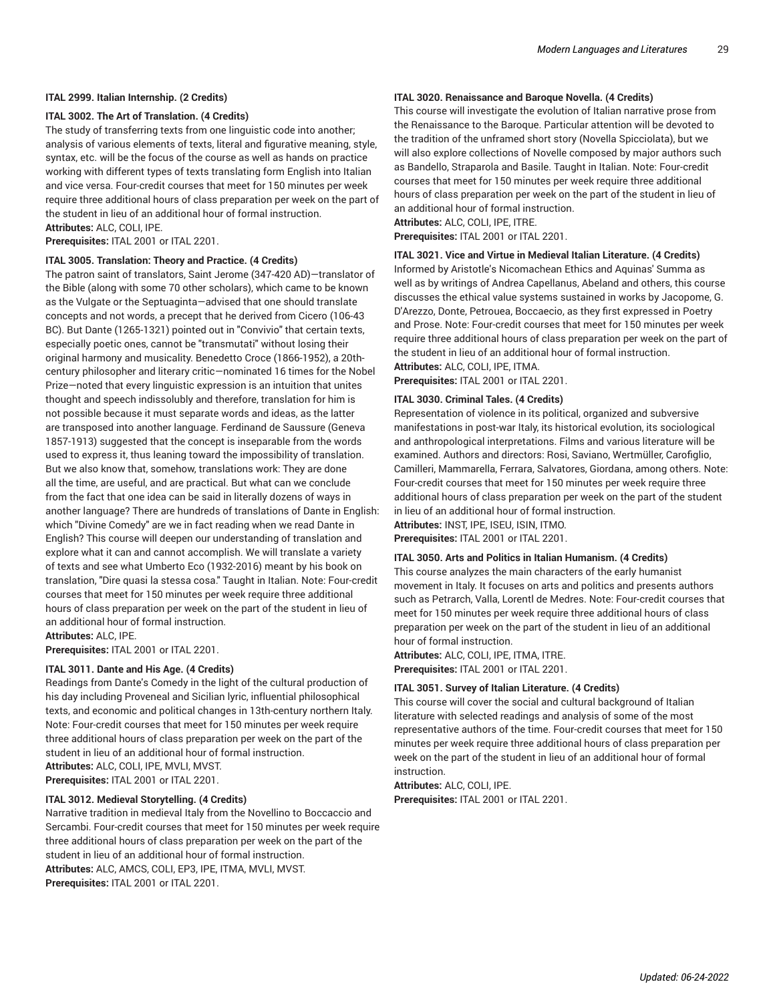#### **ITAL 2999. Italian Internship. (2 Credits)**

#### **ITAL 3002. The Art of Translation. (4 Credits)**

The study of transferring texts from one linguistic code into another; analysis of various elements of texts, literal and figurative meaning, style, syntax, etc. will be the focus of the course as well as hands on practice working with different types of texts translating form English into Italian and vice versa. Four-credit courses that meet for 150 minutes per week require three additional hours of class preparation per week on the part of the student in lieu of an additional hour of formal instruction. **Attributes:** ALC, COLI, IPE.

**Prerequisites:** ITAL 2001 or ITAL 2201.

#### **ITAL 3005. Translation: Theory and Practice. (4 Credits)**

The patron saint of translators, Saint Jerome (347-420 AD)—translator of the Bible (along with some 70 other scholars), which came to be known as the Vulgate or the Septuaginta—advised that one should translate concepts and not words, a precept that he derived from Cicero (106-43 BC). But Dante (1265-1321) pointed out in "Convivio" that certain texts, especially poetic ones, cannot be "transmutati" without losing their original harmony and musicality. Benedetto Croce (1866-1952), a 20thcentury philosopher and literary critic—nominated 16 times for the Nobel Prize—noted that every linguistic expression is an intuition that unites thought and speech indissolubly and therefore, translation for him is not possible because it must separate words and ideas, as the latter are transposed into another language. Ferdinand de Saussure (Geneva 1857-1913) suggested that the concept is inseparable from the words used to express it, thus leaning toward the impossibility of translation. But we also know that, somehow, translations work: They are done all the time, are useful, and are practical. But what can we conclude from the fact that one idea can be said in literally dozens of ways in another language? There are hundreds of translations of Dante in English: which "Divine Comedy" are we in fact reading when we read Dante in English? This course will deepen our understanding of translation and explore what it can and cannot accomplish. We will translate a variety of texts and see what Umberto Eco (1932-2016) meant by his book on translation, "Dire quasi la stessa cosa." Taught in Italian. Note: Four-credit courses that meet for 150 minutes per week require three additional hours of class preparation per week on the part of the student in lieu of an additional hour of formal instruction.

**Attributes:** ALC, IPE.

**Prerequisites:** ITAL 2001 or ITAL 2201.

#### **ITAL 3011. Dante and His Age. (4 Credits)**

Readings from Dante's Comedy in the light of the cultural production of his day including Proveneal and Sicilian lyric, influential philosophical texts, and economic and political changes in 13th-century northern Italy. Note: Four-credit courses that meet for 150 minutes per week require three additional hours of class preparation per week on the part of the student in lieu of an additional hour of formal instruction. **Attributes:** ALC, COLI, IPE, MVLI, MVST. **Prerequisites:** ITAL 2001 or ITAL 2201.

#### **ITAL 3012. Medieval Storytelling. (4 Credits)**

Narrative tradition in medieval Italy from the Novellino to Boccaccio and Sercambi. Four-credit courses that meet for 150 minutes per week require three additional hours of class preparation per week on the part of the student in lieu of an additional hour of formal instruction. **Attributes:** ALC, AMCS, COLI, EP3, IPE, ITMA, MVLI, MVST. **Prerequisites:** ITAL 2001 or ITAL 2201.

#### **ITAL 3020. Renaissance and Baroque Novella. (4 Credits)**

This course will investigate the evolution of Italian narrative prose from the Renaissance to the Baroque. Particular attention will be devoted to the tradition of the unframed short story (Novella Spicciolata), but we will also explore collections of Novelle composed by major authors such as Bandello, Straparola and Basile. Taught in Italian. Note: Four-credit courses that meet for 150 minutes per week require three additional hours of class preparation per week on the part of the student in lieu of an additional hour of formal instruction.

**Attributes:** ALC, COLI, IPE, ITRE.

**Prerequisites:** ITAL 2001 or ITAL 2201.

#### **ITAL 3021. Vice and Virtue in Medieval Italian Literature. (4 Credits)**

Informed by Aristotle's Nicomachean Ethics and Aquinas' Summa as well as by writings of Andrea Capellanus, Abeland and others, this course discusses the ethical value systems sustained in works by Jacopome, G. D'Arezzo, Donte, Petrouea, Boccaecio, as they first expressed in Poetry and Prose. Note: Four-credit courses that meet for 150 minutes per week require three additional hours of class preparation per week on the part of the student in lieu of an additional hour of formal instruction. **Attributes:** ALC, COLI, IPE, ITMA.

**Prerequisites:** ITAL 2001 or ITAL 2201.

#### **ITAL 3030. Criminal Tales. (4 Credits)**

Representation of violence in its political, organized and subversive manifestations in post-war Italy, its historical evolution, its sociological and anthropological interpretations. Films and various literature will be examined. Authors and directors: Rosi, Saviano, Wertmüller, Carofiglio, Camilleri, Mammarella, Ferrara, Salvatores, Giordana, among others. Note: Four-credit courses that meet for 150 minutes per week require three additional hours of class preparation per week on the part of the student in lieu of an additional hour of formal instruction.

**Attributes:** INST, IPE, ISEU, ISIN, ITMO.

**Prerequisites:** ITAL 2001 or ITAL 2201.

### **ITAL 3050. Arts and Politics in Italian Humanism. (4 Credits)**

This course analyzes the main characters of the early humanist movement in Italy. It focuses on arts and politics and presents authors such as Petrarch, Valla, Lorentl de Medres. Note: Four-credit courses that meet for 150 minutes per week require three additional hours of class preparation per week on the part of the student in lieu of an additional hour of formal instruction.

**Attributes:** ALC, COLI, IPE, ITMA, ITRE. **Prerequisites:** ITAL 2001 or ITAL 2201.

#### **ITAL 3051. Survey of Italian Literature. (4 Credits)**

This course will cover the social and cultural background of Italian literature with selected readings and analysis of some of the most representative authors of the time. Four-credit courses that meet for 150 minutes per week require three additional hours of class preparation per week on the part of the student in lieu of an additional hour of formal instruction.

**Attributes:** ALC, COLI, IPE.

**Prerequisites:** ITAL 2001 or ITAL 2201.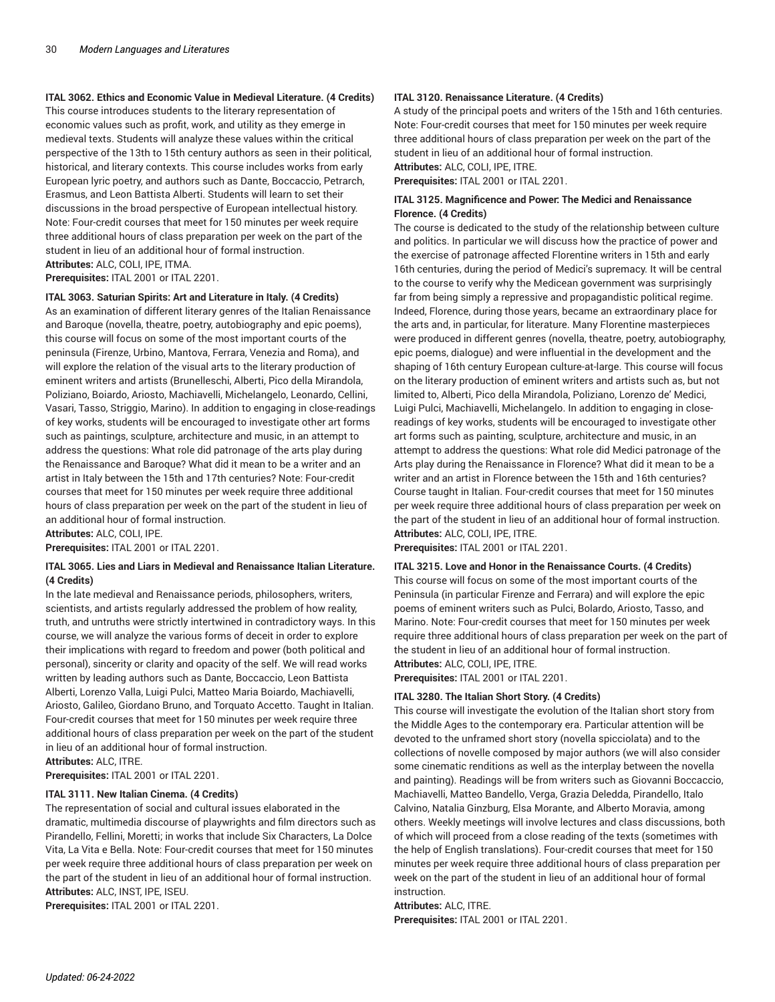### **ITAL 3062. Ethics and Economic Value in Medieval Literature. (4 Credits)**

This course introduces students to the literary representation of economic values such as profit, work, and utility as they emerge in medieval texts. Students will analyze these values within the critical perspective of the 13th to 15th century authors as seen in their political, historical, and literary contexts. This course includes works from early European lyric poetry, and authors such as Dante, Boccaccio, Petrarch, Erasmus, and Leon Battista Alberti. Students will learn to set their discussions in the broad perspective of European intellectual history. Note: Four-credit courses that meet for 150 minutes per week require three additional hours of class preparation per week on the part of the student in lieu of an additional hour of formal instruction. **Attributes:** ALC, COLI, IPE, ITMA.

**Prerequisites:** ITAL 2001 or ITAL 2201.

#### **ITAL 3063. Saturian Spirits: Art and Literature in Italy. (4 Credits)**

As an examination of different literary genres of the Italian Renaissance and Baroque (novella, theatre, poetry, autobiography and epic poems), this course will focus on some of the most important courts of the peninsula (Firenze, Urbino, Mantova, Ferrara, Venezia and Roma), and will explore the relation of the visual arts to the literary production of eminent writers and artists (Brunelleschi, Alberti, Pico della Mirandola, Poliziano, Boiardo, Ariosto, Machiavelli, Michelangelo, Leonardo, Cellini, Vasari, Tasso, Striggio, Marino). In addition to engaging in close-readings of key works, students will be encouraged to investigate other art forms such as paintings, sculpture, architecture and music, in an attempt to address the questions: What role did patronage of the arts play during the Renaissance and Baroque? What did it mean to be a writer and an artist in Italy between the 15th and 17th centuries? Note: Four-credit courses that meet for 150 minutes per week require three additional hours of class preparation per week on the part of the student in lieu of an additional hour of formal instruction.

**Attributes:** ALC, COLI, IPE.

**Prerequisites:** ITAL 2001 or ITAL 2201.

#### **ITAL 3065. Lies and Liars in Medieval and Renaissance Italian Literature. (4 Credits)**

In the late medieval and Renaissance periods, philosophers, writers, scientists, and artists regularly addressed the problem of how reality, truth, and untruths were strictly intertwined in contradictory ways. In this course, we will analyze the various forms of deceit in order to explore their implications with regard to freedom and power (both political and personal), sincerity or clarity and opacity of the self. We will read works written by leading authors such as Dante, Boccaccio, Leon Battista Alberti, Lorenzo Valla, Luigi Pulci, Matteo Maria Boiardo, Machiavelli, Ariosto, Galileo, Giordano Bruno, and Torquato Accetto. Taught in Italian. Four-credit courses that meet for 150 minutes per week require three additional hours of class preparation per week on the part of the student in lieu of an additional hour of formal instruction. **Attributes:** ALC, ITRE.

**Prerequisites:** ITAL 2001 or ITAL 2201.

#### **ITAL 3111. New Italian Cinema. (4 Credits)**

The representation of social and cultural issues elaborated in the dramatic, multimedia discourse of playwrights and film directors such as Pirandello, Fellini, Moretti; in works that include Six Characters, La Dolce Vita, La Vita e Bella. Note: Four-credit courses that meet for 150 minutes per week require three additional hours of class preparation per week on the part of the student in lieu of an additional hour of formal instruction. **Attributes:** ALC, INST, IPE, ISEU.

**Prerequisites:** ITAL 2001 or ITAL 2201.

#### **ITAL 3120. Renaissance Literature. (4 Credits)**

A study of the principal poets and writers of the 15th and 16th centuries. Note: Four-credit courses that meet for 150 minutes per week require three additional hours of class preparation per week on the part of the student in lieu of an additional hour of formal instruction. **Attributes:** ALC, COLI, IPE, ITRE.

**Prerequisites:** ITAL 2001 or ITAL 2201.

#### **ITAL 3125. Magnificence and Power: The Medici and Renaissance Florence. (4 Credits)**

The course is dedicated to the study of the relationship between culture and politics. In particular we will discuss how the practice of power and the exercise of patronage affected Florentine writers in 15th and early 16th centuries, during the period of Medici's supremacy. It will be central to the course to verify why the Medicean government was surprisingly far from being simply a repressive and propagandistic political regime. Indeed, Florence, during those years, became an extraordinary place for the arts and, in particular, for literature. Many Florentine masterpieces were produced in different genres (novella, theatre, poetry, autobiography, epic poems, dialogue) and were influential in the development and the shaping of 16th century European culture-at-large. This course will focus on the literary production of eminent writers and artists such as, but not limited to, Alberti, Pico della Mirandola, Poliziano, Lorenzo de' Medici, Luigi Pulci, Machiavelli, Michelangelo. In addition to engaging in closereadings of key works, students will be encouraged to investigate other art forms such as painting, sculpture, architecture and music, in an attempt to address the questions: What role did Medici patronage of the Arts play during the Renaissance in Florence? What did it mean to be a writer and an artist in Florence between the 15th and 16th centuries? Course taught in Italian. Four-credit courses that meet for 150 minutes per week require three additional hours of class preparation per week on the part of the student in lieu of an additional hour of formal instruction. **Attributes:** ALC, COLI, IPE, ITRE.

**Prerequisites:** ITAL 2001 or ITAL 2201.

#### **ITAL 3215. Love and Honor in the Renaissance Courts. (4 Credits)**

This course will focus on some of the most important courts of the Peninsula (in particular Firenze and Ferrara) and will explore the epic poems of eminent writers such as Pulci, Bolardo, Ariosto, Tasso, and Marino. Note: Four-credit courses that meet for 150 minutes per week require three additional hours of class preparation per week on the part of the student in lieu of an additional hour of formal instruction. **Attributes:** ALC, COLI, IPE, ITRE.

**Prerequisites:** ITAL 2001 or ITAL 2201.

#### **ITAL 3280. The Italian Short Story. (4 Credits)**

This course will investigate the evolution of the Italian short story from the Middle Ages to the contemporary era. Particular attention will be devoted to the unframed short story (novella spicciolata) and to the collections of novelle composed by major authors (we will also consider some cinematic renditions as well as the interplay between the novella and painting). Readings will be from writers such as Giovanni Boccaccio, Machiavelli, Matteo Bandello, Verga, Grazia Deledda, Pirandello, Italo Calvino, Natalia Ginzburg, Elsa Morante, and Alberto Moravia, among others. Weekly meetings will involve lectures and class discussions, both of which will proceed from a close reading of the texts (sometimes with the help of English translations). Four-credit courses that meet for 150 minutes per week require three additional hours of class preparation per week on the part of the student in lieu of an additional hour of formal instruction.

**Attributes:** ALC, ITRE. **Prerequisites:** ITAL 2001 or ITAL 2201.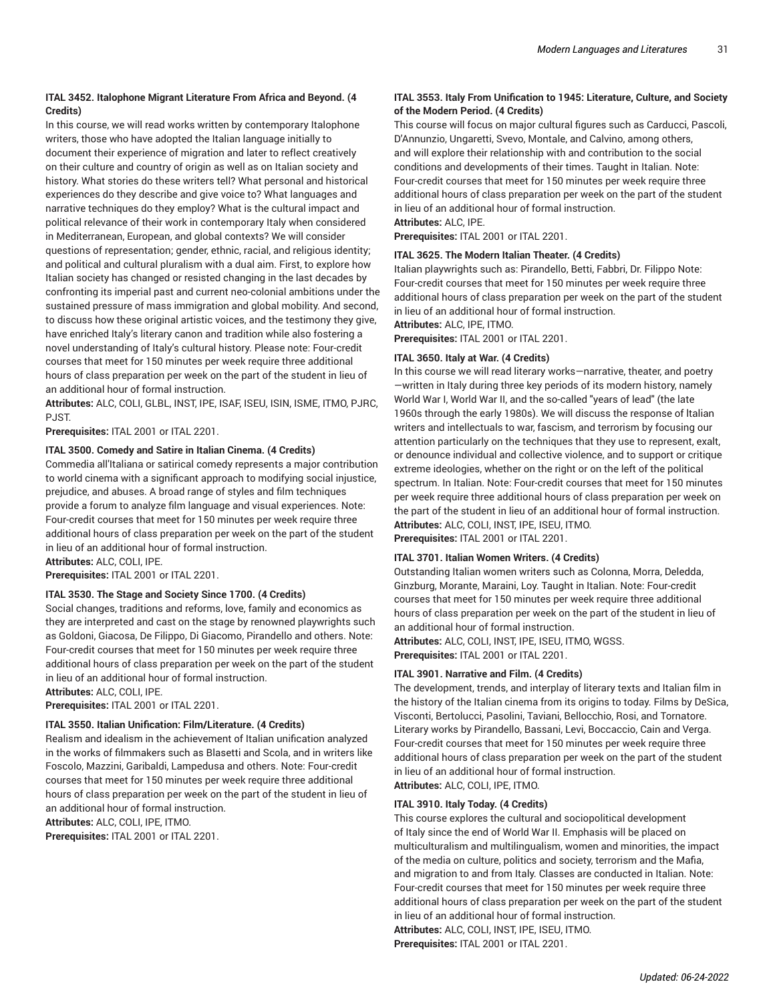#### **ITAL 3452. Italophone Migrant Literature From Africa and Beyond. (4 Credits)**

In this course, we will read works written by contemporary Italophone writers, those who have adopted the Italian language initially to document their experience of migration and later to reflect creatively on their culture and country of origin as well as on Italian society and history. What stories do these writers tell? What personal and historical experiences do they describe and give voice to? What languages and narrative techniques do they employ? What is the cultural impact and political relevance of their work in contemporary Italy when considered in Mediterranean, European, and global contexts? We will consider questions of representation; gender, ethnic, racial, and religious identity; and political and cultural pluralism with a dual aim. First, to explore how Italian society has changed or resisted changing in the last decades by confronting its imperial past and current neo-colonial ambitions under the sustained pressure of mass immigration and global mobility. And second, to discuss how these original artistic voices, and the testimony they give, have enriched Italy's literary canon and tradition while also fostering a novel understanding of Italy's cultural history. Please note: Four-credit courses that meet for 150 minutes per week require three additional hours of class preparation per week on the part of the student in lieu of an additional hour of formal instruction.

**Attributes:** ALC, COLI, GLBL, INST, IPE, ISAF, ISEU, ISIN, ISME, ITMO, PJRC, PJST.

**Prerequisites:** ITAL 2001 or ITAL 2201.

#### **ITAL 3500. Comedy and Satire in Italian Cinema. (4 Credits)**

Commedia all'Italiana or satirical comedy represents a major contribution to world cinema with a significant approach to modifying social injustice, prejudice, and abuses. A broad range of styles and film techniques provide a forum to analyze film language and visual experiences. Note: Four-credit courses that meet for 150 minutes per week require three additional hours of class preparation per week on the part of the student in lieu of an additional hour of formal instruction.

**Attributes:** ALC, COLI, IPE.

**Prerequisites:** ITAL 2001 or ITAL 2201.

#### **ITAL 3530. The Stage and Society Since 1700. (4 Credits)**

Social changes, traditions and reforms, love, family and economics as they are interpreted and cast on the stage by renowned playwrights such as Goldoni, Giacosa, De Filippo, Di Giacomo, Pirandello and others. Note: Four-credit courses that meet for 150 minutes per week require three additional hours of class preparation per week on the part of the student in lieu of an additional hour of formal instruction.

**Attributes:** ALC, COLI, IPE. **Prerequisites:** ITAL 2001 or ITAL 2201.

#### **ITAL 3550. Italian Unification: Film/Literature. (4 Credits)**

Realism and idealism in the achievement of Italian unification analyzed in the works of filmmakers such as Blasetti and Scola, and in writers like Foscolo, Mazzini, Garibaldi, Lampedusa and others. Note: Four-credit courses that meet for 150 minutes per week require three additional hours of class preparation per week on the part of the student in lieu of an additional hour of formal instruction. **Attributes:** ALC, COLI, IPE, ITMO.

**Prerequisites:** ITAL 2001 or ITAL 2201.

#### **ITAL 3553. Italy From Unification to 1945: Literature, Culture, and Society of the Modern Period. (4 Credits)**

This course will focus on major cultural figures such as Carducci, Pascoli, D'Annunzio, Ungaretti, Svevo, Montale, and Calvino, among others, and will explore their relationship with and contribution to the social conditions and developments of their times. Taught in Italian. Note: Four-credit courses that meet for 150 minutes per week require three additional hours of class preparation per week on the part of the student in lieu of an additional hour of formal instruction. **Attributes:** ALC, IPE.

**Prerequisites:** ITAL 2001 or ITAL 2201.

#### **ITAL 3625. The Modern Italian Theater. (4 Credits)**

Italian playwrights such as: Pirandello, Betti, Fabbri, Dr. Filippo Note: Four-credit courses that meet for 150 minutes per week require three additional hours of class preparation per week on the part of the student in lieu of an additional hour of formal instruction.

**Attributes:** ALC, IPE, ITMO.

**Prerequisites:** ITAL 2001 or ITAL 2201.

#### **ITAL 3650. Italy at War. (4 Credits)**

In this course we will read literary works—narrative, theater, and poetry —written in Italy during three key periods of its modern history, namely World War I, World War II, and the so-called "years of lead" (the late 1960s through the early 1980s). We will discuss the response of ltalian writers and intellectuals to war, fascism, and terrorism by focusing our attention particularly on the techniques that they use to represent, exalt, or denounce individual and collective violence, and to support or critique extreme ideologies, whether on the right or on the left of the political spectrum. In Italian. Note: Four-credit courses that meet for 150 minutes per week require three additional hours of class preparation per week on the part of the student in lieu of an additional hour of formal instruction. **Attributes:** ALC, COLI, INST, IPE, ISEU, ITMO.

**Prerequisites:** ITAL 2001 or ITAL 2201.

#### **ITAL 3701. Italian Women Writers. (4 Credits)**

Outstanding Italian women writers such as Colonna, Morra, Deledda, Ginzburg, Morante, Maraini, Loy. Taught in Italian. Note: Four-credit courses that meet for 150 minutes per week require three additional hours of class preparation per week on the part of the student in lieu of an additional hour of formal instruction.

**Attributes:** ALC, COLI, INST, IPE, ISEU, ITMO, WGSS. **Prerequisites:** ITAL 2001 or ITAL 2201.

#### **ITAL 3901. Narrative and Film. (4 Credits)**

The development, trends, and interplay of literary texts and Italian film in the history of the Italian cinema from its origins to today. Films by DeSica, Visconti, Bertolucci, Pasolini, Taviani, Bellocchio, Rosi, and Tornatore. Literary works by Pirandello, Bassani, Levi, Boccaccio, Cain and Verga. Four-credit courses that meet for 150 minutes per week require three additional hours of class preparation per week on the part of the student in lieu of an additional hour of formal instruction.

**Attributes:** ALC, COLI, IPE, ITMO.

#### **ITAL 3910. Italy Today. (4 Credits)**

This course explores the cultural and sociopolitical development of Italy since the end of World War II. Emphasis will be placed on multiculturalism and multilingualism, women and minorities, the impact of the media on culture, politics and society, terrorism and the Mafia, and migration to and from Italy. Classes are conducted in Italian. Note: Four-credit courses that meet for 150 minutes per week require three additional hours of class preparation per week on the part of the student in lieu of an additional hour of formal instruction. **Attributes:** ALC, COLI, INST, IPE, ISEU, ITMO. **Prerequisites:** ITAL 2001 or ITAL 2201.

*Updated: 06-24-2022*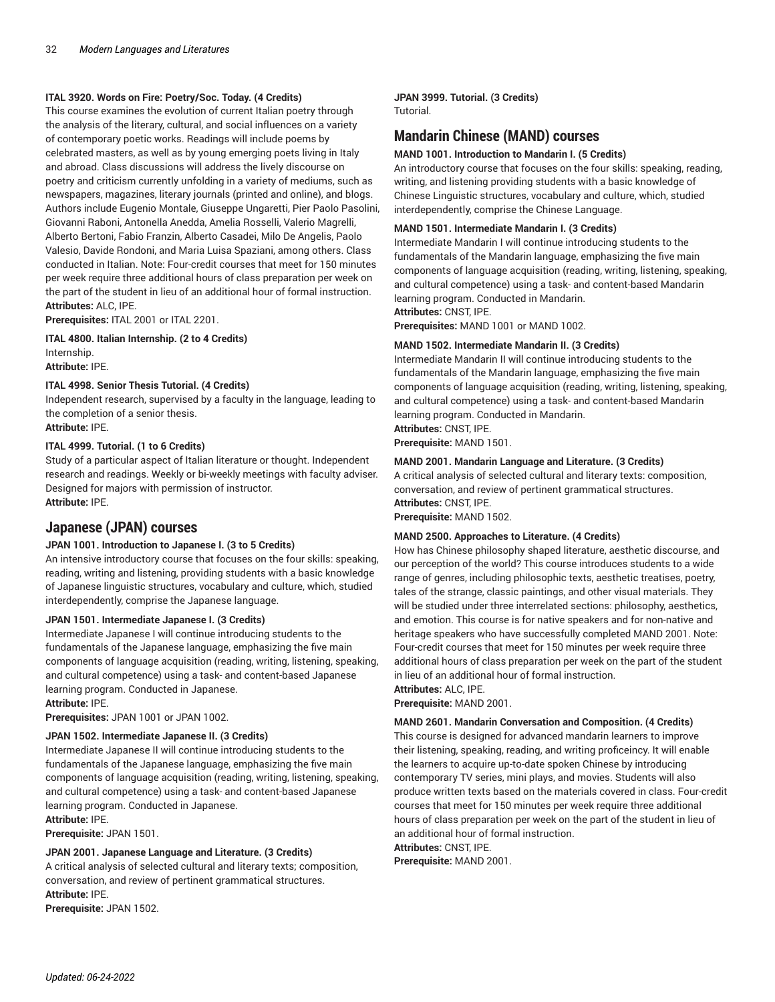#### **ITAL 3920. Words on Fire: Poetry/Soc. Today. (4 Credits)**

This course examines the evolution of current Italian poetry through the analysis of the literary, cultural, and social influences on a variety of contemporary poetic works. Readings will include poems by celebrated masters, as well as by young emerging poets living in Italy and abroad. Class discussions will address the lively discourse on poetry and criticism currently unfolding in a variety of mediums, such as newspapers, magazines, literary journals (printed and online), and blogs. Authors include Eugenio Montale, Giuseppe Ungaretti, Pier Paolo Pasolini, Giovanni Raboni, Antonella Anedda, Amelia Rosselli, Valerio Magrelli, Alberto Bertoni, Fabio Franzin, Alberto Casadei, Milo De Angelis, Paolo Valesio, Davide Rondoni, and Maria Luisa Spaziani, among others. Class conducted in Italian. Note: Four-credit courses that meet for 150 minutes per week require three additional hours of class preparation per week on the part of the student in lieu of an additional hour of formal instruction. **Attributes:** ALC, IPE.

**Prerequisites:** ITAL 2001 or ITAL 2201.

**ITAL 4800. Italian Internship. (2 to 4 Credits)** Internship. **Attribute:** IPE.

#### **ITAL 4998. Senior Thesis Tutorial. (4 Credits)**

Independent research, supervised by a faculty in the language, leading to the completion of a senior thesis. **Attribute:** IPE.

#### **ITAL 4999. Tutorial. (1 to 6 Credits)**

Study of a particular aspect of Italian literature or thought. Independent research and readings. Weekly or bi-weekly meetings with faculty adviser. Designed for majors with permission of instructor. **Attribute:** IPE.

# **Japanese (JPAN) courses**

#### **JPAN 1001. Introduction to Japanese I. (3 to 5 Credits)**

An intensive introductory course that focuses on the four skills: speaking, reading, writing and listening, providing students with a basic knowledge of Japanese linguistic structures, vocabulary and culture, which, studied interdependently, comprise the Japanese language.

#### **JPAN 1501. Intermediate Japanese I. (3 Credits)**

Intermediate Japanese I will continue introducing students to the fundamentals of the Japanese language, emphasizing the five main components of language acquisition (reading, writing, listening, speaking, and cultural competence) using a task- and content-based Japanese learning program. Conducted in Japanese.

**Attribute:** IPE.

**Prerequisites:** JPAN 1001 or JPAN 1002.

#### **JPAN 1502. Intermediate Japanese II. (3 Credits)**

Intermediate Japanese II will continue introducing students to the fundamentals of the Japanese language, emphasizing the five main components of language acquisition (reading, writing, listening, speaking, and cultural competence) using a task- and content-based Japanese learning program. Conducted in Japanese.

**Attribute:** IPE. **Prerequisite:** JPAN 1501.

#### **JPAN 2001. Japanese Language and Literature. (3 Credits)**

A critical analysis of selected cultural and literary texts; composition, conversation, and review of pertinent grammatical structures. **Attribute:** IPE.

**Prerequisite:** JPAN 1502.

#### **JPAN 3999. Tutorial. (3 Credits)** Tutorial.

# **Mandarin Chinese (MAND) courses**

#### **MAND 1001. Introduction to Mandarin I. (5 Credits)**

An introductory course that focuses on the four skills: speaking, reading, writing, and listening providing students with a basic knowledge of Chinese Linguistic structures, vocabulary and culture, which, studied interdependently, comprise the Chinese Language.

#### **MAND 1501. Intermediate Mandarin I. (3 Credits)**

Intermediate Mandarin I will continue introducing students to the fundamentals of the Mandarin language, emphasizing the five main components of language acquisition (reading, writing, listening, speaking, and cultural competence) using a task- and content-based Mandarin learning program. Conducted in Mandarin.

# **Attributes:** CNST, IPE.

**Prerequisites:** MAND 1001 or MAND 1002.

#### **MAND 1502. Intermediate Mandarin II. (3 Credits)**

Intermediate Mandarin II will continue introducing students to the fundamentals of the Mandarin language, emphasizing the five main components of language acquisition (reading, writing, listening, speaking, and cultural competence) using a task- and content-based Mandarin learning program. Conducted in Mandarin. **Attributes:** CNST, IPE.

**Prerequisite:** MAND 1501.

#### **MAND 2001. Mandarin Language and Literature. (3 Credits)**

A critical analysis of selected cultural and literary texts: composition, conversation, and review of pertinent grammatical structures. **Attributes:** CNST, IPE.

**Prerequisite:** MAND 1502.

#### **MAND 2500. Approaches to Literature. (4 Credits)**

How has Chinese philosophy shaped literature, aesthetic discourse, and our perception of the world? This course introduces students to a wide range of genres, including philosophic texts, aesthetic treatises, poetry, tales of the strange, classic paintings, and other visual materials. They will be studied under three interrelated sections: philosophy, aesthetics, and emotion. This course is for native speakers and for non-native and heritage speakers who have successfully completed MAND 2001. Note: Four-credit courses that meet for 150 minutes per week require three additional hours of class preparation per week on the part of the student in lieu of an additional hour of formal instruction. **Attributes:** ALC, IPE.

**Prerequisite:** MAND 2001.

#### **MAND 2601. Mandarin Conversation and Composition. (4 Credits)**

This course is designed for advanced mandarin learners to improve their listening, speaking, reading, and writing proficeincy. It will enable the learners to acquire up-to-date spoken Chinese by introducing contemporary TV series, mini plays, and movies. Students will also produce written texts based on the materials covered in class. Four-credit courses that meet for 150 minutes per week require three additional hours of class preparation per week on the part of the student in lieu of an additional hour of formal instruction.

**Attributes:** CNST, IPE.

**Prerequisite:** MAND 2001.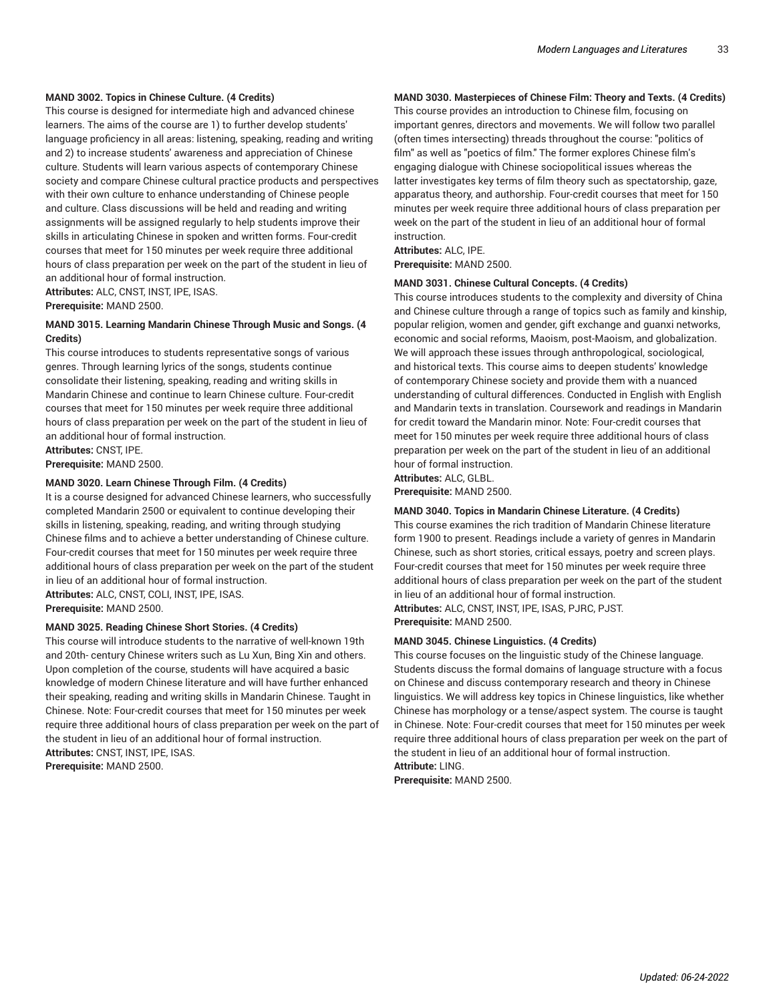#### **MAND 3002. Topics in Chinese Culture. (4 Credits)**

This course is designed for intermediate high and advanced chinese learners. The aims of the course are 1) to further develop students' language proficiency in all areas: listening, speaking, reading and writing and 2) to increase students' awareness and appreciation of Chinese culture. Students will learn various aspects of contemporary Chinese society and compare Chinese cultural practice products and perspectives with their own culture to enhance understanding of Chinese people and culture. Class discussions will be held and reading and writing assignments will be assigned regularly to help students improve their skills in articulating Chinese in spoken and written forms. Four-credit courses that meet for 150 minutes per week require three additional hours of class preparation per week on the part of the student in lieu of an additional hour of formal instruction. **Attributes:** ALC, CNST, INST, IPE, ISAS.

**Prerequisite:** MAND 2500.

#### **MAND 3015. Learning Mandarin Chinese Through Music and Songs. (4 Credits)**

This course introduces to students representative songs of various genres. Through learning lyrics of the songs, students continue consolidate their listening, speaking, reading and writing skills in Mandarin Chinese and continue to learn Chinese culture. Four-credit courses that meet for 150 minutes per week require three additional hours of class preparation per week on the part of the student in lieu of an additional hour of formal instruction. **Attributes:** CNST, IPE.

**Prerequisite:** MAND 2500.

#### **MAND 3020. Learn Chinese Through Film. (4 Credits)**

It is a course designed for advanced Chinese learners, who successfully completed Mandarin 2500 or equivalent to continue developing their skills in listening, speaking, reading, and writing through studying Chinese films and to achieve a better understanding of Chinese culture. Four-credit courses that meet for 150 minutes per week require three additional hours of class preparation per week on the part of the student in lieu of an additional hour of formal instruction. **Attributes:** ALC, CNST, COLI, INST, IPE, ISAS.

**Prerequisite:** MAND 2500.

#### **MAND 3025. Reading Chinese Short Stories. (4 Credits)**

This course will introduce students to the narrative of well-known 19th and 20th- century Chinese writers such as Lu Xun, Bing Xin and others. Upon completion of the course, students will have acquired a basic knowledge of modern Chinese literature and will have further enhanced their speaking, reading and writing skills in Mandarin Chinese. Taught in Chinese. Note: Four-credit courses that meet for 150 minutes per week require three additional hours of class preparation per week on the part of the student in lieu of an additional hour of formal instruction. **Attributes:** CNST, INST, IPE, ISAS. **Prerequisite:** MAND 2500.

#### **MAND 3030. Masterpieces of Chinese Film: Theory and Texts. (4 Credits)**

This course provides an introduction to Chinese film, focusing on important genres, directors and movements. We will follow two parallel (often times intersecting) threads throughout the course: "politics of film" as well as "poetics of film." The former explores Chinese film's engaging dialogue with Chinese sociopolitical issues whereas the latter investigates key terms of film theory such as spectatorship, gaze, apparatus theory, and authorship. Four-credit courses that meet for 150 minutes per week require three additional hours of class preparation per week on the part of the student in lieu of an additional hour of formal instruction.

**Attributes:** ALC, IPE.

**Prerequisite:** MAND 2500.

#### **MAND 3031. Chinese Cultural Concepts. (4 Credits)**

This course introduces students to the complexity and diversity of China and Chinese culture through a range of topics such as family and kinship, popular religion, women and gender, gift exchange and guanxi networks, economic and social reforms, Maoism, post-Maoism, and globalization. We will approach these issues through anthropological, sociological, and historical texts. This course aims to deepen students' knowledge of contemporary Chinese society and provide them with a nuanced understanding of cultural differences. Conducted in English with English and Mandarin texts in translation. Coursework and readings in Mandarin for credit toward the Mandarin minor. Note: Four-credit courses that meet for 150 minutes per week require three additional hours of class preparation per week on the part of the student in lieu of an additional hour of formal instruction.

# **Attributes:** ALC, GLBL.

**Prerequisite:** MAND 2500.

#### **MAND 3040. Topics in Mandarin Chinese Literature. (4 Credits)**

This course examines the rich tradition of Mandarin Chinese literature form 1900 to present. Readings include a variety of genres in Mandarin Chinese, such as short stories, critical essays, poetry and screen plays. Four-credit courses that meet for 150 minutes per week require three additional hours of class preparation per week on the part of the student in lieu of an additional hour of formal instruction.

**Attributes:** ALC, CNST, INST, IPE, ISAS, PJRC, PJST.

**Prerequisite:** MAND 2500.

#### **MAND 3045. Chinese Linguistics. (4 Credits)**

This course focuses on the linguistic study of the Chinese language. Students discuss the formal domains of language structure with a focus on Chinese and discuss contemporary research and theory in Chinese linguistics. We will address key topics in Chinese linguistics, like whether Chinese has morphology or a tense/aspect system. The course is taught in Chinese. Note: Four-credit courses that meet for 150 minutes per week require three additional hours of class preparation per week on the part of the student in lieu of an additional hour of formal instruction.

**Attribute:** LING.

**Prerequisite:** MAND 2500.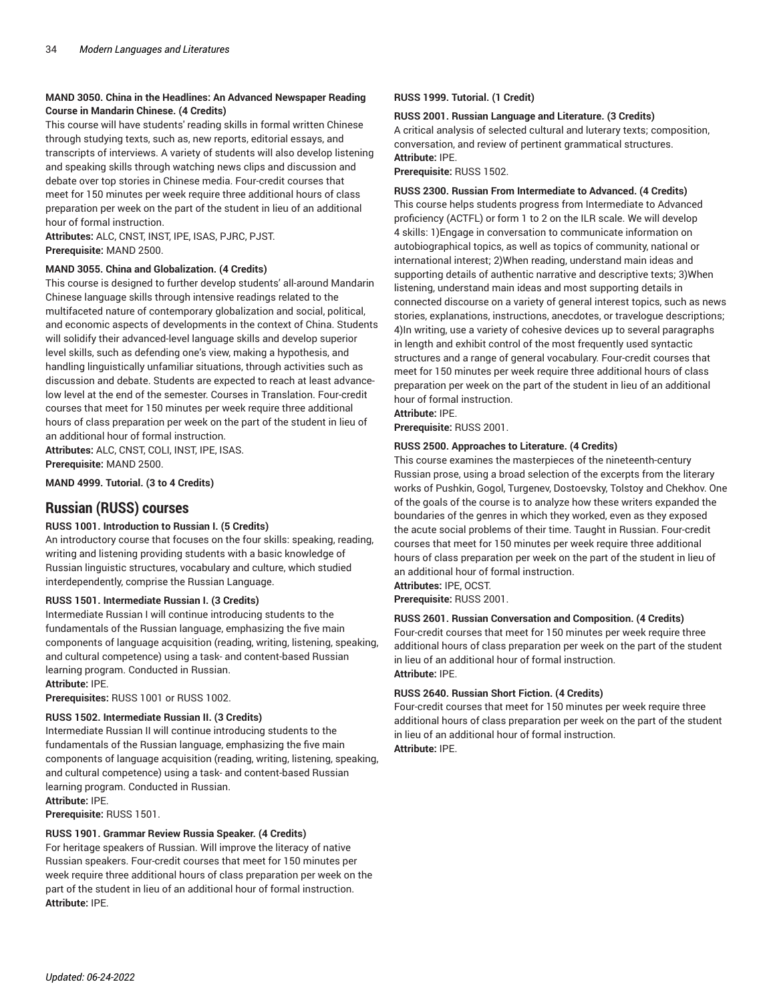### **MAND 3050. China in the Headlines: An Advanced Newspaper Reading Course in Mandarin Chinese. (4 Credits)**

This course will have students' reading skills in formal written Chinese through studying texts, such as, new reports, editorial essays, and transcripts of interviews. A variety of students will also develop listening and speaking skills through watching news clips and discussion and debate over top stories in Chinese media. Four-credit courses that meet for 150 minutes per week require three additional hours of class preparation per week on the part of the student in lieu of an additional hour of formal instruction.

**Attributes:** ALC, CNST, INST, IPE, ISAS, PJRC, PJST. **Prerequisite:** MAND 2500.

#### **MAND 3055. China and Globalization. (4 Credits)**

This course is designed to further develop students' all-around Mandarin Chinese language skills through intensive readings related to the multifaceted nature of contemporary globalization and social, political, and economic aspects of developments in the context of China. Students will solidify their advanced-level language skills and develop superior level skills, such as defending one's view, making a hypothesis, and handling linguistically unfamiliar situations, through activities such as discussion and debate. Students are expected to reach at least advancelow level at the end of the semester. Courses in Translation. Four-credit courses that meet for 150 minutes per week require three additional hours of class preparation per week on the part of the student in lieu of an additional hour of formal instruction. **Attributes:** ALC, CNST, COLI, INST, IPE, ISAS.

**Prerequisite:** MAND 2500.

**MAND 4999. Tutorial. (3 to 4 Credits)**

# **Russian (RUSS) courses**

#### **RUSS 1001. Introduction to Russian I. (5 Credits)**

An introductory course that focuses on the four skills: speaking, reading, writing and listening providing students with a basic knowledge of Russian linguistic structures, vocabulary and culture, which studied interdependently, comprise the Russian Language.

#### **RUSS 1501. Intermediate Russian I. (3 Credits)**

Intermediate Russian I will continue introducing students to the fundamentals of the Russian language, emphasizing the five main components of language acquisition (reading, writing, listening, speaking, and cultural competence) using a task- and content-based Russian learning program. Conducted in Russian. **Attribute:** IPE.

**Prerequisites:** RUSS 1001 or RUSS 1002.

#### **RUSS 1502. Intermediate Russian II. (3 Credits)**

Intermediate Russian II will continue introducing students to the fundamentals of the Russian language, emphasizing the five main components of language acquisition (reading, writing, listening, speaking, and cultural competence) using a task- and content-based Russian learning program. Conducted in Russian. **Attribute:** IPE.

**Prerequisite:** RUSS 1501.

#### **RUSS 1901. Grammar Review Russia Speaker. (4 Credits)**

For heritage speakers of Russian. Will improve the literacy of native Russian speakers. Four-credit courses that meet for 150 minutes per week require three additional hours of class preparation per week on the part of the student in lieu of an additional hour of formal instruction. **Attribute:** IPE.

#### **RUSS 1999. Tutorial. (1 Credit)**

#### **RUSS 2001. Russian Language and Literature. (3 Credits)**

A critical analysis of selected cultural and luterary texts; composition, conversation, and review of pertinent grammatical structures. **Attribute:** IPE.

**Prerequisite:** RUSS 1502.

#### **RUSS 2300. Russian From Intermediate to Advanced. (4 Credits)**

This course helps students progress from Intermediate to Advanced proficiency (ACTFL) or form 1 to 2 on the ILR scale. We will develop 4 skills: 1)Engage in conversation to communicate information on autobiographical topics, as well as topics of community, national or international interest; 2)When reading, understand main ideas and supporting details of authentic narrative and descriptive texts; 3)When listening, understand main ideas and most supporting details in connected discourse on a variety of general interest topics, such as news stories, explanations, instructions, anecdotes, or travelogue descriptions; 4)In writing, use a variety of cohesive devices up to several paragraphs in length and exhibit control of the most frequently used syntactic structures and a range of general vocabulary. Four-credit courses that meet for 150 minutes per week require three additional hours of class preparation per week on the part of the student in lieu of an additional hour of formal instruction.

**Attribute:** IPE.

**Prerequisite:** RUSS 2001.

#### **RUSS 2500. Approaches to Literature. (4 Credits)**

This course examines the masterpieces of the nineteenth-century Russian prose, using a broad selection of the excerpts from the literary works of Pushkin, Gogol, Turgenev, Dostoevsky, Tolstoy and Chekhov. One of the goals of the course is to analyze how these writers expanded the boundaries of the genres in which they worked, even as they exposed the acute social problems of their time. Taught in Russian. Four-credit courses that meet for 150 minutes per week require three additional hours of class preparation per week on the part of the student in lieu of an additional hour of formal instruction. **Attributes:** IPE, OCST.

**Prerequisite:** RUSS 2001.

#### **RUSS 2601. Russian Conversation and Composition. (4 Credits)**

Four-credit courses that meet for 150 minutes per week require three additional hours of class preparation per week on the part of the student in lieu of an additional hour of formal instruction. **Attribute:** IPE.

#### **RUSS 2640. Russian Short Fiction. (4 Credits)**

Four-credit courses that meet for 150 minutes per week require three additional hours of class preparation per week on the part of the student in lieu of an additional hour of formal instruction. **Attribute:** IPE.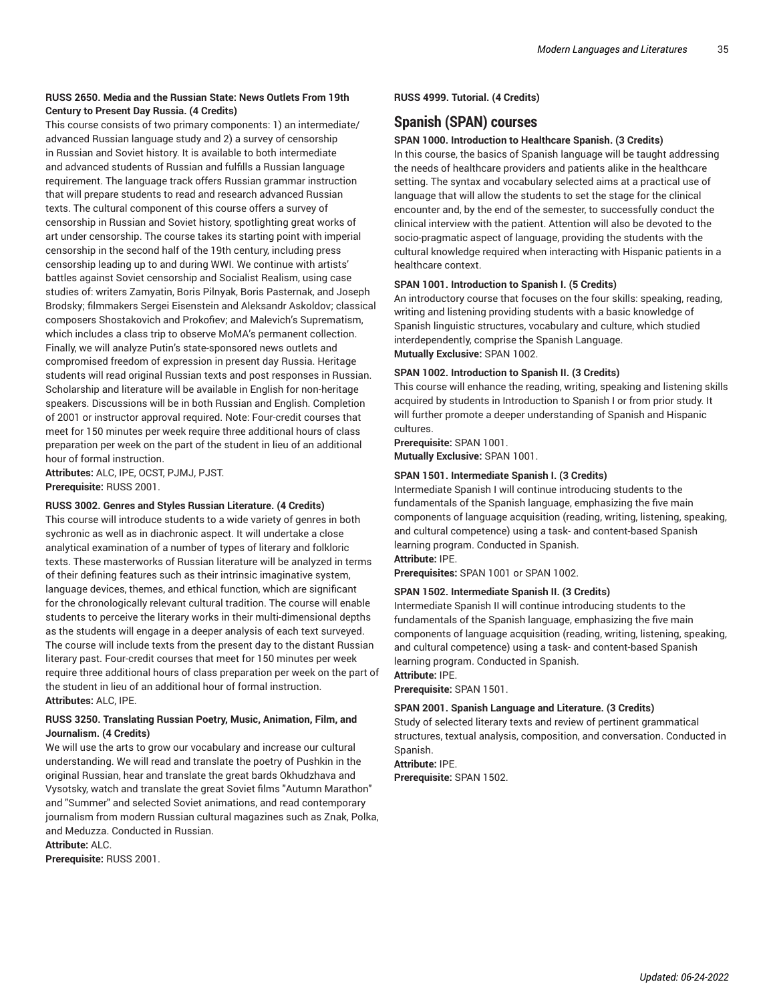# **RUSS 2650. Media and the Russian State: News Outlets From 19th Century to Present Day Russia. (4 Credits)**

This course consists of two primary components: 1) an intermediate/ advanced Russian language study and 2) a survey of censorship in Russian and Soviet history. It is available to both intermediate and advanced students of Russian and fulfills a Russian language requirement. The language track offers Russian grammar instruction that will prepare students to read and research advanced Russian texts. The cultural component of this course offers a survey of censorship in Russian and Soviet history, spotlighting great works of art under censorship. The course takes its starting point with imperial censorship in the second half of the 19th century, including press censorship leading up to and during WWI. We continue with artists' battles against Soviet censorship and Socialist Realism, using case studies of: writers Zamyatin, Boris Pilnyak, Boris Pasternak, and Joseph Brodsky; filmmakers Sergei Eisenstein and Aleksandr Askoldov; classical composers Shostakovich and Prokofiev; and Malevich's Suprematism, which includes a class trip to observe MoMA's permanent collection. Finally, we will analyze Putin's state-sponsored news outlets and compromised freedom of expression in present day Russia. Heritage students will read original Russian texts and post responses in Russian. Scholarship and literature will be available in English for non-heritage speakers. Discussions will be in both Russian and English. Completion of 2001 or instructor approval required. Note: Four-credit courses that meet for 150 minutes per week require three additional hours of class preparation per week on the part of the student in lieu of an additional hour of formal instruction.

**Attributes:** ALC, IPE, OCST, PJMJ, PJST. **Prerequisite:** RUSS 2001.

#### **RUSS 3002. Genres and Styles Russian Literature. (4 Credits)**

This course will introduce students to a wide variety of genres in both sychronic as well as in diachronic aspect. It will undertake a close analytical examination of a number of types of literary and folkloric texts. These masterworks of Russian literature will be analyzed in terms of their defining features such as their intrinsic imaginative system, language devices, themes, and ethical function, which are significant for the chronologically relevant cultural tradition. The course will enable students to perceive the literary works in their multi-dimensional depths as the students will engage in a deeper analysis of each text surveyed. The course will include texts from the present day to the distant Russian literary past. Four-credit courses that meet for 150 minutes per week require three additional hours of class preparation per week on the part of the student in lieu of an additional hour of formal instruction. **Attributes:** ALC, IPE.

#### **RUSS 3250. Translating Russian Poetry, Music, Animation, Film, and Journalism. (4 Credits)**

We will use the arts to grow our vocabulary and increase our cultural understanding. We will read and translate the poetry of Pushkin in the original Russian, hear and translate the great bards Okhudzhava and Vysotsky, watch and translate the great Soviet films "Autumn Marathon" and "Summer" and selected Soviet animations, and read contemporary journalism from modern Russian cultural magazines such as Znak, Polka, and Meduzza. Conducted in Russian.

**Attribute:** ALC.

**Prerequisite:** RUSS 2001.

**RUSS 4999. Tutorial. (4 Credits)**

# **Spanish (SPAN) courses**

#### **SPAN 1000. Introduction to Healthcare Spanish. (3 Credits)**

In this course, the basics of Spanish language will be taught addressing the needs of healthcare providers and patients alike in the healthcare setting. The syntax and vocabulary selected aims at a practical use of language that will allow the students to set the stage for the clinical encounter and, by the end of the semester, to successfully conduct the clinical interview with the patient. Attention will also be devoted to the socio-pragmatic aspect of language, providing the students with the cultural knowledge required when interacting with Hispanic patients in a healthcare context.

#### **SPAN 1001. Introduction to Spanish I. (5 Credits)**

An introductory course that focuses on the four skills: speaking, reading, writing and listening providing students with a basic knowledge of Spanish linguistic structures, vocabulary and culture, which studied interdependently, comprise the Spanish Language. **Mutually Exclusive:** SPAN 1002.

#### **SPAN 1002. Introduction to Spanish II. (3 Credits)**

This course will enhance the reading, writing, speaking and listening skills acquired by students in Introduction to Spanish I or from prior study. It will further promote a deeper understanding of Spanish and Hispanic cultures.

### **Prerequisite:** SPAN 1001.

**Mutually Exclusive:** SPAN 1001.

#### **SPAN 1501. Intermediate Spanish I. (3 Credits)**

Intermediate Spanish I will continue introducing students to the fundamentals of the Spanish language, emphasizing the five main components of language acquisition (reading, writing, listening, speaking, and cultural competence) using a task- and content-based Spanish learning program. Conducted in Spanish. **Attribute:** IPE.

**Prerequisites:** SPAN 1001 or SPAN 1002.

#### **SPAN 1502. Intermediate Spanish II. (3 Credits)**

Intermediate Spanish II will continue introducing students to the fundamentals of the Spanish language, emphasizing the five main components of language acquisition (reading, writing, listening, speaking, and cultural competence) using a task- and content-based Spanish learning program. Conducted in Spanish.

## **Attribute:** IPE.

**Prerequisite:** SPAN 1501.

#### **SPAN 2001. Spanish Language and Literature. (3 Credits)**

Study of selected literary texts and review of pertinent grammatical structures, textual analysis, composition, and conversation. Conducted in Spanish.

**Attribute:** IPE. **Prerequisite:** SPAN 1502.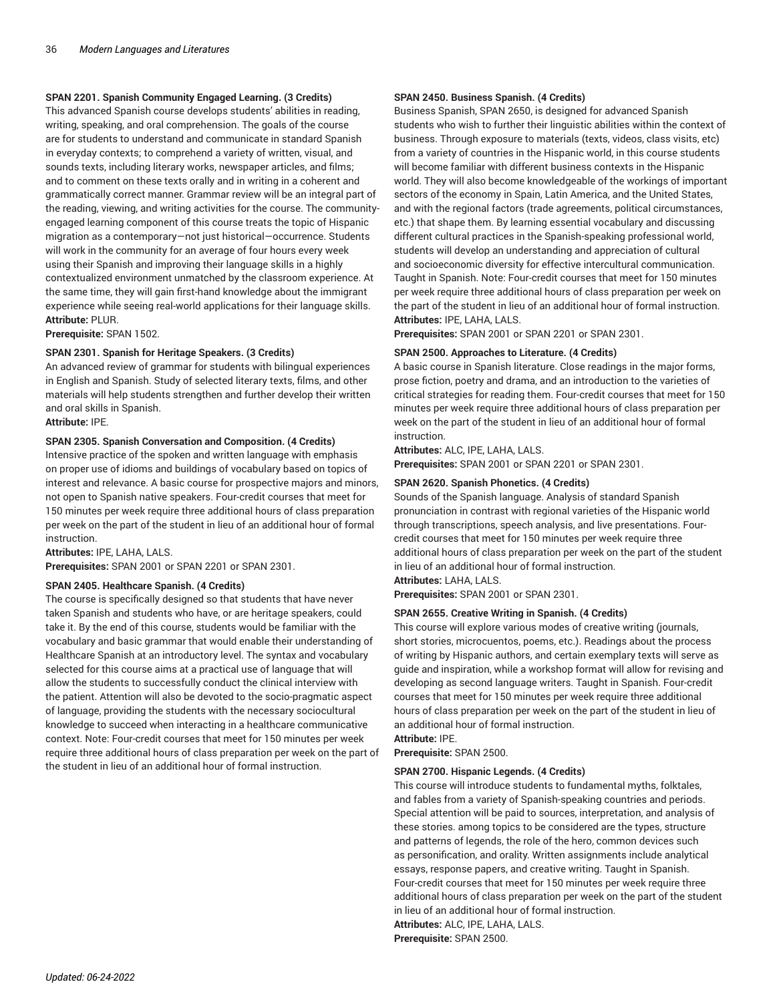#### **SPAN 2201. Spanish Community Engaged Learning. (3 Credits)**

This advanced Spanish course develops students' abilities in reading, writing, speaking, and oral comprehension. The goals of the course are for students to understand and communicate in standard Spanish in everyday contexts; to comprehend a variety of written, visual, and sounds texts, including literary works, newspaper articles, and films; and to comment on these texts orally and in writing in a coherent and grammatically correct manner. Grammar review will be an integral part of the reading, viewing, and writing activities for the course. The communityengaged learning component of this course treats the topic of Hispanic migration as a contemporary—not just historical—occurrence. Students will work in the community for an average of four hours every week using their Spanish and improving their language skills in a highly contextualized environment unmatched by the classroom experience. At the same time, they will gain first-hand knowledge about the immigrant experience while seeing real-world applications for their language skills. **Attribute:** PLUR.

**Prerequisite:** SPAN 1502.

#### **SPAN 2301. Spanish for Heritage Speakers. (3 Credits)**

An advanced review of grammar for students with bilingual experiences in English and Spanish. Study of selected literary texts, films, and other materials will help students strengthen and further develop their written and oral skills in Spanish.

**Attribute:** IPE.

#### **SPAN 2305. Spanish Conversation and Composition. (4 Credits)**

Intensive practice of the spoken and written language with emphasis on proper use of idioms and buildings of vocabulary based on topics of interest and relevance. A basic course for prospective majors and minors, not open to Spanish native speakers. Four-credit courses that meet for 150 minutes per week require three additional hours of class preparation per week on the part of the student in lieu of an additional hour of formal instruction.

**Attributes:** IPE, LAHA, LALS.

**Prerequisites:** SPAN 2001 or SPAN 2201 or SPAN 2301.

#### **SPAN 2405. Healthcare Spanish. (4 Credits)**

The course is specifically designed so that students that have never taken Spanish and students who have, or are heritage speakers, could take it. By the end of this course, students would be familiar with the vocabulary and basic grammar that would enable their understanding of Healthcare Spanish at an introductory level. The syntax and vocabulary selected for this course aims at a practical use of language that will allow the students to successfully conduct the clinical interview with the patient. Attention will also be devoted to the socio-pragmatic aspect of language, providing the students with the necessary sociocultural knowledge to succeed when interacting in a healthcare communicative context. Note: Four-credit courses that meet for 150 minutes per week require three additional hours of class preparation per week on the part of the student in lieu of an additional hour of formal instruction.

#### **SPAN 2450. Business Spanish. (4 Credits)**

Business Spanish, SPAN 2650, is designed for advanced Spanish students who wish to further their linguistic abilities within the context of business. Through exposure to materials (texts, videos, class visits, etc) from a variety of countries in the Hispanic world, in this course students will become familiar with different business contexts in the Hispanic world. They will also become knowledgeable of the workings of important sectors of the economy in Spain, Latin America, and the United States, and with the regional factors (trade agreements, political circumstances, etc.) that shape them. By learning essential vocabulary and discussing different cultural practices in the Spanish-speaking professional world, students will develop an understanding and appreciation of cultural and socioeconomic diversity for effective intercultural communication. Taught in Spanish. Note: Four-credit courses that meet for 150 minutes per week require three additional hours of class preparation per week on the part of the student in lieu of an additional hour of formal instruction. **Attributes:** IPE, LAHA, LALS.

**Prerequisites:** SPAN 2001 or SPAN 2201 or SPAN 2301.

#### **SPAN 2500. Approaches to Literature. (4 Credits)**

A basic course in Spanish literature. Close readings in the major forms, prose fiction, poetry and drama, and an introduction to the varieties of critical strategies for reading them. Four-credit courses that meet for 150 minutes per week require three additional hours of class preparation per week on the part of the student in lieu of an additional hour of formal instruction.

**Attributes:** ALC, IPE, LAHA, LALS.

**Prerequisites:** SPAN 2001 or SPAN 2201 or SPAN 2301.

#### **SPAN 2620. Spanish Phonetics. (4 Credits)**

Sounds of the Spanish language. Analysis of standard Spanish pronunciation in contrast with regional varieties of the Hispanic world through transcriptions, speech analysis, and live presentations. Fourcredit courses that meet for 150 minutes per week require three additional hours of class preparation per week on the part of the student in lieu of an additional hour of formal instruction.

**Attributes:** LAHA, LALS.

**Prerequisites:** SPAN 2001 or SPAN 2301.

#### **SPAN 2655. Creative Writing in Spanish. (4 Credits)**

This course will explore various modes of creative writing (journals, short stories, microcuentos, poems, etc.). Readings about the process of writing by Hispanic authors, and certain exemplary texts will serve as guide and inspiration, while a workshop format will allow for revising and developing as second language writers. Taught in Spanish. Four-credit courses that meet for 150 minutes per week require three additional hours of class preparation per week on the part of the student in lieu of an additional hour of formal instruction.

**Attribute:** IPE.

# **Prerequisite:** SPAN 2500.

#### **SPAN 2700. Hispanic Legends. (4 Credits)**

This course will introduce students to fundamental myths, folktales, and fables from a variety of Spanish-speaking countries and periods. Special attention will be paid to sources, interpretation, and analysis of these stories. among topics to be considered are the types, structure and patterns of legends, the role of the hero, common devices such as personification, and orality. Written assignments include analytical essays, response papers, and creative writing. Taught in Spanish. Four-credit courses that meet for 150 minutes per week require three additional hours of class preparation per week on the part of the student in lieu of an additional hour of formal instruction. **Attributes:** ALC, IPE, LAHA, LALS.

**Prerequisite:** SPAN 2500.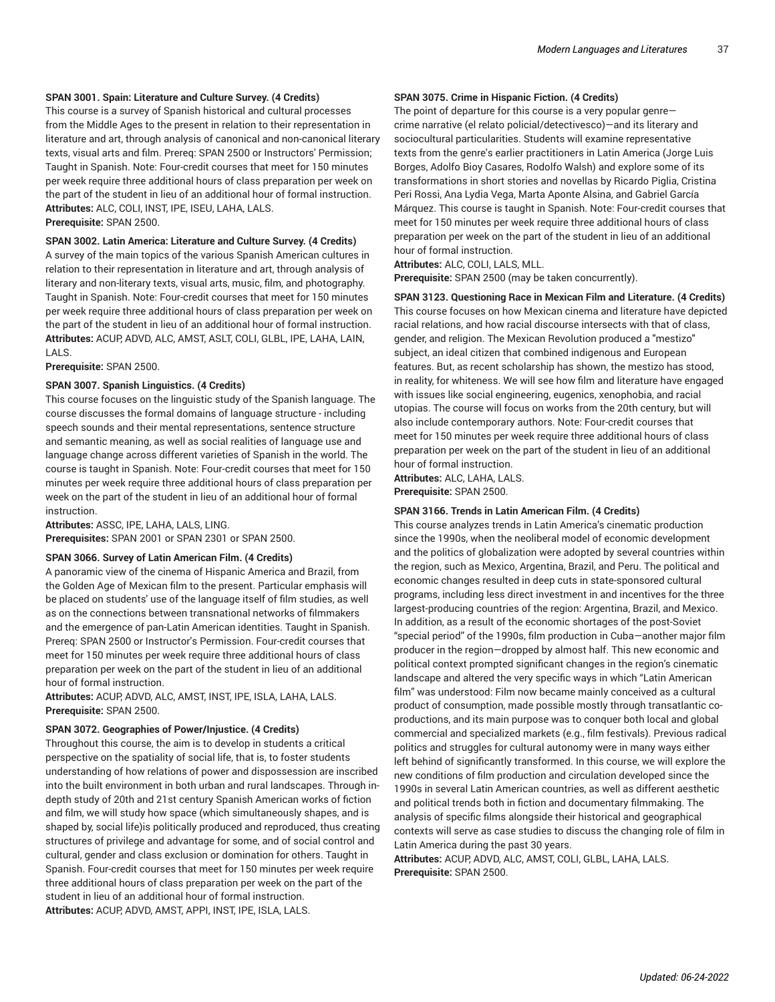#### **SPAN 3001. Spain: Literature and Culture Survey. (4 Credits)**

This course is a survey of Spanish historical and cultural processes from the Middle Ages to the present in relation to their representation in literature and art, through analysis of canonical and non-canonical literary texts, visual arts and film. Prereq: SPAN 2500 or Instructors' Permission; Taught in Spanish. Note: Four-credit courses that meet for 150 minutes per week require three additional hours of class preparation per week on the part of the student in lieu of an additional hour of formal instruction. **Attributes:** ALC, COLI, INST, IPE, ISEU, LAHA, LALS. **Prerequisite:** SPAN 2500.

#### **SPAN 3002. Latin America: Literature and Culture Survey. (4 Credits)**

A survey of the main topics of the various Spanish American cultures in relation to their representation in literature and art, through analysis of literary and non-literary texts, visual arts, music, film, and photography. Taught in Spanish. Note: Four-credit courses that meet for 150 minutes per week require three additional hours of class preparation per week on the part of the student in lieu of an additional hour of formal instruction. **Attributes:** ACUP, ADVD, ALC, AMST, ASLT, COLI, GLBL, IPE, LAHA, LAIN, LALS.

**Prerequisite:** SPAN 2500.

#### **SPAN 3007. Spanish Linguistics. (4 Credits)**

This course focuses on the linguistic study of the Spanish language. The course discusses the formal domains of language structure - including speech sounds and their mental representations, sentence structure and semantic meaning, as well as social realities of language use and language change across different varieties of Spanish in the world. The course is taught in Spanish. Note: Four-credit courses that meet for 150 minutes per week require three additional hours of class preparation per week on the part of the student in lieu of an additional hour of formal instruction.

**Attributes:** ASSC, IPE, LAHA, LALS, LING.

**Prerequisites:** SPAN 2001 or SPAN 2301 or SPAN 2500.

#### **SPAN 3066. Survey of Latin American Film. (4 Credits)**

A panoramic view of the cinema of Hispanic America and Brazil, from the Golden Age of Mexican film to the present. Particular emphasis will be placed on students' use of the language itself of film studies, as well as on the connections between transnational networks of filmmakers and the emergence of pan-Latin American identities. Taught in Spanish. Prereq: SPAN 2500 or Instructor's Permission. Four-credit courses that meet for 150 minutes per week require three additional hours of class preparation per week on the part of the student in lieu of an additional hour of formal instruction.

**Attributes:** ACUP, ADVD, ALC, AMST, INST, IPE, ISLA, LAHA, LALS. **Prerequisite:** SPAN 2500.

#### **SPAN 3072. Geographies of Power/Injustice. (4 Credits)**

Throughout this course, the aim is to develop in students a critical perspective on the spatiality of social life, that is, to foster students understanding of how relations of power and dispossession are inscribed into the built environment in both urban and rural landscapes. Through indepth study of 20th and 21st century Spanish American works of fiction and film, we will study how space (which simultaneously shapes, and is shaped by, social life)is politically produced and reproduced, thus creating structures of privilege and advantage for some, and of social control and cultural, gender and class exclusion or domination for others. Taught in Spanish. Four-credit courses that meet for 150 minutes per week require three additional hours of class preparation per week on the part of the student in lieu of an additional hour of formal instruction. **Attributes:** ACUP, ADVD, AMST, APPI, INST, IPE, ISLA, LALS.

#### **SPAN 3075. Crime in Hispanic Fiction. (4 Credits)**

The point of departure for this course is a very popular genre crime narrative (el relato policial/detectivesco)—and its literary and sociocultural particularities. Students will examine representative texts from the genre's earlier practitioners in Latin America (Jorge Luis Borges, Adolfo Bioy Casares, Rodolfo Walsh) and explore some of its transformations in short stories and novellas by Ricardo Piglia, Cristina Peri Rossi, Ana Lydia Vega, Marta Aponte Alsina, and Gabriel García Márquez. This course is taught in Spanish. Note: Four-credit courses that meet for 150 minutes per week require three additional hours of class preparation per week on the part of the student in lieu of an additional hour of formal instruction.

**Attributes:** ALC, COLI, LALS, MLL.

**Prerequisite:** SPAN 2500 (may be taken concurrently).

**SPAN 3123. Questioning Race in Mexican Film and Literature. (4 Credits)** This course focuses on how Mexican cinema and literature have depicted racial relations, and how racial discourse intersects with that of class, gender, and religion. The Mexican Revolution produced a "mestizo" subject, an ideal citizen that combined indigenous and European features. But, as recent scholarship has shown, the mestizo has stood, in reality, for whiteness. We will see how film and literature have engaged with issues like social engineering, eugenics, xenophobia, and racial utopias. The course will focus on works from the 20th century, but will also include contemporary authors. Note: Four-credit courses that meet for 150 minutes per week require three additional hours of class preparation per week on the part of the student in lieu of an additional hour of formal instruction.

**Attributes:** ALC, LAHA, LALS. **Prerequisite:** SPAN 2500.

#### **SPAN 3166. Trends in Latin American Film. (4 Credits)**

This course analyzes trends in Latin America's cinematic production since the 1990s, when the neoliberal model of economic development and the politics of globalization were adopted by several countries within the region, such as Mexico, Argentina, Brazil, and Peru. The political and economic changes resulted in deep cuts in state-sponsored cultural programs, including less direct investment in and incentives for the three largest-producing countries of the region: Argentina, Brazil, and Mexico. In addition, as a result of the economic shortages of the post-Soviet "special period" of the 1990s, film production in Cuba—another major film producer in the region—dropped by almost half. This new economic and political context prompted significant changes in the region's cinematic landscape and altered the very specific ways in which "Latin American film" was understood: Film now became mainly conceived as a cultural product of consumption, made possible mostly through transatlantic coproductions, and its main purpose was to conquer both local and global commercial and specialized markets (e.g., film festivals). Previous radical politics and struggles for cultural autonomy were in many ways either left behind of significantly transformed. In this course, we will explore the new conditions of film production and circulation developed since the 1990s in several Latin American countries, as well as different aesthetic and political trends both in fiction and documentary filmmaking. The analysis of specific films alongside their historical and geographical contexts will serve as case studies to discuss the changing role of film in Latin America during the past 30 years.

**Attributes:** ACUP, ADVD, ALC, AMST, COLI, GLBL, LAHA, LALS. **Prerequisite:** SPAN 2500.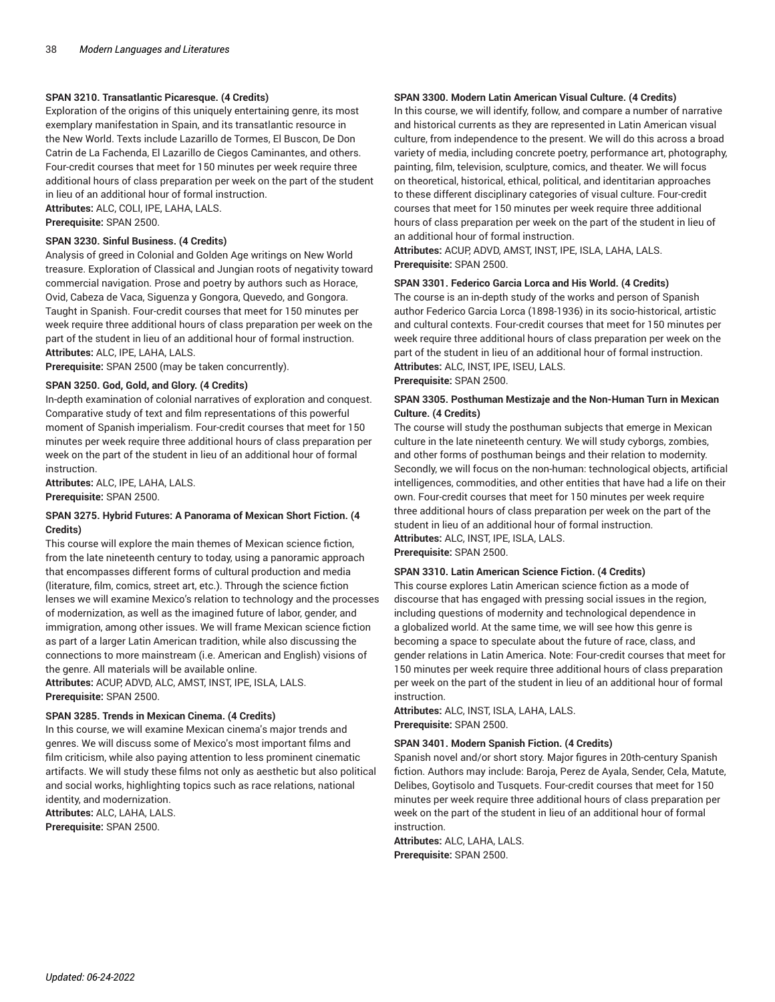#### **SPAN 3210. Transatlantic Picaresque. (4 Credits)**

Exploration of the origins of this uniquely entertaining genre, its most exemplary manifestation in Spain, and its transatlantic resource in the New World. Texts include Lazarillo de Tormes, El Buscon, De Don Catrin de La Fachenda, El Lazarillo de Ciegos Caminantes, and others. Four-credit courses that meet for 150 minutes per week require three additional hours of class preparation per week on the part of the student in lieu of an additional hour of formal instruction.

**Attributes:** ALC, COLI, IPE, LAHA, LALS.

**Prerequisite:** SPAN 2500.

#### **SPAN 3230. Sinful Business. (4 Credits)**

Analysis of greed in Colonial and Golden Age writings on New World treasure. Exploration of Classical and Jungian roots of negativity toward commercial navigation. Prose and poetry by authors such as Horace, Ovid, Cabeza de Vaca, Siguenza y Gongora, Quevedo, and Gongora. Taught in Spanish. Four-credit courses that meet for 150 minutes per week require three additional hours of class preparation per week on the part of the student in lieu of an additional hour of formal instruction. **Attributes:** ALC, IPE, LAHA, LALS.

**Prerequisite:** SPAN 2500 (may be taken concurrently).

#### **SPAN 3250. God, Gold, and Glory. (4 Credits)**

In-depth examination of colonial narratives of exploration and conquest. Comparative study of text and film representations of this powerful moment of Spanish imperialism. Four-credit courses that meet for 150 minutes per week require three additional hours of class preparation per week on the part of the student in lieu of an additional hour of formal instruction.

**Attributes:** ALC, IPE, LAHA, LALS. **Prerequisite:** SPAN 2500.

#### **SPAN 3275. Hybrid Futures: A Panorama of Mexican Short Fiction. (4 Credits)**

This course will explore the main themes of Mexican science fiction, from the late nineteenth century to today, using a panoramic approach that encompasses different forms of cultural production and media (literature, film, comics, street art, etc.). Through the science fiction lenses we will examine Mexico's relation to technology and the processes of modernization, as well as the imagined future of labor, gender, and immigration, among other issues. We will frame Mexican science fiction as part of a larger Latin American tradition, while also discussing the connections to more mainstream (i.e. American and English) visions of the genre. All materials will be available online.

**Attributes:** ACUP, ADVD, ALC, AMST, INST, IPE, ISLA, LALS. **Prerequisite:** SPAN 2500.

#### **SPAN 3285. Trends in Mexican Cinema. (4 Credits)**

In this course, we will examine Mexican cinema's major trends and genres. We will discuss some of Mexico's most important films and film criticism, while also paying attention to less prominent cinematic artifacts. We will study these films not only as aesthetic but also political and social works, highlighting topics such as race relations, national identity, and modernization.

**Attributes:** ALC, LAHA, LALS. **Prerequisite:** SPAN 2500.

#### **SPAN 3300. Modern Latin American Visual Culture. (4 Credits)**

In this course, we will identify, follow, and compare a number of narrative and historical currents as they are represented in Latin American visual culture, from independence to the present. We will do this across a broad variety of media, including concrete poetry, performance art, photography, painting, film, television, sculpture, comics, and theater. We will focus on theoretical, historical, ethical, political, and identitarian approaches to these different disciplinary categories of visual culture. Four-credit courses that meet for 150 minutes per week require three additional hours of class preparation per week on the part of the student in lieu of an additional hour of formal instruction.

**Attributes:** ACUP, ADVD, AMST, INST, IPE, ISLA, LAHA, LALS. **Prerequisite:** SPAN 2500.

#### **SPAN 3301. Federico Garcia Lorca and His World. (4 Credits)**

The course is an in-depth study of the works and person of Spanish author Federico Garcia Lorca (1898-1936) in its socio-historical, artistic and cultural contexts. Four-credit courses that meet for 150 minutes per week require three additional hours of class preparation per week on the part of the student in lieu of an additional hour of formal instruction. **Attributes:** ALC, INST, IPE, ISEU, LALS.

**Prerequisite:** SPAN 2500.

#### **SPAN 3305. Posthuman Mestizaje and the Non-Human Turn in Mexican Culture. (4 Credits)**

The course will study the posthuman subjects that emerge in Mexican culture in the late nineteenth century. We will study cyborgs, zombies, and other forms of posthuman beings and their relation to modernity. Secondly, we will focus on the non-human: technological objects, artificial intelligences, commodities, and other entities that have had a life on their own. Four-credit courses that meet for 150 minutes per week require three additional hours of class preparation per week on the part of the student in lieu of an additional hour of formal instruction. **Attributes:** ALC, INST, IPE, ISLA, LALS.

**Prerequisite:** SPAN 2500.

#### **SPAN 3310. Latin American Science Fiction. (4 Credits)**

This course explores Latin American science fiction as a mode of discourse that has engaged with pressing social issues in the region, including questions of modernity and technological dependence in a globalized world. At the same time, we will see how this genre is becoming a space to speculate about the future of race, class, and gender relations in Latin America. Note: Four-credit courses that meet for 150 minutes per week require three additional hours of class preparation per week on the part of the student in lieu of an additional hour of formal instruction.

**Attributes:** ALC, INST, ISLA, LAHA, LALS. **Prerequisite:** SPAN 2500.

#### **SPAN 3401. Modern Spanish Fiction. (4 Credits)**

Spanish novel and/or short story. Major figures in 20th-century Spanish fiction. Authors may include: Baroja, Perez de Ayala, Sender, Cela, Matute, Delibes, Goytisolo and Tusquets. Four-credit courses that meet for 150 minutes per week require three additional hours of class preparation per week on the part of the student in lieu of an additional hour of formal instruction.

**Attributes:** ALC, LAHA, LALS. **Prerequisite:** SPAN 2500.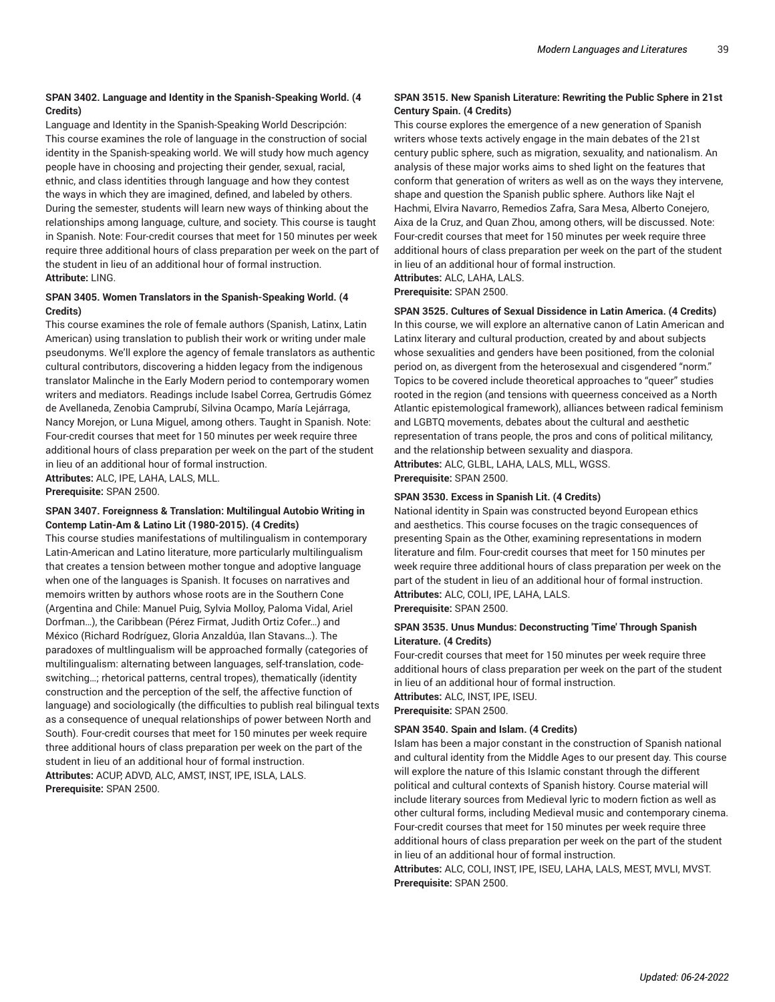#### **SPAN 3402. Language and Identity in the Spanish-Speaking World. (4 Credits)**

Language and Identity in the Spanish-Speaking World Descripción: This course examines the role of language in the construction of social identity in the Spanish-speaking world. We will study how much agency people have in choosing and projecting their gender, sexual, racial, ethnic, and class identities through language and how they contest the ways in which they are imagined, defined, and labeled by others. During the semester, students will learn new ways of thinking about the relationships among language, culture, and society. This course is taught in Spanish. Note: Four-credit courses that meet for 150 minutes per week require three additional hours of class preparation per week on the part of the student in lieu of an additional hour of formal instruction. **Attribute:** LING.

#### **SPAN 3405. Women Translators in the Spanish-Speaking World. (4 Credits)**

This course examines the role of female authors (Spanish, Latinx, Latin American) using translation to publish their work or writing under male pseudonyms. We'll explore the agency of female translators as authentic cultural contributors, discovering a hidden legacy from the indigenous translator Malinche in the Early Modern period to contemporary women writers and mediators. Readings include Isabel Correa, Gertrudis Gómez de Avellaneda, Zenobia Camprubí, Silvina Ocampo, María Lejárraga, Nancy Morejon, or Luna Miguel, among others. Taught in Spanish. Note: Four-credit courses that meet for 150 minutes per week require three additional hours of class preparation per week on the part of the student in lieu of an additional hour of formal instruction.

**Attributes:** ALC, IPE, LAHA, LALS, MLL.

**Prerequisite:** SPAN 2500.

#### **SPAN 3407. Foreignness & Translation: Multilingual Autobio Writing in Contemp Latin-Am & Latino Lit (1980-2015). (4 Credits)**

This course studies manifestations of multilingualism in contemporary Latin-American and Latino literature, more particularly multilingualism that creates a tension between mother tongue and adoptive language when one of the languages is Spanish. It focuses on narratives and memoirs written by authors whose roots are in the Southern Cone (Argentina and Chile: Manuel Puig, Sylvia Molloy, Paloma Vidal, Ariel Dorfman…), the Caribbean (Pérez Firmat, Judith Ortiz Cofer…) and México (Richard Rodríguez, Gloria Anzaldúa, Ilan Stavans…). The paradoxes of multlingualism will be approached formally (categories of multilingualism: alternating between languages, self-translation, codeswitching…; rhetorical patterns, central tropes), thematically (identity construction and the perception of the self, the affective function of language) and sociologically (the difficulties to publish real bilingual texts as a consequence of unequal relationships of power between North and South). Four-credit courses that meet for 150 minutes per week require three additional hours of class preparation per week on the part of the student in lieu of an additional hour of formal instruction. **Attributes:** ACUP, ADVD, ALC, AMST, INST, IPE, ISLA, LALS. **Prerequisite:** SPAN 2500.

# **SPAN 3515. New Spanish Literature: Rewriting the Public Sphere in 21st Century Spain. (4 Credits)**

This course explores the emergence of a new generation of Spanish writers whose texts actively engage in the main debates of the 21st century public sphere, such as migration, sexuality, and nationalism. An analysis of these major works aims to shed light on the features that conform that generation of writers as well as on the ways they intervene, shape and question the Spanish public sphere. Authors like Najt el Hachmi, Elvira Navarro, Remedios Zafra, Sara Mesa, Alberto Conejero, Aixa de la Cruz, and Quan Zhou, among others, will be discussed. Note: Four-credit courses that meet for 150 minutes per week require three additional hours of class preparation per week on the part of the student in lieu of an additional hour of formal instruction.

# **Attributes:** ALC, LAHA, LALS.

**Prerequisite:** SPAN 2500.

**SPAN 3525. Cultures of Sexual Dissidence in Latin America. (4 Credits)** In this course, we will explore an alternative canon of Latin American and Latinx literary and cultural production, created by and about subjects whose sexualities and genders have been positioned, from the colonial period on, as divergent from the heterosexual and cisgendered "norm." Topics to be covered include theoretical approaches to "queer" studies rooted in the region (and tensions with queerness conceived as a North Atlantic epistemological framework), alliances between radical feminism and LGBTQ movements, debates about the cultural and aesthetic representation of trans people, the pros and cons of political militancy, and the relationship between sexuality and diaspora. **Attributes:** ALC, GLBL, LAHA, LALS, MLL, WGSS.

**Prerequisite:** SPAN 2500.

#### **SPAN 3530. Excess in Spanish Lit. (4 Credits)**

National identity in Spain was constructed beyond European ethics and aesthetics. This course focuses on the tragic consequences of presenting Spain as the Other, examining representations in modern literature and film. Four-credit courses that meet for 150 minutes per week require three additional hours of class preparation per week on the part of the student in lieu of an additional hour of formal instruction. **Attributes:** ALC, COLI, IPE, LAHA, LALS.

**Prerequisite:** SPAN 2500.

#### **SPAN 3535. Unus Mundus: Deconstructing 'Time' Through Spanish Literature. (4 Credits)**

Four-credit courses that meet for 150 minutes per week require three additional hours of class preparation per week on the part of the student in lieu of an additional hour of formal instruction. **Attributes:** ALC, INST, IPE, ISEU. **Prerequisite:** SPAN 2500.

#### **SPAN 3540. Spain and Islam. (4 Credits)**

Islam has been a major constant in the construction of Spanish national and cultural identity from the Middle Ages to our present day. This course will explore the nature of this Islamic constant through the different political and cultural contexts of Spanish history. Course material will include literary sources from Medieval lyric to modern fiction as well as other cultural forms, including Medieval music and contemporary cinema. Four-credit courses that meet for 150 minutes per week require three additional hours of class preparation per week on the part of the student in lieu of an additional hour of formal instruction.

**Attributes:** ALC, COLI, INST, IPE, ISEU, LAHA, LALS, MEST, MVLI, MVST. **Prerequisite:** SPAN 2500.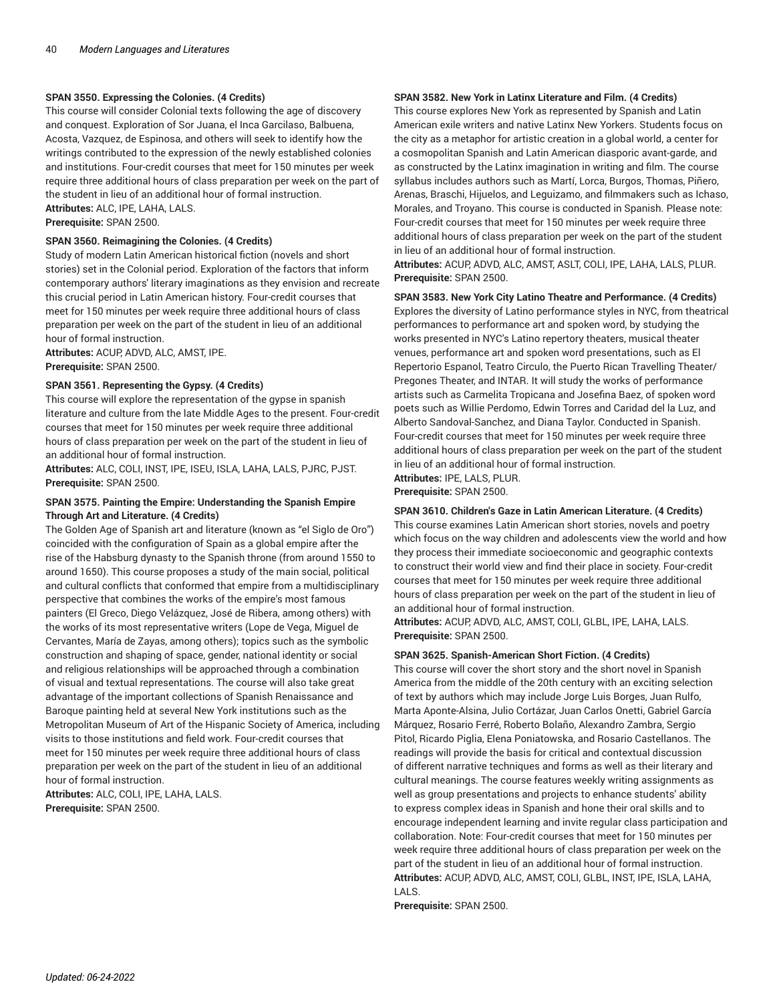#### **SPAN 3550. Expressing the Colonies. (4 Credits)**

This course will consider Colonial texts following the age of discovery and conquest. Exploration of Sor Juana, el Inca Garcilaso, Balbuena, Acosta, Vazquez, de Espinosa, and others will seek to identify how the writings contributed to the expression of the newly established colonies and institutions. Four-credit courses that meet for 150 minutes per week require three additional hours of class preparation per week on the part of the student in lieu of an additional hour of formal instruction. **Attributes:** ALC, IPE, LAHA, LALS. **Prerequisite:** SPAN 2500.

#### **SPAN 3560. Reimagining the Colonies. (4 Credits)**

Study of modern Latin American historical fiction (novels and short stories) set in the Colonial period. Exploration of the factors that inform contemporary authors' literary imaginations as they envision and recreate this crucial period in Latin American history. Four-credit courses that meet for 150 minutes per week require three additional hours of class preparation per week on the part of the student in lieu of an additional hour of formal instruction.

**Attributes:** ACUP, ADVD, ALC, AMST, IPE. **Prerequisite:** SPAN 2500.

#### **SPAN 3561. Representing the Gypsy. (4 Credits)**

This course will explore the representation of the gypse in spanish literature and culture from the late Middle Ages to the present. Four-credit courses that meet for 150 minutes per week require three additional hours of class preparation per week on the part of the student in lieu of an additional hour of formal instruction.

**Attributes:** ALC, COLI, INST, IPE, ISEU, ISLA, LAHA, LALS, PJRC, PJST. **Prerequisite:** SPAN 2500.

#### **SPAN 3575. Painting the Empire: Understanding the Spanish Empire Through Art and Literature. (4 Credits)**

The Golden Age of Spanish art and literature (known as "el Siglo de Oro") coincided with the configuration of Spain as a global empire after the rise of the Habsburg dynasty to the Spanish throne (from around 1550 to around 1650). This course proposes a study of the main social, political and cultural conflicts that conformed that empire from a multidisciplinary perspective that combines the works of the empire's most famous painters (El Greco, Diego Velázquez, José de Ribera, among others) with the works of its most representative writers (Lope de Vega, Miguel de Cervantes, María de Zayas, among others); topics such as the symbolic construction and shaping of space, gender, national identity or social and religious relationships will be approached through a combination of visual and textual representations. The course will also take great advantage of the important collections of Spanish Renaissance and Baroque painting held at several New York institutions such as the Metropolitan Museum of Art of the Hispanic Society of America, including visits to those institutions and field work. Four-credit courses that meet for 150 minutes per week require three additional hours of class preparation per week on the part of the student in lieu of an additional hour of formal instruction.

**Attributes:** ALC, COLI, IPE, LAHA, LALS. **Prerequisite:** SPAN 2500.

#### **SPAN 3582. New York in Latinx Literature and Film. (4 Credits)**

This course explores New York as represented by Spanish and Latin American exile writers and native Latinx New Yorkers. Students focus on the city as a metaphor for artistic creation in a global world, a center for a cosmopolitan Spanish and Latin American diasporic avant-garde, and as constructed by the Latinx imagination in writing and film. The course syllabus includes authors such as Martí, Lorca, Burgos, Thomas, Piñero, Arenas, Braschi, Hijuelos, and Leguizamo, and filmmakers such as Ichaso, Morales, and Troyano. This course is conducted in Spanish. Please note: Four-credit courses that meet for 150 minutes per week require three additional hours of class preparation per week on the part of the student in lieu of an additional hour of formal instruction. **Attributes:** ACUP, ADVD, ALC, AMST, ASLT, COLI, IPE, LAHA, LALS, PLUR.

**Prerequisite:** SPAN 2500.

**SPAN 3583. New York City Latino Theatre and Performance. (4 Credits)** Explores the diversity of Latino performance styles in NYC, from theatrical performances to performance art and spoken word, by studying the works presented in NYC's Latino repertory theaters, musical theater venues, performance art and spoken word presentations, such as El Repertorio Espanol, Teatro Circulo, the Puerto Rican Travelling Theater/ Pregones Theater, and INTAR. It will study the works of performance artists such as Carmelita Tropicana and Josefina Baez, of spoken word poets such as Willie Perdomo, Edwin Torres and Caridad del la Luz, and Alberto Sandoval-Sanchez, and Diana Taylor. Conducted in Spanish. Four-credit courses that meet for 150 minutes per week require three additional hours of class preparation per week on the part of the student in lieu of an additional hour of formal instruction. **Attributes:** IPE, LALS, PLUR.

**Prerequisite:** SPAN 2500.

#### **SPAN 3610. Children's Gaze in Latin American Literature. (4 Credits)**

This course examines Latin American short stories, novels and poetry which focus on the way children and adolescents view the world and how they process their immediate socioeconomic and geographic contexts to construct their world view and find their place in society. Four-credit courses that meet for 150 minutes per week require three additional hours of class preparation per week on the part of the student in lieu of an additional hour of formal instruction.

**Attributes:** ACUP, ADVD, ALC, AMST, COLI, GLBL, IPE, LAHA, LALS. **Prerequisite:** SPAN 2500.

#### **SPAN 3625. Spanish-American Short Fiction. (4 Credits)**

This course will cover the short story and the short novel in Spanish America from the middle of the 20th century with an exciting selection of text by authors which may include Jorge Luis Borges, Juan Rulfo, Marta Aponte-Alsina, Julio Cortázar, Juan Carlos Onetti, Gabriel García Márquez, Rosario Ferré, Roberto Bolaño, Alexandro Zambra, Sergio Pitol, Ricardo Piglia, Elena Poniatowska, and Rosario Castellanos. The readings will provide the basis for critical and contextual discussion of different narrative techniques and forms as well as their literary and cultural meanings. The course features weekly writing assignments as well as group presentations and projects to enhance students' ability to express complex ideas in Spanish and hone their oral skills and to encourage independent learning and invite regular class participation and collaboration. Note: Four-credit courses that meet for 150 minutes per week require three additional hours of class preparation per week on the part of the student in lieu of an additional hour of formal instruction. **Attributes:** ACUP, ADVD, ALC, AMST, COLI, GLBL, INST, IPE, ISLA, LAHA, LALS.

**Prerequisite:** SPAN 2500.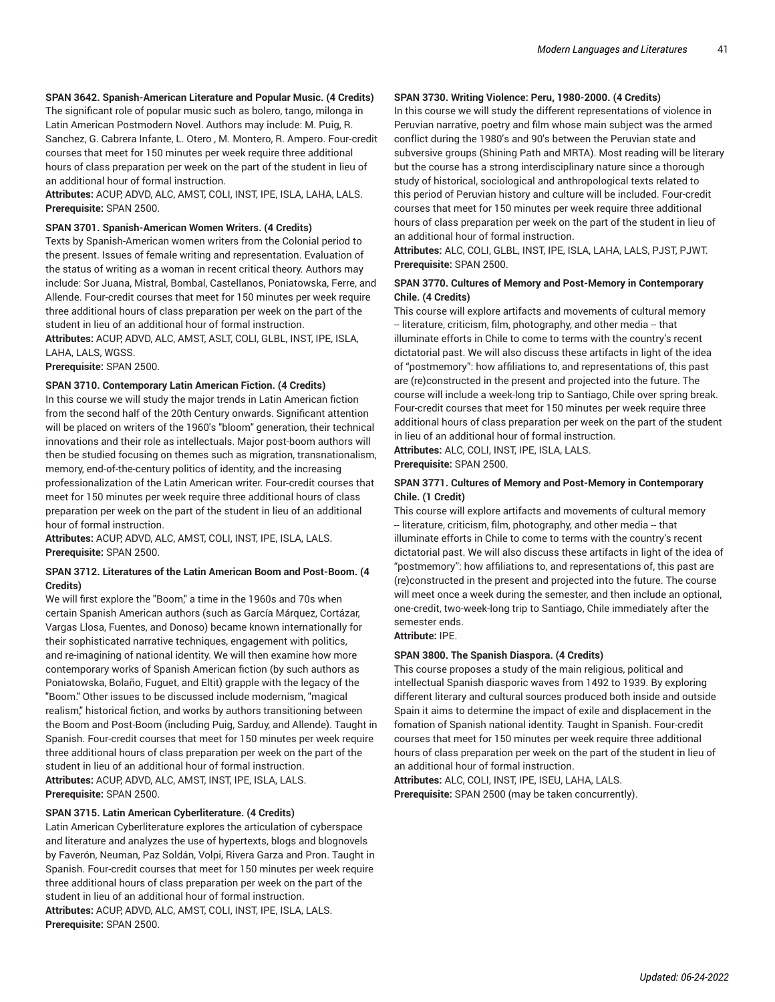#### **SPAN 3642. Spanish-American Literature and Popular Music. (4 Credits)**

The significant role of popular music such as bolero, tango, milonga in Latin American Postmodern Novel. Authors may include: M. Puig, R. Sanchez, G. Cabrera Infante, L. Otero , M. Montero, R. Ampero. Four-credit courses that meet for 150 minutes per week require three additional hours of class preparation per week on the part of the student in lieu of an additional hour of formal instruction.

**Attributes:** ACUP, ADVD, ALC, AMST, COLI, INST, IPE, ISLA, LAHA, LALS. **Prerequisite:** SPAN 2500.

#### **SPAN 3701. Spanish-American Women Writers. (4 Credits)**

Texts by Spanish-American women writers from the Colonial period to the present. Issues of female writing and representation. Evaluation of the status of writing as a woman in recent critical theory. Authors may include: Sor Juana, Mistral, Bombal, Castellanos, Poniatowska, Ferre, and Allende. Four-credit courses that meet for 150 minutes per week require three additional hours of class preparation per week on the part of the student in lieu of an additional hour of formal instruction.

**Attributes:** ACUP, ADVD, ALC, AMST, ASLT, COLI, GLBL, INST, IPE, ISLA, LAHA, LALS, WGSS.

**Prerequisite:** SPAN 2500.

#### **SPAN 3710. Contemporary Latin American Fiction. (4 Credits)**

In this course we will study the major trends in Latin American fiction from the second half of the 20th Century onwards. Significant attention will be placed on writers of the 1960's "bloom" generation, their technical innovations and their role as intellectuals. Major post-boom authors will then be studied focusing on themes such as migration, transnationalism, memory, end-of-the-century politics of identity, and the increasing professionalization of the Latin American writer. Four-credit courses that meet for 150 minutes per week require three additional hours of class preparation per week on the part of the student in lieu of an additional hour of formal instruction.

**Attributes:** ACUP, ADVD, ALC, AMST, COLI, INST, IPE, ISLA, LALS. **Prerequisite:** SPAN 2500.

#### **SPAN 3712. Literatures of the Latin American Boom and Post-Boom. (4 Credits)**

We will first explore the "Boom," a time in the 1960s and 70s when certain Spanish American authors (such as García Márquez, Cortázar, Vargas Llosa, Fuentes, and Donoso) became known internationally for their sophisticated narrative techniques, engagement with politics, and re-imagining of national identity. We will then examine how more contemporary works of Spanish American fiction (by such authors as Poniatowska, Bolaño, Fuguet, and Eltit) grapple with the legacy of the "Boom." Other issues to be discussed include modernism, "magical realism," historical fiction, and works by authors transitioning between the Boom and Post-Boom (including Puig, Sarduy, and Allende). Taught in Spanish. Four-credit courses that meet for 150 minutes per week require three additional hours of class preparation per week on the part of the student in lieu of an additional hour of formal instruction. **Attributes:** ACUP, ADVD, ALC, AMST, INST, IPE, ISLA, LALS. **Prerequisite:** SPAN 2500.

#### **SPAN 3715. Latin American Cyberliterature. (4 Credits)**

Latin American Cyberliterature explores the articulation of cyberspace and literature and analyzes the use of hypertexts, blogs and blognovels by Faverón, Neuman, Paz Soldán, Volpi, Rivera Garza and Pron. Taught in Spanish. Four-credit courses that meet for 150 minutes per week require three additional hours of class preparation per week on the part of the student in lieu of an additional hour of formal instruction. **Attributes:** ACUP, ADVD, ALC, AMST, COLI, INST, IPE, ISLA, LALS. **Prerequisite:** SPAN 2500.

#### **SPAN 3730. Writing Violence: Peru, 1980-2000. (4 Credits)**

In this course we will study the different representations of violence in Peruvian narrative, poetry and film whose main subject was the armed conflict during the 1980's and 90's between the Peruvian state and subversive groups (Shining Path and MRTA). Most reading will be literary but the course has a strong interdisciplinary nature since a thorough study of historical, sociological and anthropological texts related to this period of Peruvian history and culture will be included. Four-credit courses that meet for 150 minutes per week require three additional hours of class preparation per week on the part of the student in lieu of an additional hour of formal instruction.

**Attributes:** ALC, COLI, GLBL, INST, IPE, ISLA, LAHA, LALS, PJST, PJWT. **Prerequisite:** SPAN 2500.

#### **SPAN 3770. Cultures of Memory and Post-Memory in Contemporary Chile. (4 Credits)**

This course will explore artifacts and movements of cultural memory -- literature, criticism, film, photography, and other media -- that illuminate efforts in Chile to come to terms with the country's recent dictatorial past. We will also discuss these artifacts in light of the idea of "postmemory": how affiliations to, and representations of, this past are (re)constructed in the present and projected into the future. The course will include a week-long trip to Santiago, Chile over spring break. Four-credit courses that meet for 150 minutes per week require three additional hours of class preparation per week on the part of the student in lieu of an additional hour of formal instruction. **Attributes:** ALC, COLI, INST, IPE, ISLA, LALS.

**Prerequisite:** SPAN 2500.

#### **SPAN 3771. Cultures of Memory and Post-Memory in Contemporary Chile. (1 Credit)**

This course will explore artifacts and movements of cultural memory -- literature, criticism, film, photography, and other media -- that illuminate efforts in Chile to come to terms with the country's recent dictatorial past. We will also discuss these artifacts in light of the idea of "postmemory": how affiliations to, and representations of, this past are (re)constructed in the present and projected into the future. The course will meet once a week during the semester, and then include an optional, one-credit, two-week-long trip to Santiago, Chile immediately after the semester ends.

**Attribute:** IPE.

### **SPAN 3800. The Spanish Diaspora. (4 Credits)**

This course proposes a study of the main religious, political and intellectual Spanish diasporic waves from 1492 to 1939. By exploring different literary and cultural sources produced both inside and outside Spain it aims to determine the impact of exile and displacement in the fomation of Spanish national identity. Taught in Spanish. Four-credit courses that meet for 150 minutes per week require three additional hours of class preparation per week on the part of the student in lieu of an additional hour of formal instruction.

**Attributes:** ALC, COLI, INST, IPE, ISEU, LAHA, LALS. **Prerequisite:** SPAN 2500 (may be taken concurrently).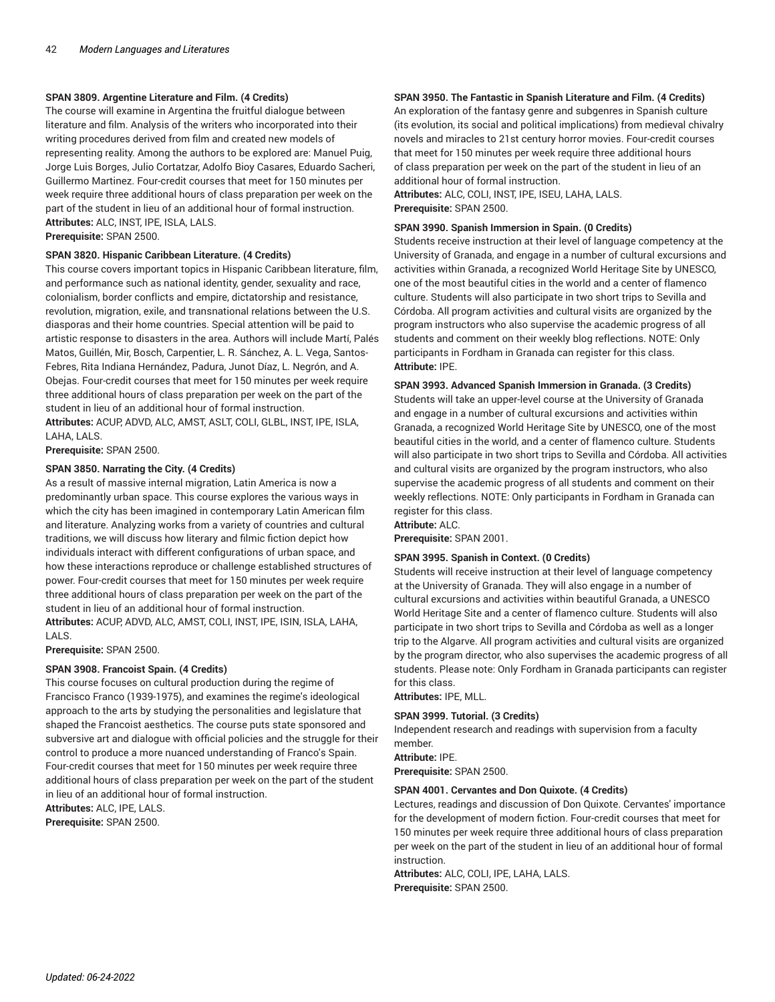#### **SPAN 3809. Argentine Literature and Film. (4 Credits)**

The course will examine in Argentina the fruitful dialogue between literature and film. Analysis of the writers who incorporated into their writing procedures derived from film and created new models of representing reality. Among the authors to be explored are: Manuel Puig, Jorge Luis Borges, Julio Cortatzar, Adolfo Bioy Casares, Eduardo Sacheri, Guillermo Martinez. Four-credit courses that meet for 150 minutes per week require three additional hours of class preparation per week on the part of the student in lieu of an additional hour of formal instruction. **Attributes:** ALC, INST, IPE, ISLA, LALS.

**Prerequisite:** SPAN 2500.

#### **SPAN 3820. Hispanic Caribbean Literature. (4 Credits)**

This course covers important topics in Hispanic Caribbean literature, film, and performance such as national identity, gender, sexuality and race, colonialism, border conflicts and empire, dictatorship and resistance, revolution, migration, exile, and transnational relations between the U.S. diasporas and their home countries. Special attention will be paid to artistic response to disasters in the area. Authors will include Martí, Palés Matos, Guillén, Mir, Bosch, Carpentier, L. R. Sánchez, A. L. Vega, Santos-Febres, Rita Indiana Hernández, Padura, Junot Díaz, L. Negrón, and A. Obejas. Four-credit courses that meet for 150 minutes per week require three additional hours of class preparation per week on the part of the student in lieu of an additional hour of formal instruction.

**Attributes:** ACUP, ADVD, ALC, AMST, ASLT, COLI, GLBL, INST, IPE, ISLA, LAHA, LALS.

**Prerequisite:** SPAN 2500.

#### **SPAN 3850. Narrating the City. (4 Credits)**

As a result of massive internal migration, Latin America is now a predominantly urban space. This course explores the various ways in which the city has been imagined in contemporary Latin American film and literature. Analyzing works from a variety of countries and cultural traditions, we will discuss how literary and filmic fiction depict how individuals interact with different configurations of urban space, and how these interactions reproduce or challenge established structures of power. Four-credit courses that meet for 150 minutes per week require three additional hours of class preparation per week on the part of the student in lieu of an additional hour of formal instruction. **Attributes:** ACUP, ADVD, ALC, AMST, COLI, INST, IPE, ISIN, ISLA, LAHA,

**Prerequisite:** SPAN 2500.

LALS.

#### **SPAN 3908. Francoist Spain. (4 Credits)**

This course focuses on cultural production during the regime of Francisco Franco (1939-1975), and examines the regime's ideological approach to the arts by studying the personalities and legislature that shaped the Francoist aesthetics. The course puts state sponsored and subversive art and dialogue with official policies and the struggle for their control to produce a more nuanced understanding of Franco's Spain. Four-credit courses that meet for 150 minutes per week require three additional hours of class preparation per week on the part of the student in lieu of an additional hour of formal instruction.

**Attributes:** ALC, IPE, LALS. **Prerequisite:** SPAN 2500.

#### **SPAN 3950. The Fantastic in Spanish Literature and Film. (4 Credits)**

An exploration of the fantasy genre and subgenres in Spanish culture (its evolution, its social and political implications) from medieval chivalry novels and miracles to 21st century horror movies. Four-credit courses that meet for 150 minutes per week require three additional hours of class preparation per week on the part of the student in lieu of an additional hour of formal instruction.

**Attributes:** ALC, COLI, INST, IPE, ISEU, LAHA, LALS. **Prerequisite:** SPAN 2500.

#### **SPAN 3990. Spanish Immersion in Spain. (0 Credits)**

Students receive instruction at their level of language competency at the University of Granada, and engage in a number of cultural excursions and activities within Granada, a recognized World Heritage Site by UNESCO, one of the most beautiful cities in the world and a center of flamenco culture. Students will also participate in two short trips to Sevilla and Córdoba. All program activities and cultural visits are organized by the program instructors who also supervise the academic progress of all students and comment on their weekly blog reflections. NOTE: Only participants in Fordham in Granada can register for this class. **Attribute:** IPE.

#### **SPAN 3993. Advanced Spanish Immersion in Granada. (3 Credits)**

Students will take an upper-level course at the University of Granada and engage in a number of cultural excursions and activities within Granada, a recognized World Heritage Site by UNESCO, one of the most beautiful cities in the world, and a center of flamenco culture. Students will also participate in two short trips to Sevilla and Córdoba. All activities and cultural visits are organized by the program instructors, who also supervise the academic progress of all students and comment on their weekly reflections. NOTE: Only participants in Fordham in Granada can register for this class.

**Attribute:** ALC.

**Prerequisite:** SPAN 2001.

#### **SPAN 3995. Spanish in Context. (0 Credits)**

Students will receive instruction at their level of language competency at the University of Granada. They will also engage in a number of cultural excursions and activities within beautiful Granada, a UNESCO World Heritage Site and a center of flamenco culture. Students will also participate in two short trips to Sevilla and Córdoba as well as a longer trip to the Algarve. All program activities and cultural visits are organized by the program director, who also supervises the academic progress of all students. Please note: Only Fordham in Granada participants can register for this class.

**Attributes:** IPE, MLL.

#### **SPAN 3999. Tutorial. (3 Credits)**

Independent research and readings with supervision from a faculty member.

**Attribute:** IPE.

**Prerequisite:** SPAN 2500.

#### **SPAN 4001. Cervantes and Don Quixote. (4 Credits)**

Lectures, readings and discussion of Don Quixote. Cervantes' importance for the development of modern fiction. Four-credit courses that meet for 150 minutes per week require three additional hours of class preparation per week on the part of the student in lieu of an additional hour of formal instruction.

**Attributes:** ALC, COLI, IPE, LAHA, LALS. **Prerequisite:** SPAN 2500.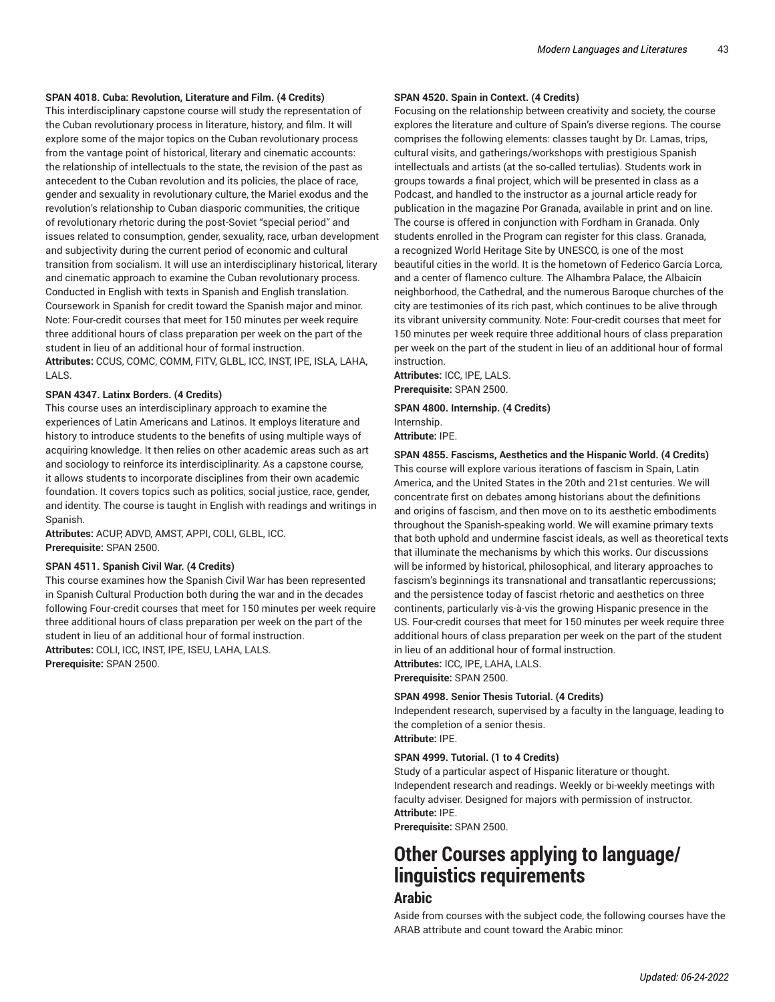#### **SPAN 4018. Cuba: Revolution, Literature and Film. (4 Credits)**

This interdisciplinary capstone course will study the representation of the Cuban revolutionary process in literature, history, and film. It will explore some of the major topics on the Cuban revolutionary process from the vantage point of historical, literary and cinematic accounts: the relationship of intellectuals to the state, the revision of the past as antecedent to the Cuban revolution and its policies, the place of race, gender and sexuality in revolutionary culture, the Mariel exodus and the revolution's relationship to Cuban diasporic communities, the critique of revolutionary rhetoric during the post-Soviet "special period" and issues related to consumption, gender, sexuality, race, urban development and subjectivity during the current period of economic and cultural transition from socialism. It will use an interdisciplinary historical, literary and cinematic approach to examine the Cuban revolutionary process. Conducted in English with texts in Spanish and English translation. Coursework in Spanish for credit toward the Spanish major and minor. Note: Four-credit courses that meet for 150 minutes per week require three additional hours of class preparation per week on the part of the student in lieu of an additional hour of formal instruction. **Attributes:** CCUS, COMC, COMM, FITV, GLBL, ICC, INST, IPE, ISLA, LAHA,

#### **SPAN 4347. Latinx Borders. (4 Credits)**

LALS.

This course uses an interdisciplinary approach to examine the experiences of Latin Americans and Latinos. It employs literature and history to introduce students to the benefits of using multiple ways of acquiring knowledge. It then relies on other academic areas such as art and sociology to reinforce its interdisciplinarity. As a capstone course, it allows students to incorporate disciplines from their own academic foundation. It covers topics such as politics, social justice, race, gender, and identity. The course is taught in English with readings and writings in Spanish.

**Attributes:** ACUP, ADVD, AMST, APPI, COLI, GLBL, ICC. **Prerequisite:** SPAN 2500.

#### **SPAN 4511. Spanish Civil War. (4 Credits)**

This course examines how the Spanish Civil War has been represented in Spanish Cultural Production both during the war and in the decades following Four-credit courses that meet for 150 minutes per week require three additional hours of class preparation per week on the part of the student in lieu of an additional hour of formal instruction. **Attributes:** COLI, ICC, INST, IPE, ISEU, LAHA, LALS.

**Prerequisite:** SPAN 2500.

#### **SPAN 4520. Spain in Context. (4 Credits)**

Focusing on the relationship between creativity and society, the course explores the literature and culture of Spain's diverse regions. The course comprises the following elements: classes taught by Dr. Lamas, trips, cultural visits, and gatherings/workshops with prestigious Spanish intellectuals and artists (at the so-called tertulias). Students work in groups towards a final project, which will be presented in class as a Podcast, and handled to the instructor as a journal article ready for publication in the magazine Por Granada, available in print and on line. The course is offered in conjunction with Fordham in Granada. Only students enrolled in the Program can register for this class. Granada, a recognized World Heritage Site by UNESCO, is one of the most beautiful cities in the world. It is the hometown of Federico García Lorca, and a center of flamenco culture. The Alhambra Palace, the Albaicín neighborhood, the Cathedral, and the numerous Baroque churches of the city are testimonies of its rich past, which continues to be alive through its vibrant university community. Note: Four-credit courses that meet for 150 minutes per week require three additional hours of class preparation per week on the part of the student in lieu of an additional hour of formal instruction.

**Attributes:** ICC, IPE, LALS. **Prerequisite:** SPAN 2500.

#### **SPAN 4800. Internship. (4 Credits)**

Internship. **Attribute:** IPE.

**SPAN 4855. Fascisms, Aesthetics and the Hispanic World. (4 Credits)** This course will explore various iterations of fascism in Spain, Latin America, and the United States in the 20th and 21st centuries. We will concentrate first on debates among historians about the definitions and origins of fascism, and then move on to its aesthetic embodiments throughout the Spanish-speaking world. We will examine primary texts that both uphold and undermine fascist ideals, as well as theoretical texts that illuminate the mechanisms by which this works. Our discussions will be informed by historical, philosophical, and literary approaches to fascism's beginnings its transnational and transatlantic repercussions; and the persistence today of fascist rhetoric and aesthetics on three continents, particularly vis-à-vis the growing Hispanic presence in the US. Four-credit courses that meet for 150 minutes per week require three additional hours of class preparation per week on the part of the student in lieu of an additional hour of formal instruction.

**Attributes:** ICC, IPE, LAHA, LALS.

**Prerequisite:** SPAN 2500.

#### **SPAN 4998. Senior Thesis Tutorial. (4 Credits)**

Independent research, supervised by a faculty in the language, leading to the completion of a senior thesis. **Attribute:** IPE.

#### **SPAN 4999. Tutorial. (1 to 4 Credits)**

Study of a particular aspect of Hispanic literature or thought. Independent research and readings. Weekly or bi-weekly meetings with faculty adviser. Designed for majors with permission of instructor. **Attribute:** IPE.

**Prerequisite:** SPAN 2500.

# **Other Courses applying to language/ linguistics requirements Arabic**

Aside from courses with the subject code, the following courses have the ARAB attribute and count toward the Arabic minor: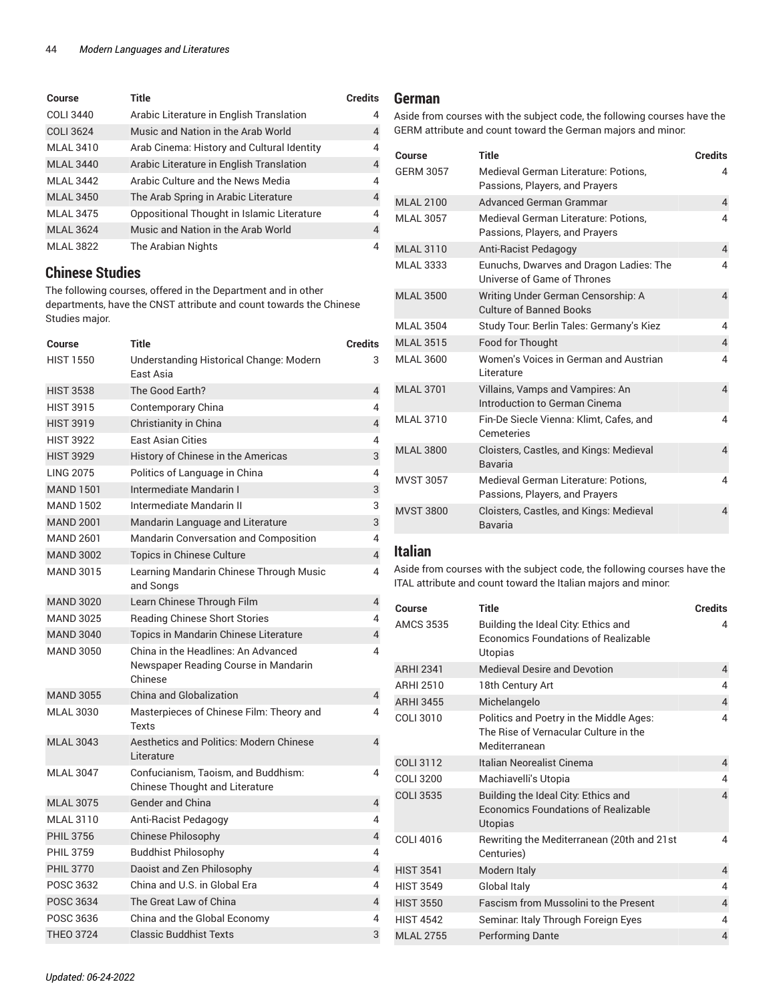| Course           | Title                                      | <b>Credits</b> |
|------------------|--------------------------------------------|----------------|
| <b>COLI 3440</b> | Arabic Literature in English Translation   | 4              |
| <b>COLI 3624</b> | Music and Nation in the Arab World         | 4              |
| <b>MLAL 3410</b> | Arab Cinema: History and Cultural Identity | 4              |
| <b>MLAL 3440</b> | Arabic Literature in English Translation   | 4              |
| <b>MLAL 3442</b> | Arabic Culture and the News Media          | 4              |
| <b>MLAL 3450</b> | The Arab Spring in Arabic Literature       | 4              |
| <b>MLAL 3475</b> | Oppositional Thought in Islamic Literature | 4              |
| <b>MLAL 3624</b> | Music and Nation in the Arab World         | $\overline{4}$ |
| <b>MLAL 3822</b> | The Arabian Nights                         | 4              |

# **Chinese Studies**

The following courses, offered in the Department and in other departments, have the CNST attribute and count towards the Chinese Studies major.

| <b>Course</b>    | <b>Title</b>                                                                           | <b>Credits</b> |
|------------------|----------------------------------------------------------------------------------------|----------------|
| <b>HIST 1550</b> | Understanding Historical Change: Modern<br>Fast Asia                                   | 3              |
| <b>HIST 3538</b> | The Good Earth?                                                                        | 4              |
| <b>HIST 3915</b> | Contemporary China                                                                     | 4              |
| <b>HIST 3919</b> | Christianity in China                                                                  | $\overline{4}$ |
| <b>HIST 3922</b> | <b>East Asian Cities</b>                                                               | 4              |
| <b>HIST 3929</b> | History of Chinese in the Americas                                                     | 3              |
| <b>LING 2075</b> | Politics of Language in China                                                          | 4              |
| <b>MAND 1501</b> | Intermediate Mandarin I                                                                | 3              |
| <b>MAND 1502</b> | Intermediate Mandarin II                                                               | 3              |
| <b>MAND 2001</b> | Mandarin Language and Literature                                                       | 3              |
| <b>MAND 2601</b> | Mandarin Conversation and Composition                                                  | 4              |
| <b>MAND 3002</b> | <b>Topics in Chinese Culture</b>                                                       | $\overline{4}$ |
| <b>MAND 3015</b> | Learning Mandarin Chinese Through Music<br>and Songs                                   | 4              |
| <b>MAND 3020</b> | Learn Chinese Through Film                                                             | $\overline{4}$ |
| <b>MAND 3025</b> | <b>Reading Chinese Short Stories</b>                                                   | 4              |
| <b>MAND 3040</b> | Topics in Mandarin Chinese Literature                                                  | $\overline{4}$ |
| <b>MAND 3050</b> | China in the Headlines: An Advanced<br>Newspaper Reading Course in Mandarin<br>Chinese | 4              |
| <b>MAND 3055</b> | <b>China and Globalization</b>                                                         | 4              |
| <b>MLAL 3030</b> | Masterpieces of Chinese Film: Theory and<br><b>Texts</b>                               | 4              |
| <b>MLAL 3043</b> | Aesthetics and Politics: Modern Chinese<br>Literature                                  | $\overline{4}$ |
| <b>MLAL 3047</b> | Confucianism, Taoism, and Buddhism:<br>Chinese Thought and Literature                  | 4              |
| <b>MLAL 3075</b> | <b>Gender and China</b>                                                                | 4              |
| <b>MLAL 3110</b> | Anti-Racist Pedagogy                                                                   | 4              |
| <b>PHIL 3756</b> | Chinese Philosophy                                                                     | $\overline{4}$ |
| <b>PHIL 3759</b> | <b>Buddhist Philosophy</b>                                                             | 4              |
| <b>PHIL 3770</b> | Daoist and Zen Philosophy                                                              | 4              |
| POSC 3632        | China and U.S. in Global Era                                                           | 4              |
| POSC 3634        | The Great Law of China                                                                 | 4              |
| POSC 3636        | China and the Global Economy                                                           | 4              |
| <b>THEO 3724</b> | <b>Classic Buddhist Texts</b>                                                          | 3              |

# **German**

Aside from courses with the subject code, the following courses have the GERM attribute and count toward the German majors and minor:

| Course           | <b>Title</b>                                                           | <b>Credits</b>          |
|------------------|------------------------------------------------------------------------|-------------------------|
| <b>GERM 3057</b> | Medieval German Literature: Potions.<br>Passions, Players, and Prayers | 4                       |
| <b>MLAL 2100</b> | <b>Advanced German Grammar</b>                                         | $\overline{4}$          |
| <b>MLAL 3057</b> | Medieval German Literature: Potions,<br>Passions, Players, and Prayers | 4                       |
| <b>MLAL 3110</b> | Anti-Racist Pedagogy                                                   | $\overline{\mathbf{4}}$ |
| <b>MLAL 3333</b> | Eunuchs, Dwarves and Dragon Ladies: The<br>Universe of Game of Thrones | 4                       |
| <b>MLAL 3500</b> | Writing Under German Censorship: A<br><b>Culture of Banned Books</b>   | 4                       |
| MI AI 3504       | Study Tour: Berlin Tales: Germany's Kiez                               | 4                       |
| <b>MLAL 3515</b> | Food for Thought                                                       | $\overline{4}$          |
| <b>MLAL 3600</b> | Women's Voices in German and Austrian<br>Literature                    | 4                       |
| <b>MLAL 3701</b> | Villains, Vamps and Vampires: An<br>Introduction to German Cinema      | $\overline{4}$          |
| <b>MLAL 3710</b> | Fin-De Siecle Vienna: Klimt, Cafes, and<br>Cemeteries                  | 4                       |
| <b>MLAL 3800</b> | Cloisters, Castles, and Kings: Medieval<br>Bavaria                     | 4                       |
| <b>MVST 3057</b> | Medieval German Literature: Potions.<br>Passions, Players, and Prayers | 4                       |
| <b>MVST 3800</b> | Cloisters, Castles, and Kings: Medieval<br>Bavaria                     | 4                       |

# **Italian**

Aside from courses with the subject code, the following courses have the ITAL attribute and count toward the Italian majors and minor:

| Course           | <b>Title</b>                                                                                      | <b>Credits</b> |
|------------------|---------------------------------------------------------------------------------------------------|----------------|
| <b>AMCS 3535</b> | Building the Ideal City: Ethics and<br><b>Economics Foundations of Realizable</b><br>Utopias      | 4              |
| <b>ARHI 2341</b> | <b>Medieval Desire and Devotion</b>                                                               | 4              |
| ARHI 2510        | 18th Century Art                                                                                  | 4              |
| <b>ARHI 3455</b> | Michelangelo                                                                                      | 4              |
| COLI 3010        | Politics and Poetry in the Middle Ages:<br>The Rise of Vernacular Culture in the<br>Mediterranean | 4              |
| <b>COLI 3112</b> | Italian Neorealist Cinema                                                                         | $\overline{4}$ |
| COLI 3200        | Machiavelli's Utopia                                                                              | 4              |
| <b>COLI 3535</b> | Building the Ideal City: Ethics and<br><b>Economics Foundations of Realizable</b><br>Utopias      | 4              |
| COLI 4016        | Rewriting the Mediterranean (20th and 21st<br>Centuries)                                          | 4              |
| <b>HIST 3541</b> | Modern Italy                                                                                      | $\overline{4}$ |
| <b>HIST 3549</b> | Global Italy                                                                                      | 4              |
| <b>HIST 3550</b> | <b>Fascism from Mussolini to the Present</b>                                                      | 4              |
| <b>HIST 4542</b> | Seminar: Italy Through Foreign Eyes                                                               | 4              |
| <b>MLAL 2755</b> | <b>Performing Dante</b>                                                                           | 4              |